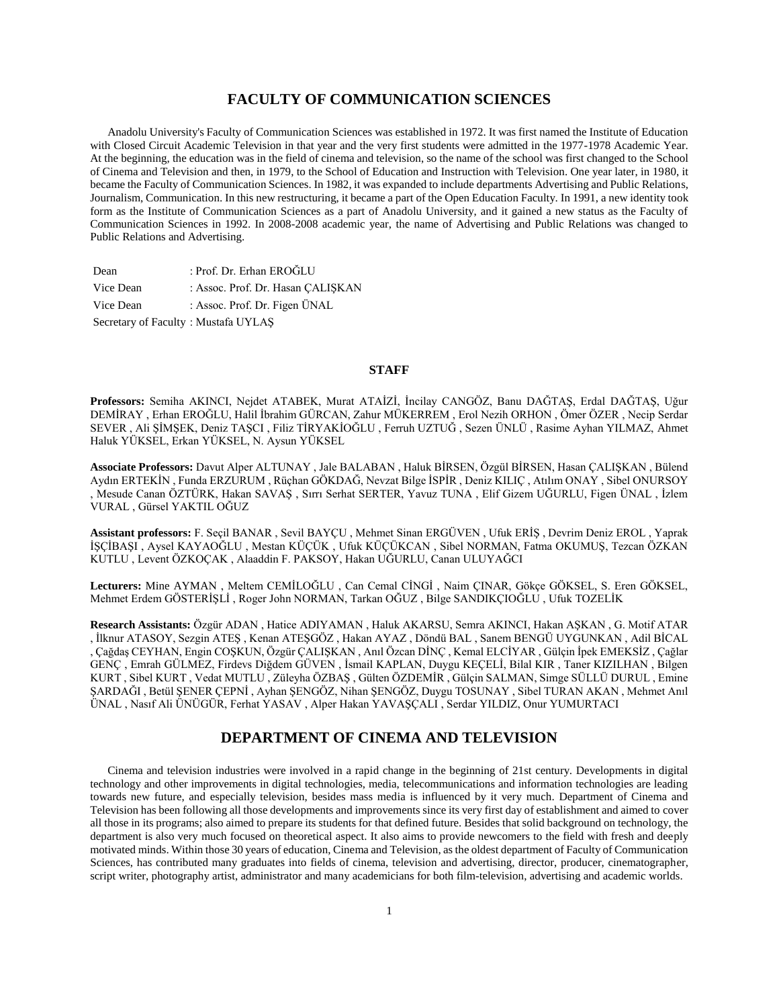# **FACULTY OF COMMUNICATION SCIENCES**

 Anadolu University's Faculty of Communication Sciences was established in 1972. It was first named the Institute of Education with Closed Circuit Academic Television in that year and the very first students were admitted in the 1977-1978 Academic Year. At the beginning, the education was in the field of cinema and television, so the name of the school was first changed to the School of Cinema and Television and then, in 1979, to the School of Education and Instruction with Television. One year later, in 1980, it became the Faculty of Communication Sciences. In 1982, it was expanded to include departments Advertising and Public Relations, Journalism, Communication. In this new restructuring, it became a part of the Open Education Faculty. In 1991, a new identity took form as the Institute of Communication Sciences as a part of Anadolu University, and it gained a new status as the Faculty of Communication Sciences in 1992. In 2008-2008 academic year, the name of Advertising and Public Relations was changed to Public Relations and Advertising.

| Dean                                | : Prof. Dr. Erhan EROĞLU          |
|-------------------------------------|-----------------------------------|
| Vice Dean                           | : Assoc. Prof. Dr. Hasan CALISKAN |
| Vice Dean                           | : Assoc. Prof. Dr. Figen ÜNAL     |
| Secretary of Faculty: Mustafa UYLAS |                                   |

# **STAFF**

**Professors:** Semiha AKINCI, Nejdet ATABEK, Murat ATAİZİ, İncilay CANGÖZ, Banu DAĞTAŞ, Erdal DAĞTAŞ, Uğur DEMİRAY , Erhan EROĞLU, Halil İbrahim GÜRCAN, Zahur MÜKERREM , Erol Nezih ORHON , Ömer ÖZER , Necip Serdar SEVER , Ali ŞİMŞEK, Deniz TAŞCI , Filiz TİRYAKİOĞLU , Ferruh UZTUĞ , Sezen ÜNLÜ , Rasime Ayhan YILMAZ, Ahmet Haluk YÜKSEL, Erkan YÜKSEL, N. Aysun YÜKSEL

**Associate Professors:** Davut Alper ALTUNAY , Jale BALABAN , Haluk BİRSEN, Özgül BİRSEN, Hasan ÇALIŞKAN , Bülend Aydın ERTEKİN , Funda ERZURUM , Rüçhan GÖKDAĞ, Nevzat Bilge İSPİR , Deniz KILIÇ , Atılım ONAY , Sibel ONURSOY , Mesude Canan ÖZTÜRK, Hakan SAVAŞ , Sırrı Serhat SERTER, Yavuz TUNA , Elif Gizem UĞURLU, Figen ÜNAL , İzlem VURAL , Gürsel YAKTIL OĞUZ

**Assistant professors:** F. Seçil BANAR , Sevil BAYÇU , Mehmet Sinan ERGÜVEN , Ufuk ERİŞ , Devrim Deniz EROL , Yaprak İŞÇİBAŞI , Aysel KAYAOĞLU , Mestan KÜÇÜK , Ufuk KÜÇÜKCAN , Sibel NORMAN, Fatma OKUMUŞ, Tezcan ÖZKAN KUTLU , Levent ÖZKOÇAK , Alaaddin F. PAKSOY, Hakan UĞURLU, Canan ULUYAĞCI

**Lecturers:** Mine AYMAN , Meltem CEMİLOĞLU , Can Cemal CİNGİ , Naim ÇINAR, Gökçe GÖKSEL, S. Eren GÖKSEL, Mehmet Erdem GÖSTERİŞLİ , Roger John NORMAN, Tarkan OĞUZ , Bilge SANDIKÇIOĞLU , Ufuk TOZELİK

**Research Assistants:** Özgür ADAN , Hatice ADIYAMAN , Haluk AKARSU, Semra AKINCI, Hakan AŞKAN , G. Motif ATAR , İlknur ATASOY, Sezgin ATEŞ , Kenan ATEŞGÖZ , Hakan AYAZ , Döndü BAL , Sanem BENGÜ UYGUNKAN , Adil BİCAL , Çağdaş CEYHAN, Engin COŞKUN, Özgür ÇALIŞKAN , Anıl Özcan DİNÇ , Kemal ELCİYAR , Gülçin İpek EMEKSİZ , Çağlar GENÇ , Emrah GÜLMEZ, Firdevs Diğdem GÜVEN , İsmail KAPLAN, Duygu KEÇELİ, Bilal KIR , Taner KIZILHAN , Bilgen KURT , Sibel KURT , Vedat MUTLU , Züleyha ÖZBAŞ , Gülten ÖZDEMİR , Gülçin SALMAN, Simge SÜLLÜ DURUL , Emine ŞARDAĞI , Betül ŞENER ÇEPNİ , Ayhan ŞENGÖZ, Nihan ŞENGÖZ, Duygu TOSUNAY , Sibel TURAN AKAN , Mehmet Anıl ÜNAL , Nasıf Ali ÜNÜGÜR, Ferhat YASAV , Alper Hakan YAVAŞÇALI , Serdar YILDIZ, Onur YUMURTACI

# **DEPARTMENT OF CINEMA AND TELEVISION**

 Cinema and television industries were involved in a rapid change in the beginning of 21st century. Developments in digital technology and other improvements in digital technologies, media, telecommunications and information technologies are leading towards new future, and especially television, besides mass media is influenced by it very much. Department of Cinema and Television has been following all those developments and improvements since its very first day of establishment and aimed to cover all those in its programs; also aimed to prepare its students for that defined future. Besides that solid background on technology, the department is also very much focused on theoretical aspect. It also aims to provide newcomers to the field with fresh and deeply motivated minds. Within those 30 years of education, Cinema and Television, as the oldest department of Faculty of Communication Sciences, has contributed many graduates into fields of cinema, television and advertising, director, producer, cinematographer, script writer, photography artist, administrator and many academicians for both film-television, advertising and academic worlds.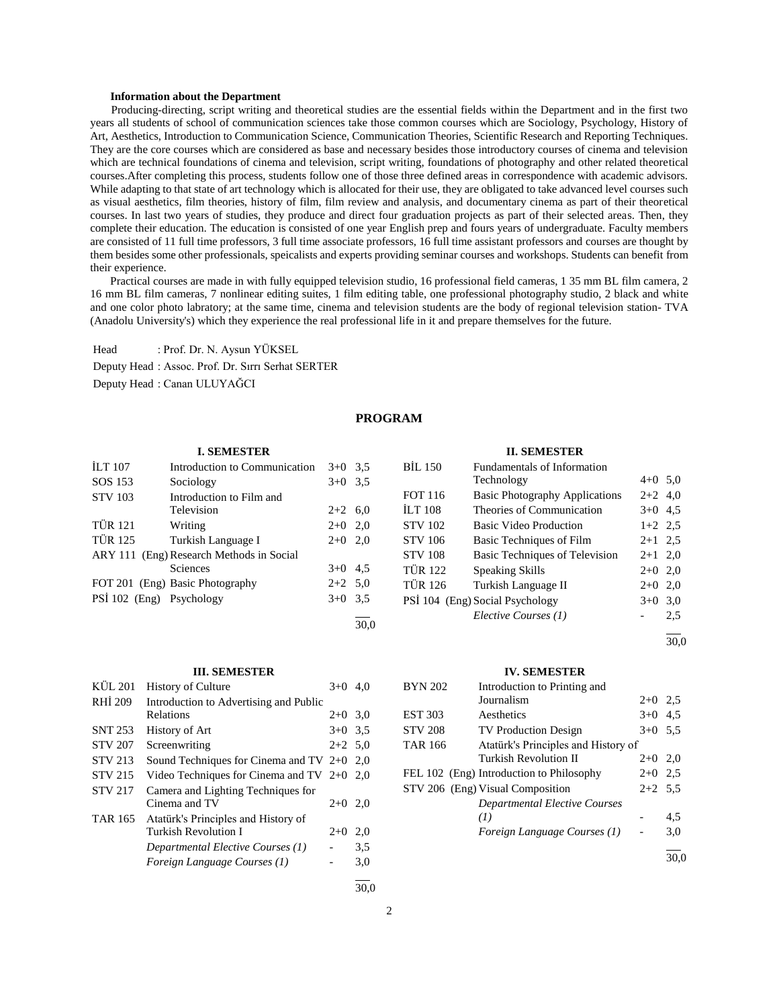#### **Information about the Department**

 Producing-directing, script writing and theoretical studies are the essential fields within the Department and in the first two years all students of school of communication sciences take those common courses which are Sociology, Psychology, History of Art, Aesthetics, Introduction to Communication Science, Communication Theories, Scientific Research and Reporting Techniques. They are the core courses which are considered as base and necessary besides those introductory courses of cinema and television which are technical foundations of cinema and television, script writing, foundations of photography and other related theoretical courses.After completing this process, students follow one of those three defined areas in correspondence with academic advisors. While adapting to that state of art technology which is allocated for their use, they are obligated to take advanced level courses such as visual aesthetics, film theories, history of film, film review and analysis, and documentary cinema as part of their theoretical courses. In last two years of studies, they produce and direct four graduation projects as part of their selected areas. Then, they complete their education. The education is consisted of one year English prep and fours years of undergraduate. Faculty members are consisted of 11 full time professors, 3 full time associate professors, 16 full time assistant professors and courses are thought by them besides some other professionals, speicalists and experts providing seminar courses and workshops. Students can benefit from their experience.

 Practical courses are made in with fully equipped television studio, 16 professional field cameras, 1 35 mm BL film camera, 2 16 mm BL film cameras, 7 nonlinear editing suites, 1 film editing table, one professional photography studio, 2 black and white and one color photo labratory; at the same time, cinema and television students are the body of regional television station- TVA (Anadolu University's) which they experience the real professional life in it and prepare themselves for the future.

Head : Prof. Dr. N. Aysun YÜKSEL Deputy Head : Assoc. Prof. Dr. Sırrı Serhat SERTER Deputy Head : Canan ULUYAĞCI

# **PROGRAM**

30,0

#### **I. SEMESTER**

| <b>ILT 107</b>           | Introduction to Communication            | $3+0$ 3.5 |  |
|--------------------------|------------------------------------------|-----------|--|
| SOS 153                  | Sociology                                | $3+0$ 3.5 |  |
| <b>STV 103</b>           | Introduction to Film and                 |           |  |
|                          | Television                               | $2+2$ 6,0 |  |
| <b>TÜR 121</b>           | Writing                                  | $2+0$ 2,0 |  |
| <b>TÜR 125</b>           | Turkish Language I                       | $2+0$ 2,0 |  |
|                          | ARY 111 (Eng) Research Methods in Social |           |  |
|                          | Sciences                                 | $3+0$ 4.5 |  |
|                          | FOT 201 (Eng) Basic Photography          | $2+2$ 5.0 |  |
| PSI 102 (Eng) Psychology |                                          | $3+0$ 3.5 |  |
|                          |                                          |           |  |

# **III. SEMESTER**

| KÜL 201        | <b>History of Culture</b>                           | $3+0$     | 4.0 |
|----------------|-----------------------------------------------------|-----------|-----|
| RHI 209        | Introduction to Advertising and Public              |           |     |
|                | Relations                                           | $2+0$ 3.0 |     |
| <b>SNT 253</b> | History of Art                                      | $3+0$ 3.5 |     |
| <b>STV 207</b> | Screenwriting                                       | $2+2$ 5.0 |     |
| <b>STV 213</b> | Sound Techniques for Cinema and TV $2+0$ 2,0        |           |     |
| <b>STV 215</b> | Video Techniques for Cinema and TV $2+0$ 2,0        |           |     |
| <b>STV 217</b> | Camera and Lighting Techniques for<br>Cinema and TV | $2+0$     | 2,0 |
| <b>TAR 165</b> | Atatürk's Principles and History of                 |           |     |
|                | Turkish Revolution I                                | $2+0$     | 2,0 |
|                | Departmental Elective Courses (1)                   |           | 3.5 |
|                | Foreign Language Courses (1)                        |           | 3,0 |
|                |                                                     |           |     |

#### **II. SEMESTER**

| <b>BIL 150</b> | <b>Fundamentals of Information</b>    |           |     |
|----------------|---------------------------------------|-----------|-----|
|                | Technology                            | $4+0$ 5.0 |     |
| <b>FOT 116</b> | <b>Basic Photography Applications</b> | $2+2$ 4,0 |     |
| <b>ILT 108</b> | Theories of Communication             | $3+0$ 4.5 |     |
| <b>STV 102</b> | Basic Video Production                | $1+2$ 2.5 |     |
| <b>STV 106</b> | Basic Techniques of Film              | $2+1$ 2.5 |     |
| <b>STV 108</b> | Basic Techniques of Television        | $2+1$ 2,0 |     |
| <b>TÜR 122</b> | Speaking Skills                       | $2+0$ 2,0 |     |
| <b>TÜR 126</b> | Turkish Language II                   | $2+0$     | 2,0 |
|                | PSI 104 (Eng) Social Psychology       | $3+0$     | 3,0 |
|                | Elective Courses (1)                  |           | 2.5 |
|                |                                       |           |     |

30,0

#### **IV. SEMESTER**

| <b>BYN 202</b> | Introduction to Printing and             |           |     |
|----------------|------------------------------------------|-----------|-----|
|                | Journalism                               | $2+0$ 2.5 |     |
| <b>EST 303</b> | Aesthetics                               | $3+0$     | 4.5 |
| <b>STV 208</b> | <b>TV Production Design</b>              | $3+0$ 5.5 |     |
| <b>TAR 166</b> | Atatürk's Principles and History of      |           |     |
|                | Turkish Revolution II                    | $2+0$ 2,0 |     |
|                | FEL 102 (Eng) Introduction to Philosophy | $2+0$     | 2.5 |
|                | STV 206 (Eng) Visual Composition         | $2+2$ 5.5 |     |
|                | <b>Departmental Elective Courses</b>     |           |     |
|                | (I)                                      |           | 4.5 |
|                | Foreign Language Courses (1)             |           | 3,0 |
|                |                                          |           |     |

30,0

30,0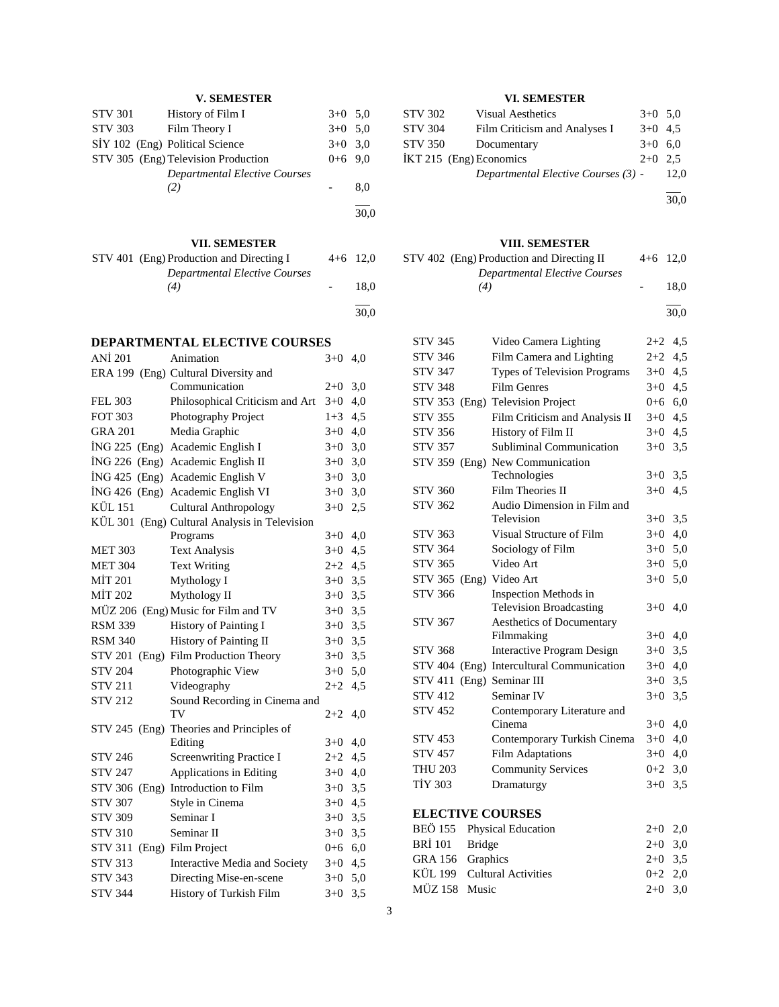# **V. SEMESTER**

|                | 051 <i>mor</i> ro                    |           |      |
|----------------|--------------------------------------|-----------|------|
|                |                                      |           | 30.0 |
|                | (2)                                  |           | 8,0  |
|                | <b>Departmental Elective Courses</b> |           |      |
|                | STV 305 (Eng) Television Production  | $0+6$ 9.0 |      |
|                | SIY 102 (Eng) Political Science      | $3+0$ 3.0 |      |
| STV 303        | Film Theory I                        | $3+0$ 5.0 |      |
| <b>STV 301</b> | History of Film I                    | $3+0$ 5.0 |      |

# **VII. SEMESTER**

| VII. SEMESTER                            |            |            |
|------------------------------------------|------------|------------|
| STV 401 (Eng) Production and Directing I | $4+6$ 12.0 | <b>STV</b> |
| Departmental Elective Courses<br>(4)     | 18.0       |            |
|                                          | 30.0       |            |

# **DEPARTMENTAL ELECTIVE COURSES**

| <b>ANİ</b> 201   | Animation                                     | $3+0$   | 4,0 |
|------------------|-----------------------------------------------|---------|-----|
|                  | ERA 199 (Eng) Cultural Diversity and          |         |     |
|                  | Communication                                 | $2+0$   | 3,0 |
| <b>FEL 303</b>   | Philosophical Criticism and Art               | $3+0$   | 4,0 |
| <b>FOT 303</b>   | Photography Project                           | $1 + 3$ | 4,5 |
| <b>GRA 201</b>   | Media Graphic                                 | $3+0$   | 4,0 |
| ING 225 (Eng)    | Academic English I                            | $3+0$   | 3,0 |
| ING 226 (Eng)    | Academic English II                           | $3+0$   | 3,0 |
| ING 425<br>(Eng) | Academic English V                            | $3+0$   | 3,0 |
| $ING 426$ (Eng)  | Academic English VI                           | $3+0$   | 3,0 |
| KÜL 151          | <b>Cultural Anthropology</b>                  | $3+0$   | 2,5 |
|                  | KÜL 301 (Eng) Cultural Analysis in Television |         |     |
|                  | Programs                                      | $3+0$   | 4,0 |
| <b>MET 303</b>   | <b>Text Analysis</b>                          | $3+0$   | 4,5 |
| <b>MET 304</b>   | <b>Text Writing</b>                           | $2+2$   | 4,5 |
| MİT 201          | Mythology I                                   | $3+0$   | 3,5 |
| MIT 202          | Mythology II                                  | $3+0$   | 3,5 |
|                  | MÜZ 206 (Eng) Music for Film and TV           | $3+0$   | 3,5 |
| <b>RSM 339</b>   | History of Painting I                         | $3+0$   | 3,5 |
| <b>RSM 340</b>   | History of Painting II                        | $3+0$   | 3,5 |
| STV 201          | (Eng) Film Production Theory                  | $3+0$   | 3,5 |
| <b>STV 204</b>   | Photographic View                             | $3+0$   | 5,0 |
| <b>STV 211</b>   | Videography                                   | $2 + 2$ | 4,5 |
| <b>STV 212</b>   | Sound Recording in Cinema and                 |         |     |
|                  | TV                                            | $2+2$   | 4,0 |
| STV 245 (Eng)    | Theories and Principles of                    |         |     |
|                  | Editing                                       | $3+0$   | 4,0 |
| <b>STV 246</b>   | <b>Screenwriting Practice I</b>               | $2+2$   | 4,5 |
| <b>STV 247</b>   | Applications in Editing                       | $3+0$   | 4,0 |
| STV 306 (Eng)    | Introduction to Film                          | $3+0$   | 3,5 |
| <b>STV 307</b>   | Style in Cinema                               | $3+0$   | 4,5 |
| <b>STV 309</b>   | Seminar I                                     | $3+0$   | 3,5 |
| <b>STV 310</b>   | Seminar II                                    | $3+0$   | 3,5 |
| <b>STV 311</b>   | (Eng) Film Project                            | 0+6     | 6,0 |
| <b>STV 313</b>   | Interactive Media and Society                 | $3 + 0$ | 4,5 |
| <b>STV 343</b>   | Directing Mise-en-scene                       | $3+0$   | 5,0 |
| <b>STV 344</b>   | History of Turkish Film                       | $3+0$   | 3,5 |
|                  |                                               |         |     |

# **VI. SEMESTER**

| <b>STV 302</b>          | <b>Visual Aesthetics</b>            | $3+0$ 5.0 |      |
|-------------------------|-------------------------------------|-----------|------|
| <b>STV 304</b>          | Film Criticism and Analyses I       | $3+0$ 4.5 |      |
| STV 350                 | Documentary                         | $3+0$ 6.0 |      |
| IKT 215 (Eng) Economics |                                     | $2+0$ 2.5 |      |
|                         | Departmental Elective Courses (3) - |           | 12.0 |
|                         |                                     |           |      |

30,0

# **VIII. SEMESTER**

|                | STV 402 (Eng) Production and Directing II   | $4+6$ 12,0 |           |
|----------------|---------------------------------------------|------------|-----------|
|                | <b>Departmental Elective Courses</b><br>(4) |            | 18.0      |
|                |                                             |            | 30.0      |
| <b>STV 345</b> | Video Camera Lighting                       |            | $2+2$ 4.5 |

| <b>STV 346</b>          | Film Camera and Lighting          | $2 + 2$   | 4,5 |
|-------------------------|-----------------------------------|-----------|-----|
| <b>STV 347</b>          | Types of Television Programs      | $3+0$     | 4,5 |
| <b>STV 348</b>          | <b>Film Genres</b>                | $3+0$     | 4,5 |
|                         | STV 353 (Eng) Television Project  | $0+6$ 6,0 |     |
| <b>STV 355</b>          | Film Criticism and Analysis II    | $3+0$     | 4,5 |
| <b>STV 356</b>          | History of Film II                | $3+0$     | 4,5 |
| <b>STV 357</b>          | Subliminal Communication          | $3+0$     | 3,5 |
|                         | STV 359 (Eng) New Communication   |           |     |
|                         | Technologies                      | $3+0$     | 3,5 |
| <b>STV 360</b>          | Film Theories II                  | $3+0$     | 4,5 |
| <b>STV 362</b>          | Audio Dimension in Film and       |           |     |
|                         | Television                        | $3+0$     | 3,5 |
| <b>STV 363</b>          | Visual Structure of Film          | $3+0$     | 4,0 |
| <b>STV 364</b>          | Sociology of Film                 | $3 + 0$   | 5,0 |
| <b>STV 365</b>          | Video Art                         | $3+0$     | 5,0 |
| STV 365 (Eng) Video Art |                                   | $3+0$     | 5,0 |
| <b>STV 366</b>          | Inspection Methods in             |           |     |
|                         | <b>Television Broadcasting</b>    | $3+0$     | 4,0 |
| <b>STV 367</b>          | Aesthetics of Documentary         |           |     |
|                         | Filmmaking                        | $3+0$     | 4,0 |
| <b>STV 368</b>          | <b>Interactive Program Design</b> | $3+0$     | 3,5 |
| <b>STV 404</b>          | (Eng) Intercultural Communication | $3+0$     | 4,0 |
| <b>STV 411</b>          | (Eng) Seminar III                 | $3+0$     | 3,5 |
| <b>STV 412</b>          | Seminar IV                        | $3+0$     | 3,5 |
| <b>STV 452</b>          | Contemporary Literature and       |           |     |
|                         | Cinema                            | $3+0$     | 4,0 |
| <b>STV 453</b>          | Contemporary Turkish Cinema       | $3+0$     | 4,0 |
| <b>STV 457</b>          | <b>Film Adaptations</b>           | $3+0$     | 4,0 |
| <b>THU 203</b>          | <b>Community Services</b>         | $0 + 2$   | 3,0 |
| <b>TİY 303</b>          | Dramaturgy                        | $3+0$     | 3,5 |
| <b>ELECTIVE COURSES</b> |                                   |           |     |
|                         |                                   |           |     |

|                  | BEÖ 155 Physical Education  | $2+0$ 2.0 |  |
|------------------|-----------------------------|-----------|--|
| BRİ 101 Bridge   |                             | $2+0$ 3.0 |  |
| GRA 156 Graphics |                             | $2+0$ 3.5 |  |
|                  | KÜL 199 Cultural Activities | $0+2$ 2.0 |  |
| MÜZ 158 Music    |                             | $2+0$ 3.0 |  |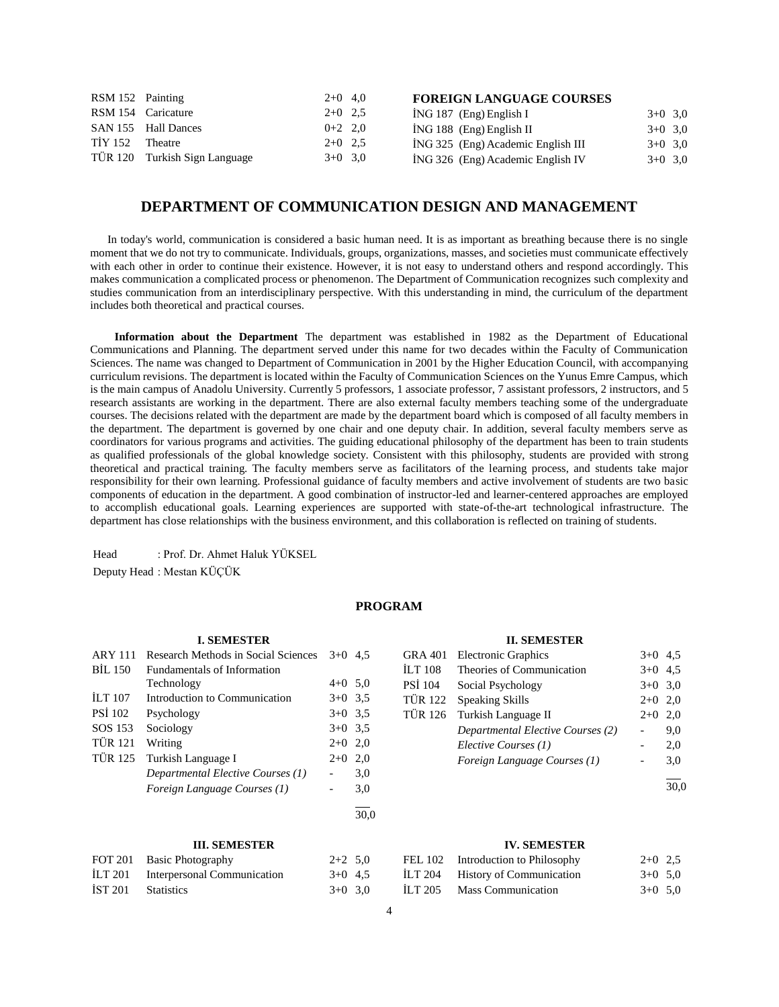| RSM 152 Painting |                               | $2+0$ 4,0 | <b>FOREIGN LANGUAGE COURSES</b>    |           |  |
|------------------|-------------------------------|-----------|------------------------------------|-----------|--|
|                  | RSM 154 Caricature            | $2+0$ 2.5 | $ING 187$ (Eng) English I          | $3+0$ 3.0 |  |
|                  | SAN 155 Hall Dances           | $0+2$ 2.0 | $ING 188$ (Eng) English II         | $3+0$ 3.0 |  |
| TİY 152          | Theatre                       | $2+0$ 2.5 | ING 325 (Eng) Academic English III | $3+0$ 3.0 |  |
|                  | TÜR 120 Turkish Sign Language | $3+0$ 3.0 | ING 326 (Eng) Academic English IV  | $3+0$ 3.0 |  |

# **DEPARTMENT OF COMMUNICATION DESIGN AND MANAGEMENT**

 In today's world, communication is considered a basic human need. It is as important as breathing because there is no single moment that we do not try to communicate. Individuals, groups, organizations, masses, and societies must communicate effectively with each other in order to continue their existence. However, it is not easy to understand others and respond accordingly. This makes communication a complicated process or phenomenon. The Department of Communication recognizes such complexity and studies communication from an interdisciplinary perspective. With this understanding in mind, the curriculum of the department includes both theoretical and practical courses.

 **Information about the Department** The department was established in 1982 as the Department of Educational Communications and Planning. The department served under this name for two decades within the Faculty of Communication Sciences. The name was changed to Department of Communication in 2001 by the Higher Education Council, with accompanying curriculum revisions. The department is located within the Faculty of Communication Sciences on the Yunus Emre Campus, which is the main campus of Anadolu University. Currently 5 professors, 1 associate professor, 7 assistant professors, 2 instructors, and 5 research assistants are working in the department. There are also external faculty members teaching some of the undergraduate courses. The decisions related with the department are made by the department board which is composed of all faculty members in the department. The department is governed by one chair and one deputy chair. In addition, several faculty members serve as coordinators for various programs and activities. The guiding educational philosophy of the department has been to train students as qualified professionals of the global knowledge society. Consistent with this philosophy, students are provided with strong theoretical and practical training. The faculty members serve as facilitators of the learning process, and students take major responsibility for their own learning. Professional guidance of faculty members and active involvement of students are two basic components of education in the department. A good combination of instructor-led and learner-centered approaches are employed to accomplish educational goals. Learning experiences are supported with state-of-the-art technological infrastructure. The department has close relationships with the business environment, and this collaboration is reflected on training of students.

Head : Prof. Dr. Ahmet Haluk YÜKSEL Deputy Head : Mestan KÜÇÜK

#### **PROGRAM**

#### **I. SEMESTER**

| <b>ARY 111</b> | Research Methods in Social Sciences | $3+0$     | 4.5 |
|----------------|-------------------------------------|-----------|-----|
| <b>BIL 150</b> | <b>Fundamentals of Information</b>  |           |     |
|                | Technology                          | $4+0$ 5,0 |     |
| <b>ILT 107</b> | Introduction to Communication       | $3+0$ 3.5 |     |
| <b>PSI</b> 102 | Psychology                          | $3+0$ 3.5 |     |
| SOS 153        | Sociology                           | $3+0$ 3.5 |     |
| <b>TÜR 121</b> | Writing                             | $2+0$ 2,0 |     |
| <b>TÜR 125</b> | Turkish Language I                  | $2+0$     | 2,0 |
|                | Departmental Elective Courses (1)   |           | 3,0 |
|                | Foreign Language Courses (1)        |           | 3,0 |
|                |                                     |           |     |

#### **III. SEMESTER**

|                    | FOT 201 Basic Photography           | $2+2$ 5.0 |  |
|--------------------|-------------------------------------|-----------|--|
|                    | ILT 201 Interpersonal Communication | $3+0$ 4.5 |  |
| IST 201 Statistics |                                     | $3+0$ 3.0 |  |

#### **II. SEMESTER**

| <b>GRA 401</b> | <b>Electronic Graphics</b>        | $3+0$     | 4.5 |
|----------------|-----------------------------------|-----------|-----|
| <b>ILT 108</b> | Theories of Communication         | $3+0$ 4.5 |     |
| PSİ 104        | Social Psychology                 | $3+0$ 3.0 |     |
| TÜR 122        | <b>Speaking Skills</b>            | $2+0$     | 2,0 |
| <b>TÜR 126</b> | Turkish Language II               | $2+0$     | 2.0 |
|                | Departmental Elective Courses (2) |           | 9,0 |
|                | Elective Courses (1)              |           | 2,0 |
|                | Foreign Language Courses (1)      |           | 3,0 |
|                |                                   |           |     |

30,0

#### **IV. SEMESTER**

| FEL 102 | Introduction to Philosophy      | $2+0$ 2.5 |  |
|---------|---------------------------------|-----------|--|
| ILT 204 | <b>History of Communication</b> | $3+0$ 5.0 |  |
| ILT 205 | <b>Mass Communication</b>       | $3+0$ 5.0 |  |

 $\frac{1}{30.0}$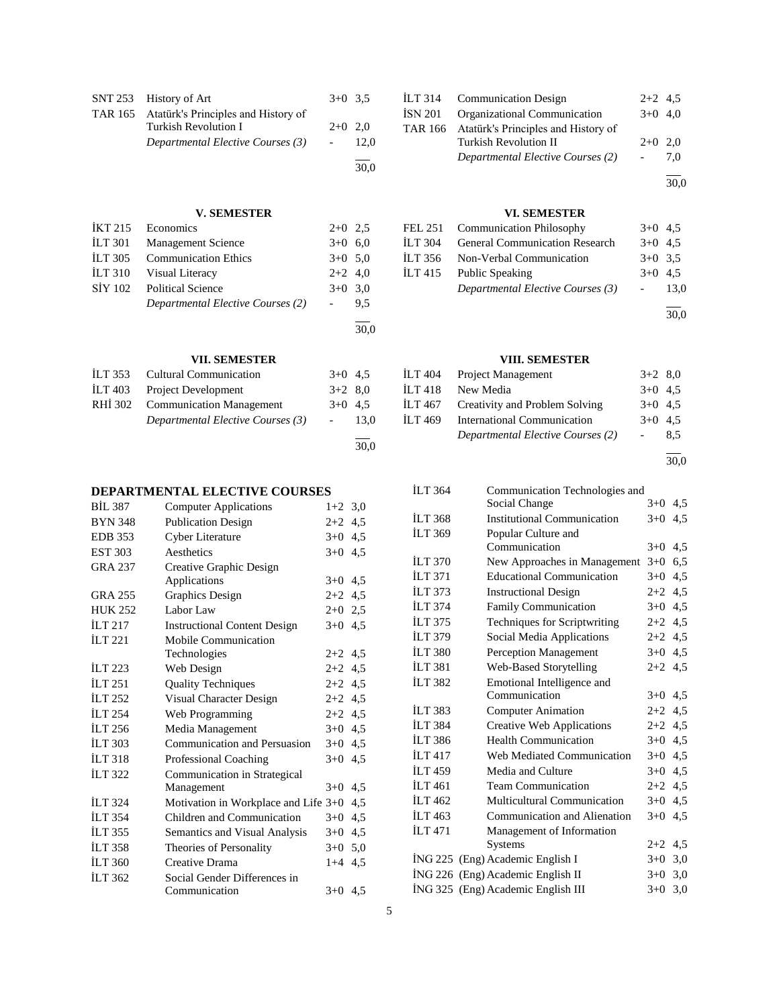| SNT 253 History of Art                      | $3+0$ 3.5 |      |
|---------------------------------------------|-----------|------|
| TAR 165 Atatürk's Principles and History of |           |      |
| Turkish Revolution I                        | $2+0$ 2.0 |      |
| Departmental Elective Courses (3)           |           | 12.0 |
|                                             |           | 30.0 |

#### **V. SEMESTER**

| Economics                         | $2+0$ 2.5 |      |
|-----------------------------------|-----------|------|
| <b>Management Science</b>         | $3+0$ 6.0 |      |
| <b>Communication Ethics</b>       | $3+0$ 5.0 |      |
| Visual Literacy                   | $2+2$ 4,0 |      |
| <b>Political Science</b>          | $3+0$ 3.0 |      |
| Departmental Elective Courses (2) |           | 9.5  |
|                                   |           | 30.0 |
|                                   |           |      |

#### **VII. SEMESTER**

|         | ILT 353 Cultural Communication    | $3+0$ 4.5 |      |
|---------|-----------------------------------|-----------|------|
| ILT 403 | <b>Project Development</b>        | $3+2$ 8.0 |      |
| RHI 302 | <b>Communication Management</b>   | $3+0$ 4.5 |      |
|         | Departmental Elective Courses (3) |           | 13.0 |
|         |                                   |           | 30,0 |

#### **DEPARTMENTAL ELECTIVE COURSES**

| <b>BIL 387</b> | <b>Computer Applications</b>         | $1+2$     | 3,0 |
|----------------|--------------------------------------|-----------|-----|
| <b>BYN 348</b> | <b>Publication Design</b>            | $2+2$     | 4,5 |
| <b>EDB</b> 353 | Cyber Literature                     | $3+0$     | 4,5 |
| <b>EST 303</b> | Aesthetics                           | $3+0$     | 4,5 |
| <b>GRA 237</b> | Creative Graphic Design              |           |     |
|                | Applications                         | $3+0$     | 4,5 |
| <b>GRA 255</b> | <b>Graphics Design</b>               | $2+2$     | 4,5 |
| <b>HUK 252</b> | Labor Law                            | $2+0$ 2.5 |     |
| <b>ILT 217</b> | <b>Instructional Content Design</b>  | $3+0$ 4.5 |     |
| <b>ILT 221</b> | Mobile Communication                 |           |     |
|                | Technologies                         | $2+2$ 4.5 |     |
| ILT $223$      | Web Design                           | $2+2$     | 4,5 |
| ILT 251        | <b>Quality Techniques</b>            | $2+2$     | 4,5 |
| ILT $252$      | Visual Character Design              | $2+2$ 4.5 |     |
| <b>ILT 254</b> | Web Programming                      | $2+2$ 4.5 |     |
| <b>ILT 256</b> | Media Management                     | $3+0$     | 4,5 |
| <b>ILT 303</b> | Communication and Persuasion         | $3+0$     | 4,5 |
| <b>ILT 318</b> | <b>Professional Coaching</b>         | $3+0$     | 4,5 |
| <b>ILT 322</b> | Communication in Strategical         |           |     |
|                | Management                           | $3+0$     | 4,5 |
| <b>ILT 324</b> | Motivation in Workplace and Life 3+0 |           | 4,5 |
| <b>ILT 354</b> | Children and Communication           | $3+0$     | 4,5 |
| <b>ILT 355</b> | Semantics and Visual Analysis        | $3+0$     | 4,5 |
| <b>ILT 358</b> | Theories of Personality              | $3+0$     | 5,0 |
| <b>ILT 360</b> | Creative Drama                       | $1 + 4$   | 4,5 |
| <b>ILT 362</b> | Social Gender Differences in         |           |     |
|                | Communication                        | $3+0$ 4.5 |     |
|                |                                      |           |     |

| ILT 314 Communication Design                | $2+2$ 4.5 |     |
|---------------------------------------------|-----------|-----|
| ISN 201 Organizational Communication        | $3+0$ 4.0 |     |
| TAR 166 Atatürk's Principles and History of |           |     |
| <b>Turkish Revolution II</b>                | $2+0$ 2,0 |     |
| Departmental Elective Courses (2)           |           | 7.0 |
|                                             |           |     |

30,0

# **VI. SEMESTER**

| FEL 251 Communication Philosophy       | $3+0$ 4.5 |        |
|----------------------------------------|-----------|--------|
| İLT 304 General Communication Research | $3+0$ 4.5 |        |
| ILT 356 Non-Verbal Communication       | $3+0$ 3.5 |        |
| ILT 415 Public Speaking                | $3+0$ 4.5 |        |
| Departmental Elective Courses (3)      |           | - 13.0 |
|                                        |           |        |

30,0

# **VIII. SEMESTER**

| İLT 404 | <b>Project Management</b>         | $3+2$ 8.0 |     |
|---------|-----------------------------------|-----------|-----|
| İLT 418 | New Media                         | $3+0$ 4.5 |     |
| İLT 467 | Creativity and Problem Solving    | $3+0$ 4.5 |     |
| ILT 469 | International Communication       | $3+0$ 4.5 |     |
|         | Departmental Elective Courses (2) |           | 8.5 |
|         |                                   |           |     |

30,0

# İLT 364 Communication Technologies and Social Change İLT 368 Institutional Communication 3+0 4,5 İLT 369 Popular Culture and Communication 3+0 4,5 İLT 370 New Approaches in Management 3+0 6,5 İLT 371 Educational Communication 3+0 4,5 İLT 373 Instructional Design 2+2 4,5 İLT 374 Family Communication 3+0 4,5 İLT 375 Techniques for Scriptwriting 2+2 4,5 İLT 379 Social Media Applications 2+2 4,5 İLT 380 Perception Management 3+0 4,5 İLT 381 Web-Based Storytelling 2+2 4,5 İLT 382 Emotional Intelligence and Communication 3+0 4,5 İLT 383 Computer Animation 2+2 4,5 İLT 384 Creative Web Applications 2+2 4,5 İLT 386 Health Communication 3+0 4,5 İLT 417 Web Mediated Communication 3+0 4,5 İLT 459 Media and Culture 3+0 4,5  $\text{ILT } 461$  Team Communication  $2+2$  4,5 İLT 462 Multicultural Communication 3+0 4,5 İLT 463 Communication and Alienation 3+0 4,5 İLT 471 Management of Information Systems  $2+2$  4,5  $i$ NG 225 (Eng) Academic English I  $3+0$  3,0 İNG 226 (Eng) Academic English II 3+0 3,0 İNG 325 (Eng) Academic English III 3+0 3,0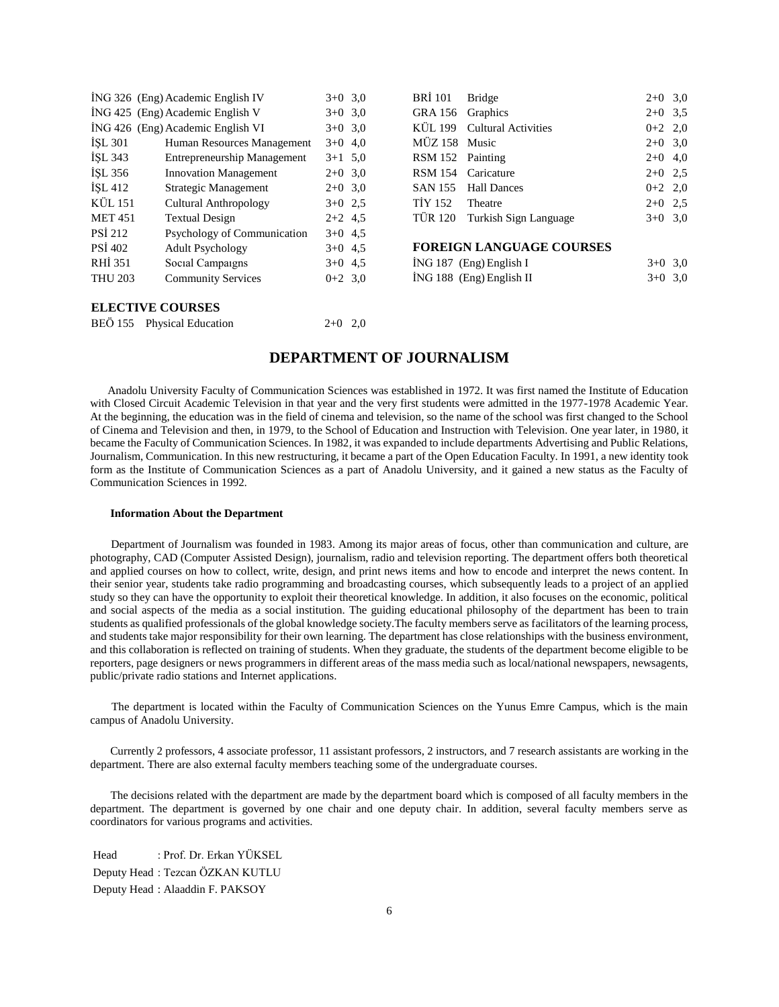|                | ING 326 (Eng) Academic English IV  | $3+0$ 3,0 |  |
|----------------|------------------------------------|-----------|--|
|                | ING 425 (Eng) Academic English V   | $3+0$ 3.0 |  |
|                | ING 426 (Eng) Academic English VI  | $3+0$ 3.0 |  |
| İŞL 301        | Human Resources Management         | $3+0$ 4.0 |  |
| ISL 343        | <b>Entrepreneurship Management</b> | $3+1$ 5,0 |  |
| ISL 356        | <b>Innovation Management</b>       | $2+0$ 3.0 |  |
| <b>İSL 412</b> | Strategic Management               | $2+0$ 3.0 |  |
| KÜL 151        | Cultural Anthropology              | $3+0$ 2.5 |  |
| <b>MET 451</b> | <b>Textual Design</b>              | $2+2$ 4.5 |  |
| <b>PSI 212</b> | Psychology of Communication        | $3+0$ 4.5 |  |
| PSI 402        | <b>Adult Psychology</b>            | $3+0$ 4.5 |  |
| RHI 351        | Social Campaigns                   | $3+0$ 4.5 |  |
| <b>THU 203</b> | <b>Community Services</b>          | $0+2$ 3.0 |  |
|                |                                    |           |  |
|                |                                    |           |  |

| BRI 101 Bridge   |                                 | $2+0$ 3,0 |  |  |
|------------------|---------------------------------|-----------|--|--|
| GRA 156 Graphics |                                 | $2+0$ 3.5 |  |  |
|                  | KÜL 199 Cultural Activities     | $0+2$ 2,0 |  |  |
| MÜZ 158 Music    |                                 | $2+0$ 3,0 |  |  |
| RSM 152 Painting |                                 | $2+0$ 4,0 |  |  |
|                  | RSM 154 Caricature              | $2+0$ 2.5 |  |  |
|                  | SAN 155 Hall Dances             | $0+2$ 2,0 |  |  |
| TİY 152 Theatre  |                                 | $2+0$ 2.5 |  |  |
|                  | TÜR 120 Turkish Sign Language   | $3+0$ 3.0 |  |  |
|                  |                                 |           |  |  |
|                  | <b>FOREIGN LANGUAGE COURSES</b> |           |  |  |

| TOMBOT BILITORITOB COUNTR |           |  |
|---------------------------|-----------|--|
| İNG 187 (Eng) English I   | $3+0$ 3,0 |  |

 $3+0$  3,0

| ING 188 (Eng) English II |
|--------------------------|
|                          |
|                          |
|                          |

#### **ELECTIVE COURSES**

|  | BEÖ 155 Physical Education | $2+0$ 2,0 |  |
|--|----------------------------|-----------|--|
|--|----------------------------|-----------|--|

# **DEPARTMENT OF JOURNALISM**

 Anadolu University Faculty of Communication Sciences was established in 1972. It was first named the Institute of Education with Closed Circuit Academic Television in that year and the very first students were admitted in the 1977-1978 Academic Year. At the beginning, the education was in the field of cinema and television, so the name of the school was first changed to the School of Cinema and Television and then, in 1979, to the School of Education and Instruction with Television. One year later, in 1980, it became the Faculty of Communication Sciences. In 1982, it was expanded to include departments Advertising and Public Relations, Journalism, Communication. In this new restructuring, it became a part of the Open Education Faculty. In 1991, a new identity took form as the Institute of Communication Sciences as a part of Anadolu University, and it gained a new status as the Faculty of Communication Sciences in 1992.

#### **Information About the Department**

 Department of Journalism was founded in 1983. Among its major areas of focus, other than communication and culture, are photography, CAD (Computer Assisted Design), journalism, radio and television reporting. The department offers both theoretical and applied courses on how to collect, write, design, and print news items and how to encode and interpret the news content. In their senior year, students take radio programming and broadcasting courses, which subsequently leads to a project of an applied study so they can have the opportunity to exploit their theoretical knowledge. In addition, it also focuses on the economic, political and social aspects of the media as a social institution. The guiding educational philosophy of the department has been to train students as qualified professionals of the global knowledge society.The faculty members serve as facilitators of the learning process, and students take major responsibility for their own learning. The department has close relationships with the business environment, and this collaboration is reflected on training of students. When they graduate, the students of the department become eligible to be reporters, page designers or news programmers in different areas of the mass media such as local/national newspapers, newsagents, public/private radio stations and Internet applications.

 The department is located within the Faculty of Communication Sciences on the Yunus Emre Campus, which is the main campus of Anadolu University.

 Currently 2 professors, 4 associate professor, 11 assistant professors, 2 instructors, and 7 research assistants are working in the department. There are also external faculty members teaching some of the undergraduate courses.

 The decisions related with the department are made by the department board which is composed of all faculty members in the department. The department is governed by one chair and one deputy chair. In addition, several faculty members serve as coordinators for various programs and activities.

Head : Prof. Dr. Erkan YÜKSEL Deputy Head : Tezcan ÖZKAN KUTLU Deputy Head : Alaaddin F. PAKSOY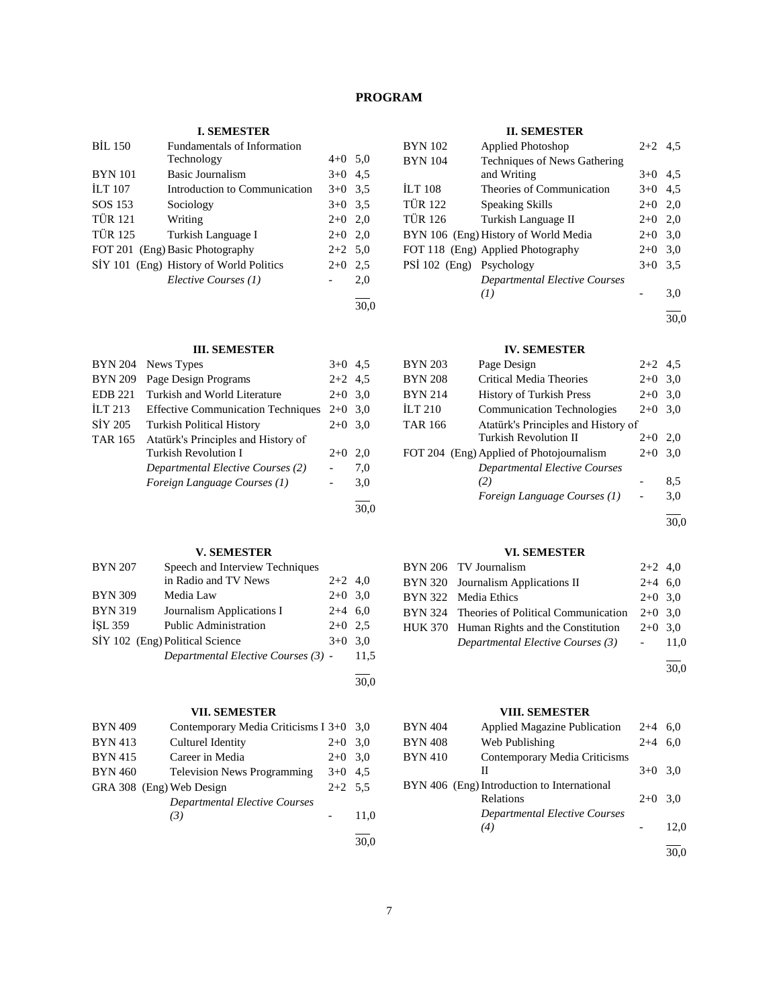# **PROGRAM**

# **I. SEMESTER**

| <b>BIL 150</b> | Fundamentals of Information             |           |     |
|----------------|-----------------------------------------|-----------|-----|
|                | Technology                              | $4+0$ 5.0 |     |
| <b>BYN</b> 101 | Basic Journalism                        | $3+0$ 4.5 |     |
| <b>ILT</b> 107 | Introduction to Communication           | $3+0$ 3.5 |     |
| SOS 153        | Sociology                               | $3+0$ 3.5 |     |
| <b>TÜR 121</b> | Writing                                 | $2+0$ 2,0 |     |
| <b>TÜR 125</b> | Turkish Language I                      | $2+0$ 2,0 |     |
|                | FOT 201 (Eng) Basic Photography         | $2+2$ 5,0 |     |
|                | SİY 101 (Eng) History of World Politics | $2+0$     | 2.5 |
|                | Elective Courses (1)                    |           | 2.0 |
|                |                                         |           |     |

30,0

# **III. SEMESTER**

| <b>BYN 204</b>     | News Types                                | $3+0$     | 4.5 |
|--------------------|-------------------------------------------|-----------|-----|
| <b>BYN 209</b>     | Page Design Programs                      | $2+2$ 4.5 |     |
| <b>EDB 221</b>     | Turkish and World Literature              | $2+0$ 3.0 |     |
| ILT <sub>213</sub> | <b>Effective Communication Techniques</b> | $2+0$ 3.0 |     |
| SIY 205            | <b>Turkish Political History</b>          | $2+0$ 3.0 |     |
| <b>TAR 165</b>     | Atatürk's Principles and History of       |           |     |
|                    | Turkish Revolution I                      | $2+0$     | 2.0 |
|                    | Departmental Elective Courses (2)         |           | 7,0 |
|                    | Foreign Language Courses (1)              |           | 3,0 |
|                    |                                           |           |     |

# **V. SEMESTER**

| <b>BYN 207</b> | Speech and Interview Techniques     |           |      |
|----------------|-------------------------------------|-----------|------|
|                | in Radio and TV News                | $2+2$ 4.0 |      |
| <b>BYN 309</b> | Media Law                           | $2+0$ 3.0 |      |
| <b>BYN 319</b> | Journalism Applications I           | $2+4$ 6.0 |      |
| <b>ISL 359</b> | <b>Public Administration</b>        | $2+0$ 2.5 |      |
|                | SİY 102 (Eng) Political Science     | $3+0$ 3.0 |      |
|                | Departmental Elective Courses (3) - |           | 11.5 |
|                |                                     |           |      |

# **VII. SEMESTER**

| <b>BYN 409</b> | Contemporary Media Criticisms I 3+0 3,0 |           |      |
|----------------|-----------------------------------------|-----------|------|
| <b>BYN 413</b> | Culturel Identity                       | $2+0$ 3.0 |      |
| <b>BYN 415</b> | Career in Media                         | $2+0$ 3.0 |      |
| <b>BYN 460</b> | <b>Television News Programming</b>      | $3+0$ 4.5 |      |
|                | GRA 308 (Eng) Web Design                | $2+2$ 5.5 |      |
|                | <b>Departmental Elective Courses</b>    |           |      |
|                | (3)                                     |           | 11.0 |
|                |                                         |           |      |

# **II. SEMESTER**

| <b>BYN</b> 102           | Applied Photoshop                    | $2+2$ 4.5 |     |
|--------------------------|--------------------------------------|-----------|-----|
| <b>BYN</b> 104           | Techniques of News Gathering         |           |     |
|                          | and Writing                          | $3+0$     | 4.5 |
| <b>ILT 108</b>           | Theories of Communication            | $3+0$     | 4,5 |
| <b>TÜR 122</b>           | Speaking Skills                      | $2+0$ 2,0 |     |
| <b>TÜR 126</b>           | Turkish Language II                  | $2+0$     | 2.0 |
|                          | BYN 106 (Eng) History of World Media | $2+0$     | 3,0 |
|                          | FOT 118 (Eng) Applied Photography    | $2+0$     | 3,0 |
| PSİ 102 (Eng) Psychology |                                      | $3+0$     | 3.5 |
|                          | <b>Departmental Elective Courses</b> |           |     |
|                          | (I)                                  |           | 3.0 |
|                          |                                      |           |     |

30,0

# **IV. SEMESTER**

| <b>BYN 203</b> | Page Design                              | $2+2$ 4.5 |     |
|----------------|------------------------------------------|-----------|-----|
| <b>BYN 208</b> | Critical Media Theories                  | $2+0$     | 3,0 |
| <b>BYN 214</b> | <b>History of Turkish Press</b>          | $2+0$     | 3,0 |
| <b>ILT 210</b> | <b>Communication Technologies</b>        | $2+0$     | 3.0 |
| <b>TAR 166</b> | Atatürk's Principles and History of      |           |     |
|                | Turkish Revolution II                    | $2+0$     | 2.0 |
|                | FOT 204 (Eng) Applied of Photojournalism | $2+0$     | 3,0 |
|                | <b>Departmental Elective Courses</b>     |           |     |
|                | (2)                                      |           | 8,5 |
|                | Foreign Language Courses (1)             |           | 3,0 |
|                |                                          |           |     |

30,0

# **VI. SEMESTER**

| BYN 206 TV Journalism                       | $2+2$ 4,0 |  |
|---------------------------------------------|-----------|--|
| BYN 320 Journalism Applications II          | $2+4$ 6.0 |  |
| BYN 322 Media Ethics                        | $2+0$ 3.0 |  |
| BYN 324 Theories of Political Communication | $2+0$ 3.0 |  |
| HUK 370 Human Rights and the Constitution   | $2+0$ 3.0 |  |
| Departmental Elective Courses (3)           | $-11.0$   |  |
|                                             |           |  |

30,0

# **VIII. SEMESTER**

| <b>BYN 404</b> | <b>Applied Magazine Publication</b>         | $2+4$   | 6.0  |
|----------------|---------------------------------------------|---------|------|
| <b>BYN 408</b> | Web Publishing                              | $2 + 4$ | 6.0  |
| <b>BYN 410</b> | Contemporary Media Criticisms               |         |      |
|                | Н                                           | $3+0$   | 3.0  |
|                | BYN 406 (Eng) Introduction to International |         |      |
|                | Relations                                   | $2+0$   | 3.0  |
|                | <b>Departmental Elective Courses</b>        |         |      |
|                | (4)                                         |         | 12,0 |
|                |                                             |         |      |
|                |                                             |         | 30.0 |

30,0

30,0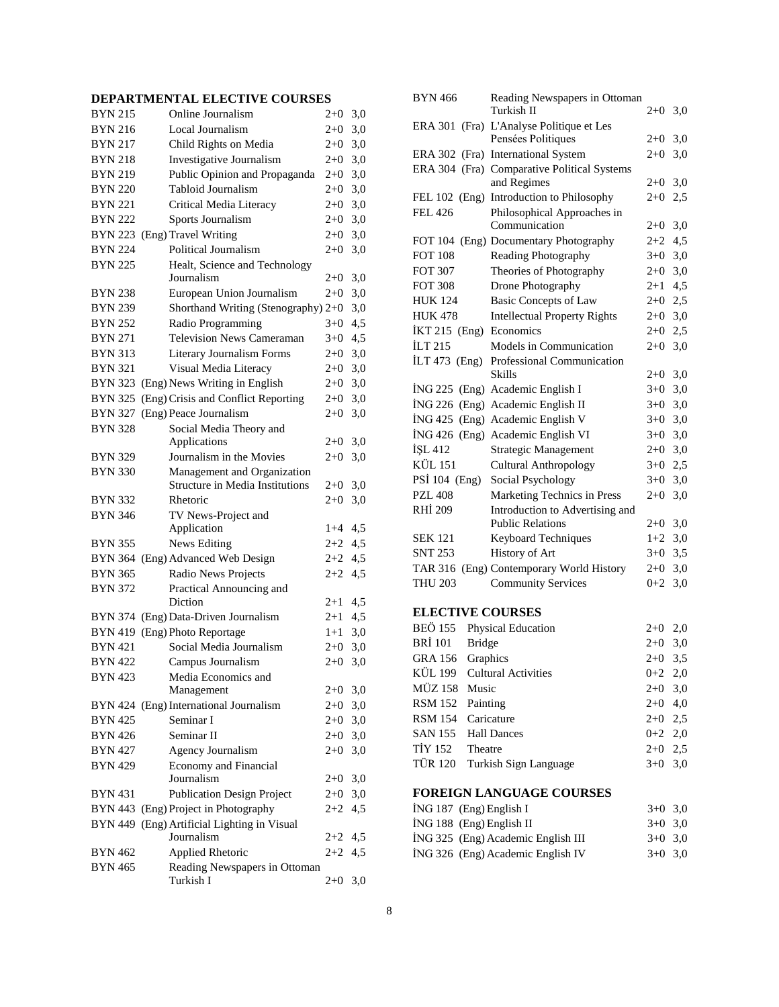# **DEPARTMENTAL ELECTIVE COURSES**

| <b>BYN 215</b> | Online Journalism                                                     | $2+0$   | 3,0 |
|----------------|-----------------------------------------------------------------------|---------|-----|
| <b>BYN 216</b> | Local Journalism                                                      | $2 + 0$ | 3,0 |
| <b>BYN 217</b> | Child Rights on Media                                                 | $2 + 0$ | 3,0 |
| <b>BYN 218</b> | Investigative Journalism                                              | $2+0$   | 3,0 |
| <b>BYN 219</b> | Public Opinion and Propaganda                                         | $2+0$   | 3,0 |
| <b>BYN 220</b> | Tabloid Journalism                                                    | 2+0     | 3,0 |
| <b>BYN 221</b> | Critical Media Literacy                                               | $2+0$   | 3,0 |
| <b>BYN 222</b> | Sports Journalism                                                     | $2 + 0$ | 3,0 |
| <b>BYN 223</b> | (Eng) Travel Writing                                                  | $2 + 0$ | 3,0 |
| <b>BYN 224</b> | Political Journalism                                                  | $2 + 0$ | 3,0 |
| <b>BYN 225</b> | Healt, Science and Technology                                         |         |     |
|                | Journalism                                                            | $2 + 0$ | 3,0 |
| <b>BYN 238</b> | European Union Journalism                                             | $2 + 0$ | 3,0 |
| <b>BYN 239</b> | Shorthand Writing (Stenography) 2+0                                   |         | 3,0 |
| <b>BYN 252</b> | Radio Programming                                                     | $3+0$   | 4,5 |
| <b>BYN 271</b> | <b>Television News Cameraman</b>                                      | $3+0$   | 4,5 |
| <b>BYN 313</b> | Literary Journalism Forms                                             | $2 + 0$ | 3,0 |
| <b>BYN 321</b> | Visual Media Literacy                                                 | $2 + 0$ | 3,0 |
| <b>BYN 323</b> | (Eng) News Writing in English                                         | $2 + 0$ | 3,0 |
| <b>BYN 325</b> | (Eng) Crisis and Conflict Reporting                                   | 2+0     | 3,0 |
| <b>BYN 327</b> | (Eng) Peace Journalism                                                | $2+0$   | 3,0 |
| <b>BYN 328</b> | Social Media Theory and                                               |         |     |
|                | Applications                                                          | $2 + 0$ | 3,0 |
| <b>BYN 329</b> | Journalism in the Movies                                              | $2+0$   | 3,0 |
| <b>BYN 330</b> | Management and Organization<br><b>Structure in Media Institutions</b> | 2+0     | 3,0 |
| BYN 332        | Rhetoric                                                              | $2+0$   | 3,0 |
| <b>BYN 346</b> | TV News-Project and                                                   |         |     |
|                | Application                                                           | $1+4$   | 4,5 |
| <b>BYN 355</b> | <b>News Editing</b>                                                   | 2+2     | 4,5 |
|                | BYN 364 (Eng) Advanced Web Design                                     | $2+2$   | 4,5 |
| <b>BYN 365</b> | Radio News Projects                                                   | 2+2     | 4,5 |
| <b>BYN 372</b> | Practical Announcing and<br>Diction                                   | $2 + 1$ | 4,5 |
| <b>BYN 374</b> | (Eng) Data-Driven Journalism                                          | $2 + 1$ | 4,5 |
| <b>BYN 419</b> | (Eng) Photo Reportage                                                 | $1+1$   | 3,0 |
| <b>BYN 421</b> | Social Media Journalism                                               | $2+0$   | 3,0 |
| <b>BYN 422</b> | Campus Journalism                                                     | $2 + 0$ | 3,0 |
| <b>BYN 423</b> | Media Economics and                                                   |         |     |
|                | Management                                                            | $2 + 0$ | 3,0 |
|                | BYN 424 (Eng) International Journalism                                | $2 + 0$ | 3,0 |
| <b>BYN 425</b> | Seminar I                                                             | $2 + 0$ | 3,0 |
| <b>BYN 426</b> | Seminar II                                                            | $2 + 0$ | 3,0 |
| BYN 427        | <b>Agency Journalism</b>                                              | $2 + 0$ | 3,0 |
| <b>BYN 429</b> | Economy and Financial                                                 |         |     |
|                | Journalism                                                            | $2+0$   | 3,0 |
| <b>BYN 431</b> | <b>Publication Design Project</b>                                     | $2+0$   | 3,0 |
|                | BYN 443 (Eng) Project in Photography                                  | 2+2     | 4,5 |
|                | BYN 449 (Eng) Artificial Lighting in Visual                           |         |     |
|                | Journalism                                                            | $2+2$   | 4,5 |
| BYN 462        | <b>Applied Rhetoric</b>                                               | $2 + 2$ | 4,5 |
| <b>BYN 465</b> | Reading Newspapers in Ottoman                                         |         |     |
|                | Turkish I                                                             | $2+0$   | 3,0 |
|                |                                                                       |         |     |

| <b>BYN 466</b>                                                 | Reading Newspapers in Ottoman<br>Turkish II      | $2+0$   | 3,0 |  |  |
|----------------------------------------------------------------|--------------------------------------------------|---------|-----|--|--|
|                                                                |                                                  |         |     |  |  |
| <b>ERA 301</b><br>(Fra)                                        | L'Analyse Politique et Les<br>Pensées Politiques | $2+0$   | 3,0 |  |  |
|                                                                | ERA 302 (Fra) International System               | $2 + 0$ | 3,0 |  |  |
|                                                                | ERA 304 (Fra) Comparative Political Systems      |         |     |  |  |
|                                                                | and Regimes                                      | $2+0$   | 3,0 |  |  |
|                                                                | FEL 102 (Eng) Introduction to Philosophy         | $2+0$   | 2,5 |  |  |
| <b>FEL 426</b>                                                 | Philosophical Approaches in                      |         |     |  |  |
|                                                                | Communication                                    | $2+0$   | 3,0 |  |  |
|                                                                | FOT 104 (Eng) Documentary Photography            | $2+2$   | 4,5 |  |  |
| <b>FOT 108</b>                                                 | Reading Photography                              | $3+0$   | 3,0 |  |  |
| <b>FOT 307</b>                                                 | Theories of Photography                          | $2 + 0$ | 3,0 |  |  |
| <b>FOT 308</b>                                                 | Drone Photography                                | $2+1$   | 4,5 |  |  |
| <b>HUK 124</b>                                                 | <b>Basic Concepts of Law</b>                     | $2+0$   | 2,5 |  |  |
| <b>HUK 478</b>                                                 | <b>Intellectual Property Rights</b>              | $2 + 0$ | 3,0 |  |  |
| İKT 215 (Eng)                                                  | Economics                                        | $2+0$   | 2,5 |  |  |
| $\overline{11}$ $\overline{17}$ $\overline{21}$ $\overline{5}$ | Models in Communication                          | $2+0$   | 3,0 |  |  |
| $\text{ILT } 473 \text{ (Eng)}$                                | Professional Communication                       |         |     |  |  |
|                                                                | <b>Skills</b>                                    | $2+0$   | 3,0 |  |  |
|                                                                | İNG 225 (Eng) Academic English I                 | $3+0$   | 3,0 |  |  |
|                                                                | İNG 226 (Eng) Academic English II                | $3+0$   | 3,0 |  |  |
|                                                                | İNG 425 (Eng) Academic English V                 | $3+0$   | 3,0 |  |  |
|                                                                | İNG 426 (Eng) Academic English VI                | $3+0$   | 3,0 |  |  |
| İŞL 412                                                        | <b>Strategic Management</b>                      | $2+0$   | 3,0 |  |  |
| KÜL 151                                                        | <b>Cultural Anthropology</b>                     | $3+0$   | 2,5 |  |  |
| PSİ 104 (Eng)                                                  | Social Psychology                                | $3+0$   | 3,0 |  |  |
| <b>PZL 408</b>                                                 | Marketing Technics in Press                      | $2 + 0$ | 3,0 |  |  |
| <b>RHI 209</b>                                                 | Introduction to Advertising and                  |         |     |  |  |
|                                                                | <b>Public Relations</b>                          | $2+0$   | 3,0 |  |  |
| <b>SEK 121</b>                                                 | Keyboard Techniques                              | $1+2$   | 3,0 |  |  |
| <b>SNT 253</b>                                                 | History of Art                                   | $3+0$   | 3,5 |  |  |
|                                                                | TAR 316 (Eng) Contemporary World History         | $2+0$   | 3,0 |  |  |
| <b>THU 203</b>                                                 | <b>Community Services</b>                        | $0+2$   | 3,0 |  |  |
| <b>ELECTIVE COURSES</b>                                        |                                                  |         |     |  |  |

|                  | BEÖ 155 Physical Education    | $2+0$ 2,0 |  |
|------------------|-------------------------------|-----------|--|
| BRİ 101 Bridge   |                               | $2+0$ 3,0 |  |
| GRA 156 Graphics |                               | $2+0$ 3.5 |  |
|                  | KÜL 199 Cultural Activities   | $0+2$ 2,0 |  |
| MÜZ 158 Music    |                               | $2+0$ 3,0 |  |
| RSM 152 Painting |                               | $2+0$ 4,0 |  |
|                  | RSM 154 Caricature            | $2+0$ 2.5 |  |
|                  | SAN 155 Hall Dances           | $0+2$ 2,0 |  |
| TIY 152 Theatre  |                               | $2+0$ 2.5 |  |
|                  | TÜR 120 Turkish Sign Language | $3+0$ 3.0 |  |

# **FOREIGN LANGUAGE COURSES**

|  | $ING 187$ (Eng) English I          | $3+0$ 3.0 |  |
|--|------------------------------------|-----------|--|
|  | $ING 188$ (Eng) English II         | $3+0$ 3.0 |  |
|  | ING 325 (Eng) Academic English III | $3+0$ 3.0 |  |
|  | ING 326 (Eng) Academic English IV  | $3+0$ 3.0 |  |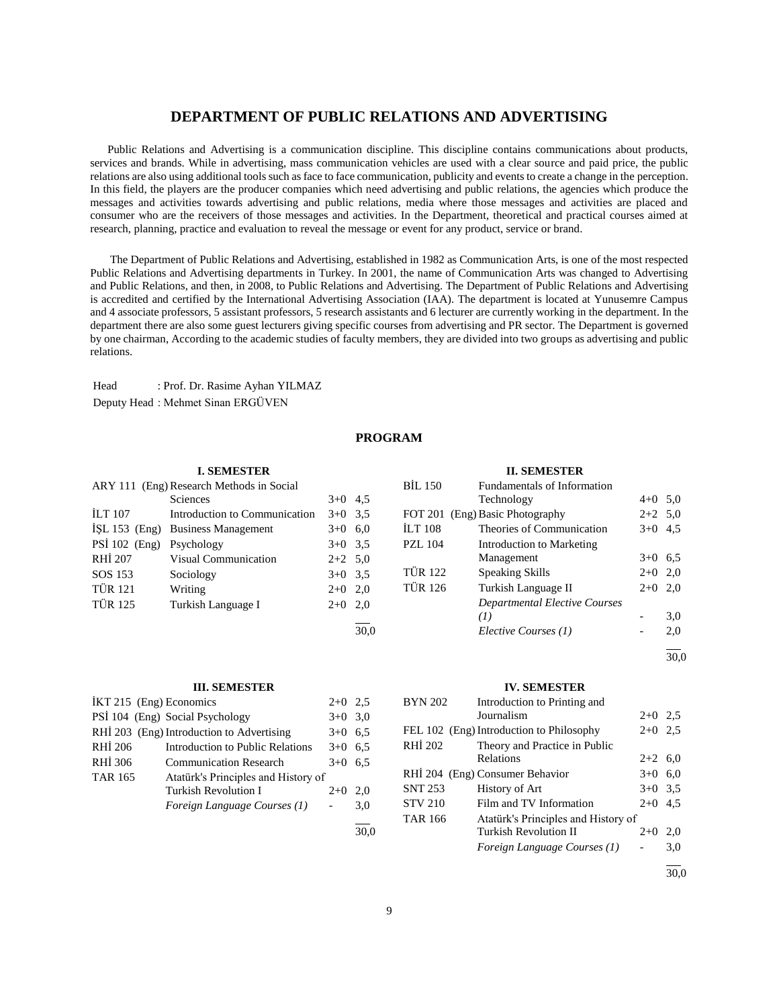# **DEPARTMENT OF PUBLIC RELATIONS AND ADVERTISING**

 Public Relations and Advertising is a communication discipline. This discipline contains communications about products, services and brands. While in advertising, mass communication vehicles are used with a clear source and paid price, the public relations are also using additional tools such as face to face communication, publicity and events to create a change in the perception. In this field, the players are the producer companies which need advertising and public relations, the agencies which produce the messages and activities towards advertising and public relations, media where those messages and activities are placed and consumer who are the receivers of those messages and activities. In the Department, theoretical and practical courses aimed at research, planning, practice and evaluation to reveal the message or event for any product, service or brand.

 The Department of Public Relations and Advertising, established in 1982 as Communication Arts, is one of the most respected Public Relations and Advertising departments in Turkey. In 2001, the name of Communication Arts was changed to Advertising and Public Relations, and then, in 2008, to Public Relations and Advertising. The Department of Public Relations and Advertising is accredited and certified by the International Advertising Association (IAA). The department is located at Yunusemre Campus and 4 associate professors, 5 assistant professors, 5 research assistants and 6 lecturer are currently working in the department. In the department there are also some guest lecturers giving specific courses from advertising and PR sector. The Department is governed by one chairman, According to the academic studies of faculty members, they are divided into two groups as advertising and public relations.

Head : Prof. Dr. Rasime Ayhan YILMAZ Deputy Head : Mehmet Sinan ERGÜVEN

# **PROGRAM**

|                 | <b>I. SEMESTER</b>                       |           |      |                | <b>II. SEMESTER</b>                  |                          |     |
|-----------------|------------------------------------------|-----------|------|----------------|--------------------------------------|--------------------------|-----|
|                 | ARY 111 (Eng) Research Methods in Social |           |      | <b>BIL 150</b> | Fundamentals of Information          |                          |     |
|                 | Sciences                                 | $3+0$ 4.5 |      |                | Technology                           | $4+0$ 5.0                |     |
| <b>ILT 107</b>  | Introduction to Communication            | $3+0$ 3.5 |      |                | FOT 201 (Eng) Basic Photography      | $2+2$ 5.0                |     |
| ISL $153$ (Eng) | <b>Business Management</b>               | $3+0$ 6.0 |      | <b>ILT 108</b> | Theories of Communication            | $3+0$ 4.5                |     |
| PSİ 102 (Eng)   | Psychology                               | $3+0$ 3.5 |      | <b>PZL 104</b> | Introduction to Marketing            |                          |     |
| <b>RHI 207</b>  | <b>Visual Communication</b>              | $2+2$ 5.0 |      |                | Management                           | $3+0$ 6.5                |     |
| SOS 153         | Sociology                                | $3+0$ 3.5 |      | <b>TÜR 122</b> | Speaking Skills                      | $2+0$ 2,0                |     |
| <b>TÜR 121</b>  | Writing                                  | $2+0$ 2,0 |      | <b>TÜR 126</b> | Turkish Language II                  | $2+0$ 2,0                |     |
| <b>TÜR 125</b>  | Turkish Language I                       | $2+0$ 2,0 |      |                | <b>Departmental Elective Courses</b> |                          |     |
|                 |                                          |           |      |                | (1)                                  | $\overline{\phantom{0}}$ | 3,0 |
|                 |                                          |           | 30.0 |                | Elective Courses (1)                 | $\overline{\phantom{0}}$ | 2,0 |

#### **III. SEMESTER**

| İKT 215 (Eng) Economics |                                           | $2+0$ 2.5 |     |
|-------------------------|-------------------------------------------|-----------|-----|
|                         | PSİ 104 (Eng) Social Psychology           | $3+0$ 3.0 |     |
|                         | RHİ 203 (Eng) Introduction to Advertising | $3+0$ 6.5 |     |
| RHI 206                 | Introduction to Public Relations          | $3+0$ 6.5 |     |
| RHI 306                 | <b>Communication Research</b>             | $3+0$     | 6.5 |
| <b>TAR 165</b>          | Atatürk's Principles and History of       |           |     |
|                         | <b>Turkish Revolution I</b>               | $2+0$     | 2.0 |
|                         | Foreign Language Courses (1)              |           | 3.0 |
|                         |                                           |           |     |

#### **IV. SEMESTER**

| <b>BYN 202</b> | Introduction to Printing and             |           |     |
|----------------|------------------------------------------|-----------|-----|
|                | Journalism                               | $2+0$ 2.5 |     |
|                | FEL 102 (Eng) Introduction to Philosophy | $2+0$     | 2.5 |
| RHI 202        | Theory and Practice in Public            |           |     |
|                | Relations                                | $2+2$ 6,0 |     |
|                | RHİ 204 (Eng) Consumer Behavior          | $3+0$     | 6,0 |
| <b>SNT 253</b> | History of Art                           | $3+0$ 3.5 |     |
| <b>STV 210</b> | Film and TV Information                  | $2+0$     | 4.5 |
| <b>TAR 166</b> | Atatürk's Principles and History of      |           |     |
|                | Turkish Revolution II                    | $2+0$     | 2.0 |
|                | Foreign Language Courses (1)             |           | 3,0 |
|                |                                          |           |     |

30,0

l 30,0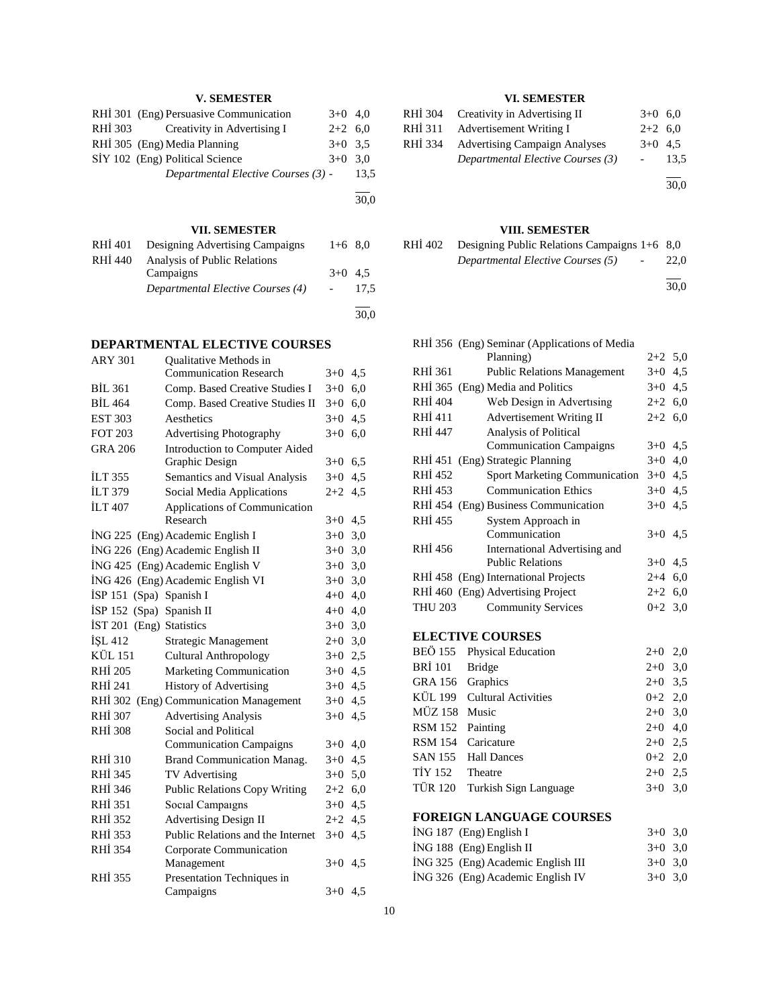# **V. SEMESTER**

|         | RHİ 301 (Eng) Persuasive Communication | $3+0$ 4.0 |      |
|---------|----------------------------------------|-----------|------|
| RHI 303 | Creativity in Advertising I            | $2+2$ 6.0 |      |
|         | RHİ 305 (Eng) Media Planning           | $3+0$ 3.5 |      |
|         | SİY 102 (Eng) Political Science        | $3+0$ 3.0 |      |
|         | Departmental Elective Courses (3) -    |           | 13.5 |
|         |                                        |           |      |

# **VII. SEMESTER**

30,0

| RHI 401 | Designing Advertising Campaigns   | $1+6$ 8.0 |      |
|---------|-----------------------------------|-----------|------|
| RHI 440 | Analysis of Public Relations      |           |      |
|         | Campaigns                         | $3+0$ 4.5 |      |
|         | Departmental Elective Courses (4) |           | 17.5 |
|         |                                   |           |      |
|         |                                   |           | 30.0 |

# **DEPARTMENTAL ELECTIVE COURSES**

| <b>ARY 301</b> | <b>Oualitative Methods in</b>         |           |     |
|----------------|---------------------------------------|-----------|-----|
|                | <b>Communication Research</b>         | $3+0$     | 4,5 |
| <b>BIL 361</b> | Comp. Based Creative Studies I        | $3+0$     | 6,0 |
| BIL 464        | Comp. Based Creative Studies II       | $3+0$     | 6,0 |
| <b>EST 303</b> | Aesthetics                            | $3+0$     | 4,5 |
| <b>FOT 203</b> | <b>Advertising Photography</b>        | $3+0$     | 6,0 |
| <b>GRA 206</b> | <b>Introduction to Computer Aided</b> |           |     |
|                | Graphic Design                        | $3+0$ 6.5 |     |
| <b>ILT 355</b> | Semantics and Visual Analysis         | $3+0$     | 4,5 |
| <b>ILT 379</b> | Social Media Applications             | $2+2$     | 4,5 |
| <b>ILT 407</b> | Applications of Communication         |           |     |
|                | Research                              | $3+0$ 4.5 |     |
|                | İNG 225 (Eng) Academic English I      | $3 + 0$   | 3,0 |
|                | İNG 226 (Eng) Academic English II     | $3+0$     | 3,0 |
|                | ING 425 (Eng) Academic English V      | $3+0$     | 3,0 |
|                | ING 426 (Eng) Academic English VI     | $3+0$     | 3,0 |
| ISP 151        | (Spa) Spanish I                       | $4 + 0$   | 4,0 |
| ISP 152        | (Spa) Spanish II                      | $4 + 0$   | 4,0 |
| <b>IST 201</b> | (Eng) Statistics                      | $3+0$     | 3,0 |
| İŞL 412        | <b>Strategic Management</b>           | $2 + 0$   | 3,0 |
| KÜL 151        | <b>Cultural Anthropology</b>          | $3+0$     | 2,5 |
| <b>RHI 205</b> | Marketing Communication               | $3+0$     | 4,5 |
| RHI 241        | <b>History of Advertising</b>         | $3+0$     | 4.5 |
| RHI 302        | (Eng) Communication Management        | $3+0$     | 4,5 |
| RHI 307        | <b>Advertising Analysis</b>           | $3+0$     | 4,5 |
| <b>RHI 308</b> | Social and Political                  |           |     |
|                | <b>Communication Campaigns</b>        | $3+0$     | 4,0 |
| RHI 310        | <b>Brand Communication Manag.</b>     | $3+0$     | 4,5 |
| RHI 345        | TV Advertising                        | $3 + 0$   | 5,0 |
| RHI 346        | <b>Public Relations Copy Writing</b>  | $2 + 2$   | 6,0 |
| RHI 351        | Social Campaigns                      | $3+0$     | 4,5 |
| RHI 352        | <b>Advertising Design II</b>          | $2 + 2$   | 4,5 |
| RHI 353        | Public Relations and the Internet     | $3+0$     | 4,5 |
| RHI 354        | Corporate Communication               |           |     |
|                | Management                            | $3+0$ 4.5 |     |
| RHI 355        | Presentation Techniques in            |           |     |
|                | Campaigns                             | $3+0$ 4.5 |     |
|                |                                       |           |     |

# **VI. SEMESTER**

|         | RHİ 304 Creativity in Advertising II | $3+0$ 6.0 |      |
|---------|--------------------------------------|-----------|------|
| RHI 311 | Advertisement Writing I              | $2+2$ 6.0 |      |
| RHI 334 | <b>Advertising Campaign Analyses</b> | $3+0$ 4.5 |      |
|         | Departmental Elective Courses (3)    |           | 13.5 |
|         |                                      |           | 30,0 |

**VIII. SEMESTER**

| RHI 402 | Designing Public Relations Campaigns $1+6$ 8,0      |      |
|---------|-----------------------------------------------------|------|
|         | Departmental Elective Courses (5)<br>$\overline{a}$ | 22,0 |

l 30,0

|                         | RHİ 356 (Eng) Seminar (Applications of Media |           |     |  |  |  |
|-------------------------|----------------------------------------------|-----------|-----|--|--|--|
|                         | Planning)                                    | $2+2$ 5,0 |     |  |  |  |
| RHI 361                 | <b>Public Relations Management</b>           | $3+0$     | 4,5 |  |  |  |
|                         | RHİ 365 (Eng) Media and Politics             | $3+0$ 4.5 |     |  |  |  |
| <b>RHI 404</b>          | Web Design in Advertising                    | $2+2$ 6,0 |     |  |  |  |
| RHI 411                 | <b>Advertisement Writing II</b>              | $2+2$ 6,0 |     |  |  |  |
| RHI 447                 | Analysis of Political                        |           |     |  |  |  |
|                         | <b>Communication Campaigns</b>               | $3+0$     | 4,5 |  |  |  |
|                         | RHİ 451 (Eng) Strategic Planning             | $3+0$     | 4,0 |  |  |  |
| RHI 452                 | <b>Sport Marketing Communication</b>         | $3+0$ 4,5 |     |  |  |  |
| <b>RHI 453</b>          | <b>Communication Ethics</b>                  | $3+0$     | 4,5 |  |  |  |
|                         | RHI 454 (Eng) Business Communication         | $3+0$ 4,5 |     |  |  |  |
| RHI 455                 | System Approach in                           |           |     |  |  |  |
|                         | Communication                                | $3+0$     | 4,5 |  |  |  |
| RHI 456                 | International Advertising and                |           |     |  |  |  |
|                         | <b>Public Relations</b>                      | $3+0$ 4.5 |     |  |  |  |
|                         | RHI 458 (Eng) International Projects         | $2 + 4$   | 6,0 |  |  |  |
|                         | RHİ 460 (Eng) Advertising Project            | $2+2$ 6,0 |     |  |  |  |
| <b>THU 203</b>          | <b>Community Services</b>                    | $0 + 2$   | 3,0 |  |  |  |
| <b>ELECTIVE COURSES</b> |                                              |           |     |  |  |  |
| <b>BEÖ 155</b>          | Physical Education                           | $2+0$     | 2,0 |  |  |  |
| <b>BRI</b> 101          | <b>Bridge</b>                                | $2+0$     | 3,0 |  |  |  |
| <b>GRA 156</b>          | Graphics                                     | $2+0$     | 3,5 |  |  |  |
| KÜL 199                 | <b>Cultural Activities</b>                   | $0+2$ 2,0 |     |  |  |  |
| <b>MÜZ 158</b>          | Music                                        | $2+0$     | 3,0 |  |  |  |
| <b>RSM 152</b>          | Painting                                     | $2+0$     | 4,0 |  |  |  |
| <b>RSM 154</b>          | Caricature                                   | $2+0$ 2,5 |     |  |  |  |
| <b>SAN 155</b>          | <b>Hall Dances</b>                           | $0 + 2$   | 2,0 |  |  |  |
| TİY 152                 | Theatre                                      | $2+0$ 2,5 |     |  |  |  |
| <b>TÜR 120</b>          | Turkish Sign Language                        | $3+0$     | 3,0 |  |  |  |
|                         |                                              |           |     |  |  |  |

# **FOREIGN LANGUAGE COURSES**

| $ING 187$ (Eng) English I          | $3+0$ 3.0 |  |
|------------------------------------|-----------|--|
| $ING 188$ (Eng) English II         | $3+0$ 3.0 |  |
| ING 325 (Eng) Academic English III | $3+0$ 3.0 |  |
| ING 326 (Eng) Academic English IV  | $3+0$ 3.0 |  |
|                                    |           |  |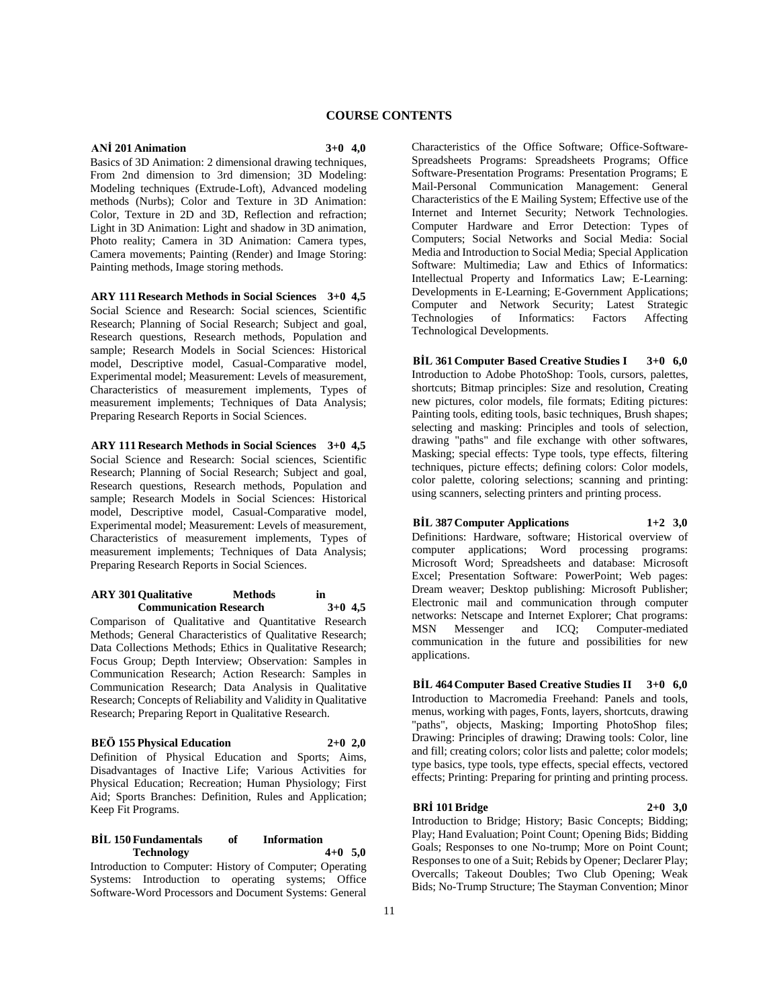# **COURSE CONTENTS**

# **ANİ 201 Animation 3+0 4,0**

Basics of 3D Animation: 2 dimensional drawing techniques, From 2nd dimension to 3rd dimension; 3D Modeling: Modeling techniques (Extrude-Loft), Advanced modeling methods (Nurbs); Color and Texture in 3D Animation: Color, Texture in 2D and 3D, Reflection and refraction; Light in 3D Animation: Light and shadow in 3D animation, Photo reality; Camera in 3D Animation: Camera types, Camera movements; Painting (Render) and Image Storing: Painting methods, Image storing methods.

**ARY 111 Research Methods in Social Sciences 3+0 4,5** Social Science and Research: Social sciences, Scientific Research; Planning of Social Research; Subject and goal, Research questions, Research methods, Population and sample; Research Models in Social Sciences: Historical model, Descriptive model, Casual-Comparative model, Experimental model; Measurement: Levels of measurement, Characteristics of measurement implements, Types of measurement implements; Techniques of Data Analysis; Preparing Research Reports in Social Sciences.

**ARY 111 Research Methods in Social Sciences 3+0 4,5** Social Science and Research: Social sciences, Scientific Research; Planning of Social Research; Subject and goal, Research questions, Research methods, Population and sample; Research Models in Social Sciences: Historical model, Descriptive model, Casual-Comparative model, Experimental model; Measurement: Levels of measurement, Characteristics of measurement implements, Types of measurement implements; Techniques of Data Analysis; Preparing Research Reports in Social Sciences.

# **ARY 301 Qualitative Methods in Communication Research 3+0 4,5**

Comparison of Qualitative and Quantitative Research Methods; General Characteristics of Qualitative Research; Data Collections Methods; Ethics in Qualitative Research; Focus Group; Depth Interview; Observation: Samples in Communication Research; Action Research: Samples in Communication Research; Data Analysis in Qualitative Research; Concepts of Reliability and Validity in Qualitative Research; Preparing Report in Qualitative Research.

# **BEÖ 155 Physical Education 2+0 2,0**

Definition of Physical Education and Sports; Aims, Disadvantages of Inactive Life; Various Activities for Physical Education; Recreation; Human Physiology; First Aid; Sports Branches: Definition, Rules and Application; Keep Fit Programs.

# **BİL 150 Fundamentals of Information Technology 4+0 5,0**

Introduction to Computer: History of Computer; Operating Systems: Introduction to operating systems; Office Software-Word Processors and Document Systems: General

Characteristics of the Office Software; Office-Software-Spreadsheets Programs: Spreadsheets Programs; Office Software-Presentation Programs: Presentation Programs; E Mail-Personal Communication Management: General Characteristics of the E Mailing System; Effective use of the Internet and Internet Security; Network Technologies. Computer Hardware and Error Detection: Types of Computers; Social Networks and Social Media: Social Media and Introduction to Social Media; Special Application Software: Multimedia; Law and Ethics of Informatics: Intellectual Property and Informatics Law; E-Learning: Developments in E-Learning; E-Government Applications; Computer and Network Security; Latest Strategic<br>Technologies of Informatics: Factors Affecting of Informatics: Factors Affecting Technological Developments.

**BİL 361 Computer Based Creative Studies I 3+0 6,0** Introduction to Adobe PhotoShop: Tools, cursors, palettes, shortcuts; Bitmap principles: Size and resolution, Creating new pictures, color models, file formats; Editing pictures: Painting tools, editing tools, basic techniques, Brush shapes; selecting and masking: Principles and tools of selection, drawing "paths" and file exchange with other softwares, Masking; special effects: Type tools, type effects, filtering techniques, picture effects; defining colors: Color models, color palette, coloring selections; scanning and printing: using scanners, selecting printers and printing process.

# **BİL 387 Computer Applications 1+2 3,0**

Definitions: Hardware, software; Historical overview of computer applications; Word processing programs: Microsoft Word; Spreadsheets and database: Microsoft Excel; Presentation Software: PowerPoint; Web pages: Dream weaver; Desktop publishing: Microsoft Publisher; Electronic mail and communication through computer networks: Netscape and Internet Explorer; Chat programs: MSN Messenger and ICQ; Computer-mediated communication in the future and possibilities for new applications.

**BİL 464 Computer Based Creative Studies II 3+0 6,0** Introduction to Macromedia Freehand: Panels and tools, menus, working with pages, Fonts, layers, shortcuts, drawing "paths", objects, Masking; Importing PhotoShop files; Drawing: Principles of drawing; Drawing tools: Color, line and fill; creating colors; color lists and palette; color models; type basics, type tools, type effects, special effects, vectored effects; Printing: Preparing for printing and printing process.

#### **BRİ 101 Bridge 2+0 3,0**

Introduction to Bridge; History; Basic Concepts; Bidding; Play; Hand Evaluation; Point Count; Opening Bids; Bidding Goals; Responses to one No-trump; More on Point Count; Responses to one of a Suit; Rebids by Opener; Declarer Play; Overcalls; Takeout Doubles; Two Club Opening; Weak Bids; No-Trump Structure; The Stayman Convention; Minor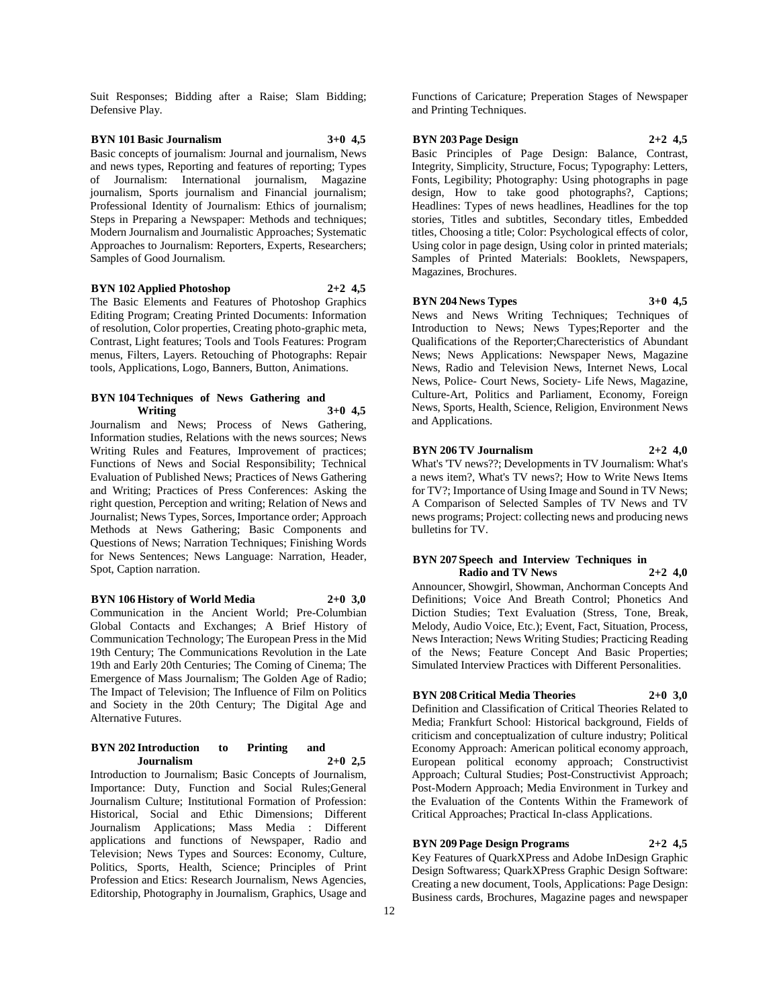Suit Responses; Bidding after a Raise; Slam Bidding; Defensive Play.

# **BYN 101 Basic Journalism 3+0 4,5**

Basic concepts of journalism: Journal and journalism, News and news types, Reporting and features of reporting; Types of Journalism: International journalism, Magazine journalism, Sports journalism and Financial journalism; Professional Identity of Journalism: Ethics of journalism; Steps in Preparing a Newspaper: Methods and techniques; Modern Journalism and Journalistic Approaches; Systematic Approaches to Journalism: Reporters, Experts, Researchers; Samples of Good Journalism.

# **BYN 102 Applied Photoshop 2+2 4,5**

The Basic Elements and Features of Photoshop Graphics Editing Program; Creating Printed Documents: Information of resolution, Color properties, Creating photo-graphic meta, Contrast, Light features; Tools and Tools Features: Program menus, Filters, Layers. Retouching of Photographs: Repair tools, Applications, Logo, Banners, Button, Animations.

# **BYN 104 Techniques of News Gathering and Writing 3+0 4,5**

Journalism and News; Process of News Gathering, Information studies, Relations with the news sources; News Writing Rules and Features, Improvement of practices; Functions of News and Social Responsibility; Technical Evaluation of Published News; Practices of News Gathering and Writing; Practices of Press Conferences: Asking the right question, Perception and writing; Relation of News and Journalist; News Types, Sorces, Importance order; Approach Methods at News Gathering; Basic Components and Questions of News; Narration Techniques; Finishing Words for News Sentences; News Language: Narration, Header, Spot, Caption narration.

#### **BYN 106 History of World Media 2+0 3,0**

Communication in the Ancient World; Pre-Columbian Global Contacts and Exchanges; A Brief History of Communication Technology; The European Press in the Mid 19th Century; The Communications Revolution in the Late 19th and Early 20th Centuries; The Coming of Cinema; The Emergence of Mass Journalism; The Golden Age of Radio; The Impact of Television; The Influence of Film on Politics and Society in the 20th Century; The Digital Age and Alternative Futures.

#### **BYN 202 Introduction to Printing and Journalism 2+0 2,5**

Introduction to Journalism; Basic Concepts of Journalism, Importance: Duty, Function and Social Rules;General Journalism Culture; Institutional Formation of Profession: Historical, Social and Ethic Dimensions; Different Journalism Applications; Mass Media : Different applications and functions of Newspaper, Radio and Television; News Types and Sources: Economy, Culture, Politics, Sports, Health, Science; Principles of Print Profession and Etics: Research Journalism, News Agencies, Editorship, Photography in Journalism, Graphics, Usage and

Functions of Caricature; Preperation Stages of Newspaper and Printing Techniques.

#### **BYN 203 Page Design 2+2 4,5**

Basic Principles of Page Design: Balance, Contrast, Integrity, Simplicity, Structure, Focus; Typography: Letters, Fonts, Legibility; Photography: Using photographs in page design, How to take good photographs?, Captions; Headlines: Types of news headlines, Headlines for the top stories, Titles and subtitles, Secondary titles, Embedded titles, Choosing a title; Color: Psychological effects of color, Using color in page design, Using color in printed materials; Samples of Printed Materials: Booklets, Newspapers, Magazines, Brochures.

#### **BYN 204 News Types 3+0 4,5**

News and News Writing Techniques; Techniques of Introduction to News; News Types;Reporter and the Qualifications of the Reporter;Charecteristics of Abundant News; News Applications: Newspaper News, Magazine News, Radio and Television News, Internet News, Local News, Police- Court News, Society- Life News, Magazine, Culture-Art, Politics and Parliament, Economy, Foreign News, Sports, Health, Science, Religion, Environment News and Applications.

# **BYN 206 TV Journalism 2+2 4,0**

What's 'TV news??; Developments in TV Journalism: What's a news item?, What's TV news?; How to Write News Items for TV?; Importance of Using Image and Sound in TV News; A Comparison of Selected Samples of TV News and TV news programs; Project: collecting news and producing news bulletins for TV.

#### **BYN 207 Speech and Interview Techniques in Radio and TV News 2+2 4,0**

Announcer, Showgirl, Showman, Anchorman Concepts And Definitions; Voice And Breath Control; Phonetics And Diction Studies; Text Evaluation (Stress, Tone, Break, Melody, Audio Voice, Etc.); Event, Fact, Situation, Process, News Interaction; News Writing Studies; Practicing Reading of the News; Feature Concept And Basic Properties; Simulated Interview Practices with Different Personalities.

# **BYN 208 Critical Media Theories 2+0 3,0**

Definition and Classification of Critical Theories Related to Media; Frankfurt School: Historical background, Fields of criticism and conceptualization of culture industry; Political Economy Approach: American political economy approach, European political economy approach; Constructivist Approach; Cultural Studies; Post-Constructivist Approach; Post-Modern Approach; Media Environment in Turkey and the Evaluation of the Contents Within the Framework of Critical Approaches; Practical In-class Applications.

#### **BYN 209 Page Design Programs 2+2 4,5**

Key Features of QuarkXPress and Adobe InDesign Graphic Design Softwaress; QuarkXPress Graphic Design Software: Creating a new document, Tools, Applications: Page Design: Business cards, Brochures, Magazine pages and newspaper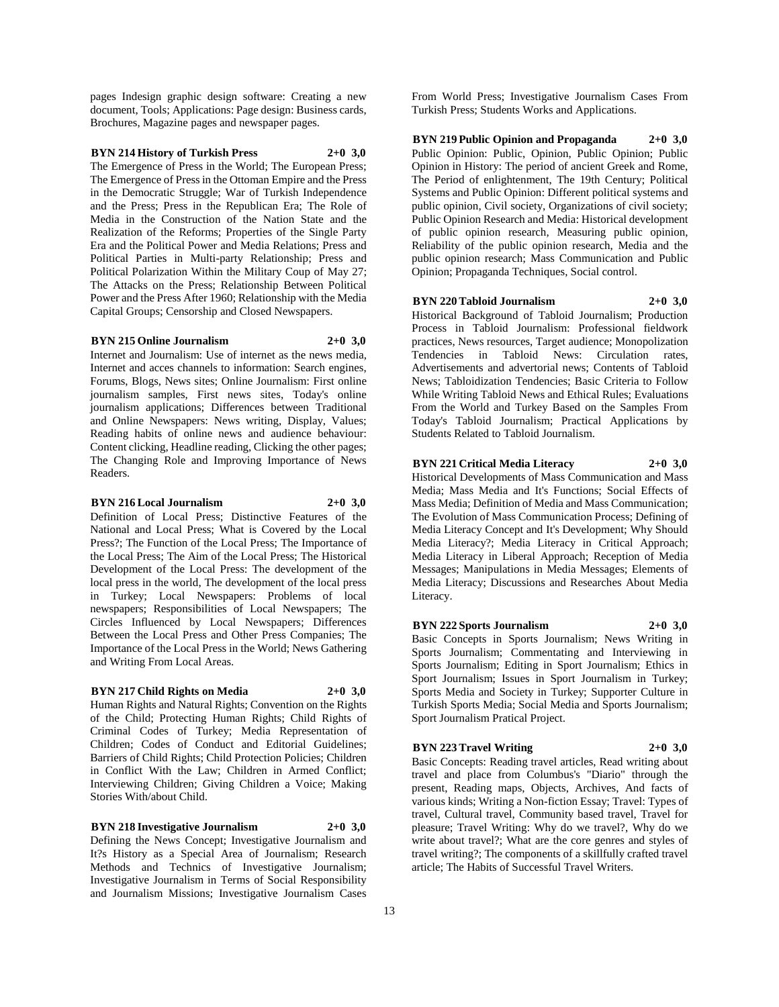pages Indesign graphic design software: Creating a new document, Tools; Applications: Page design: Business cards, Brochures, Magazine pages and newspaper pages.

# **BYN 214 History of Turkish Press 2+0 3,0**

The Emergence of Press in the World; The European Press; The Emergence of Press in the Ottoman Empire and the Press in the Democratic Struggle; War of Turkish Independence and the Press; Press in the Republican Era; The Role of Media in the Construction of the Nation State and the Realization of the Reforms; Properties of the Single Party Era and the Political Power and Media Relations; Press and Political Parties in Multi-party Relationship; Press and Political Polarization Within the Military Coup of May 27; The Attacks on the Press; Relationship Between Political Power and the Press After 1960; Relationship with the Media Capital Groups; Censorship and Closed Newspapers.

#### **BYN 215 Online Journalism 2+0 3,0**

Internet and Journalism: Use of internet as the news media, Internet and acces channels to information: Search engines, Forums, Blogs, News sites; Online Journalism: First online journalism samples, First news sites, Today's online journalism applications; Differences between Traditional and Online Newspapers: News writing, Display, Values; Reading habits of online news and audience behaviour: Content clicking, Headline reading, Clicking the other pages; The Changing Role and Improving Importance of News Readers.

#### **BYN 216 Local Journalism 2+0 3,0**

Definition of Local Press; Distinctive Features of the National and Local Press; What is Covered by the Local Press?; The Function of the Local Press; The Importance of the Local Press; The Aim of the Local Press; The Historical Development of the Local Press: The development of the local press in the world, The development of the local press in Turkey; Local Newspapers: Problems of local newspapers; Responsibilities of Local Newspapers; The Circles Influenced by Local Newspapers; Differences Between the Local Press and Other Press Companies; The Importance of the Local Press in the World; News Gathering and Writing From Local Areas.

# **BYN 217 Child Rights on Media 2+0 3,0**

Human Rights and Natural Rights; Convention on the Rights of the Child; Protecting Human Rights; Child Rights of Criminal Codes of Turkey; Media Representation of Children; Codes of Conduct and Editorial Guidelines; Barriers of Child Rights; Child Protection Policies; Children in Conflict With the Law; Children in Armed Conflict; Interviewing Children; Giving Children a Voice; Making Stories With/about Child.

# **BYN 218 Investigative Journalism 2+0 3,0**

Defining the News Concept; Investigative Journalism and It?s History as a Special Area of Journalism; Research Methods and Technics of Investigative Journalism; Investigative Journalism in Terms of Social Responsibility and Journalism Missions; Investigative Journalism Cases From World Press; Investigative Journalism Cases From Turkish Press; Students Works and Applications.

**BYN 219 Public Opinion and Propaganda 2+0 3,0** Public Opinion: Public, Opinion, Public Opinion; Public Opinion in History: The period of ancient Greek and Rome, The Period of enlightenment, The 19th Century; Political Systems and Public Opinion: Different political systems and public opinion, Civil society, Organizations of civil society; Public Opinion Research and Media: Historical development of public opinion research, Measuring public opinion, Reliability of the public opinion research, Media and the public opinion research; Mass Communication and Public Opinion; Propaganda Techniques, Social control.

#### **BYN 220 Tabloid Journalism 2+0 3,0**

Historical Background of Tabloid Journalism; Production Process in Tabloid Journalism: Professional fieldwork practices, News resources, Target audience; Monopolization Tendencies in Tabloid News: Circulation rates, Advertisements and advertorial news; Contents of Tabloid News; Tabloidization Tendencies; Basic Criteria to Follow While Writing Tabloid News and Ethical Rules; Evaluations From the World and Turkey Based on the Samples From Today's Tabloid Journalism; Practical Applications by Students Related to Tabloid Journalism.

### **BYN 221 Critical Media Literacy 2+0 3,0**

Historical Developments of Mass Communication and Mass Media; Mass Media and It's Functions; Social Effects of Mass Media; Definition of Media and Mass Communication; The Evolution of Mass Communication Process; Defining of Media Literacy Concept and It's Development; Why Should Media Literacy?; Media Literacy in Critical Approach; Media Literacy in Liberal Approach; Reception of Media Messages; Manipulations in Media Messages; Elements of Media Literacy; Discussions and Researches About Media Literacy.

#### **BYN 222 Sports Journalism 2+0 3,0**

Basic Concepts in Sports Journalism; News Writing in Sports Journalism; Commentating and Interviewing in Sports Journalism; Editing in Sport Journalism; Ethics in Sport Journalism; Issues in Sport Journalism in Turkey; Sports Media and Society in Turkey; Supporter Culture in Turkish Sports Media; Social Media and Sports Journalism; Sport Journalism Pratical Project.

# **BYN 223 Travel Writing 2+0 3,0**

Basic Concepts: Reading travel articles, Read writing about travel and place from Columbus's "Diario" through the present, Reading maps, Objects, Archives, And facts of various kinds; Writing a Non-fiction Essay; Travel: Types of travel, Cultural travel, Community based travel, Travel for pleasure; Travel Writing: Why do we travel?, Why do we write about travel?; What are the core genres and styles of travel writing?; The components of a skillfully crafted travel article; The Habits of Successful Travel Writers.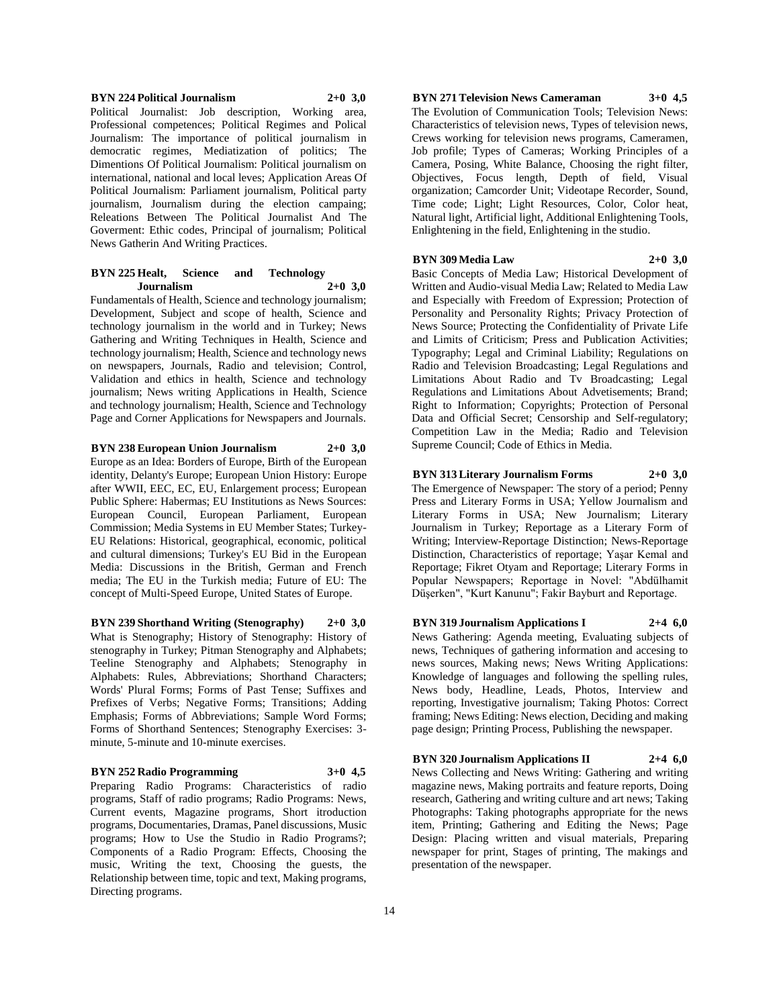## **BYN 224 Political Journalism 2+0 3,0** Political Journalist: Job description, Working area, Professional competences; Political Regimes and Polical Journalism: The importance of political journalism in democratic regimes, Mediatization of politics; The Dimentions Of Political Journalism: Political journalism on international, national and local leves; Application Areas Of Political Journalism: Parliament journalism, Political party journalism, Journalism during the election campaing; Releations Between The Political Journalist And The Goverment: Ethic codes, Principal of journalism; Political News Gatherin And Writing Practices.

#### **BYN 225 Healt, Science and Technology Journalism 2+0 3,0**

Fundamentals of Health, Science and technology journalism; Development, Subject and scope of health, Science and technology journalism in the world and in Turkey; News Gathering and Writing Techniques in Health, Science and technology journalism; Health, Science and technology news on newspapers, Journals, Radio and television; Control, Validation and ethics in health, Science and technology journalism; News writing Applications in Health, Science and technology journalism; Health, Science and Technology Page and Corner Applications for Newspapers and Journals.

# **BYN 238 European Union Journalism 2+0 3,0**

Europe as an Idea: Borders of Europe, Birth of the European identity, Delanty's Europe; European Union History: Europe after WWII, EEC, EC, EU, Enlargement process; European Public Sphere: Habermas; EU Institutions as News Sources: European Council, European Parliament, European Commission; Media Systems in EU Member States; Turkey-EU Relations: Historical, geographical, economic, political and cultural dimensions; Turkey's EU Bid in the European Media: Discussions in the British, German and French media; The EU in the Turkish media; Future of EU: The concept of Multi-Speed Europe, United States of Europe.

**BYN 239 Shorthand Writing (Stenography) 2+0 3,0** What is Stenography; History of Stenography: History of stenography in Turkey; Pitman Stenography and Alphabets; Teeline Stenography and Alphabets; Stenography in Alphabets: Rules, Abbreviations; Shorthand Characters; Words' Plural Forms; Forms of Past Tense; Suffixes and Prefixes of Verbs; Negative Forms; Transitions; Adding Emphasis; Forms of Abbreviations; Sample Word Forms; Forms of Shorthand Sentences; Stenography Exercises: 3 minute, 5-minute and 10-minute exercises.

#### **BYN 252 Radio Programming 3+0 4,5**

Preparing Radio Programs: Characteristics of radio programs, Staff of radio programs; Radio Programs: News, Current events, Magazine programs, Short itroduction programs, Documentaries, Dramas, Panel discussions, Music programs; How to Use the Studio in Radio Programs?; Components of a Radio Program: Effects, Choosing the music, Writing the text, Choosing the guests, the Relationship between time, topic and text, Making programs, Directing programs.

# **BYN 271 Television News Cameraman 3+0 4,5**

The Evolution of Communication Tools; Television News: Characteristics of television news, Types of television news, Crews working for television news programs, Cameramen, Job profile; Types of Cameras; Working Principles of a Camera, Posing, White Balance, Choosing the right filter, Objectives, Focus length, Depth of field, Visual organization; Camcorder Unit; Videotape Recorder, Sound, Time code; Light; Light Resources, Color, Color heat, Natural light, Artificial light, Additional Enlightening Tools, Enlightening in the field, Enlightening in the studio.

#### **BYN 309 Media Law 2+0 3,0**

Basic Concepts of Media Law; Historical Development of Written and Audio-visual Media Law; Related to Media Law and Especially with Freedom of Expression; Protection of Personality and Personality Rights; Privacy Protection of News Source; Protecting the Confidentiality of Private Life and Limits of Criticism; Press and Publication Activities; Typography; Legal and Criminal Liability; Regulations on Radio and Television Broadcasting; Legal Regulations and Limitations About Radio and Tv Broadcasting; Legal Regulations and Limitations About Advetisements; Brand; Right to Information; Copyrights; Protection of Personal Data and Official Secret; Censorship and Self-regulatory; Competition Law in the Media; Radio and Television Supreme Council; Code of Ethics in Media.

#### **BYN 313 Literary Journalism Forms 2+0 3,0**

The Emergence of Newspaper: The story of a period; Penny Press and Literary Forms in USA; Yellow Journalism and Literary Forms in USA; New Journalism; Literary Journalism in Turkey; Reportage as a Literary Form of Writing; Interview-Reportage Distinction; News-Reportage Distinction, Characteristics of reportage; Yaşar Kemal and Reportage; Fikret Otyam and Reportage; Literary Forms in Popular Newspapers; Reportage in Novel: "Abdülhamit Düşerken", "Kurt Kanunu"; Fakir Bayburt and Reportage.

# **BYN 319 Journalism Applications I 2+4 6,0**

News Gathering: Agenda meeting, Evaluating subjects of news, Techniques of gathering information and accesing to news sources, Making news; News Writing Applications: Knowledge of languages and following the spelling rules, News body, Headline, Leads, Photos, Interview and reporting, Investigative journalism; Taking Photos: Correct framing; News Editing: News election, Deciding and making page design; Printing Process, Publishing the newspaper.

**BYN 320 Journalism Applications II 2+4 6,0** News Collecting and News Writing: Gathering and writing magazine news, Making portraits and feature reports, Doing research, Gathering and writing culture and art news; Taking Photographs: Taking photographs appropriate for the news item, Printing; Gathering and Editing the News; Page Design: Placing written and visual materials, Preparing newspaper for print, Stages of printing, The makings and presentation of the newspaper.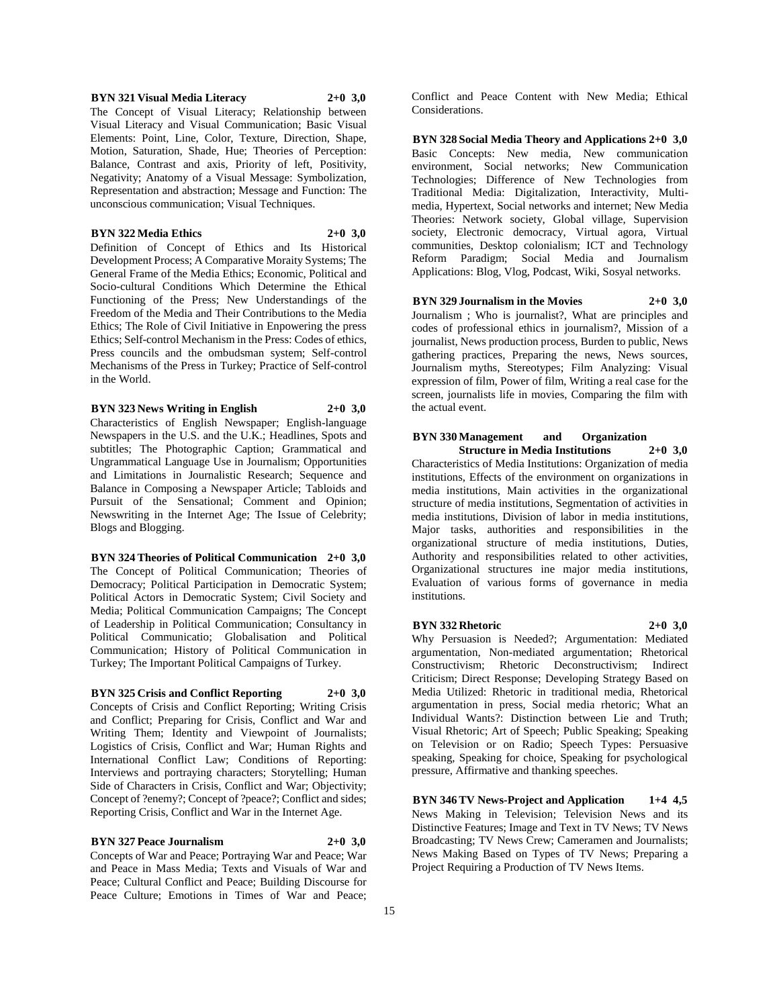#### **BYN 321 Visual Media Literacy 2+0 3,0**

The Concept of Visual Literacy; Relationship between Visual Literacy and Visual Communication; Basic Visual Elements: Point, Line, Color, Texture, Direction, Shape, Motion, Saturation, Shade, Hue; Theories of Perception: Balance, Contrast and axis, Priority of left, Positivity, Negativity; Anatomy of a Visual Message: Symbolization, Representation and abstraction; Message and Function: The unconscious communication; Visual Techniques.

# **BYN 322 Media Ethics 2+0 3,0**

Definition of Concept of Ethics and Its Historical Development Process; A Comparative Moraity Systems; The General Frame of the Media Ethics; Economic, Political and Socio-cultural Conditions Which Determine the Ethical Functioning of the Press; New Understandings of the Freedom of the Media and Their Contributions to the Media Ethics; The Role of Civil Initiative in Enpowering the press Ethics; Self-control Mechanism in the Press: Codes of ethics, Press councils and the ombudsman system; Self-control Mechanisms of the Press in Turkey; Practice of Self-control in the World.

**BYN 323 News Writing in English 2+0 3,0**

Characteristics of English Newspaper; English-language Newspapers in the U.S. and the U.K.; Headlines, Spots and subtitles; The Photographic Caption; Grammatical and Ungrammatical Language Use in Journalism; Opportunities and Limitations in Journalistic Research; Sequence and Balance in Composing a Newspaper Article; Tabloids and Pursuit of the Sensational; Comment and Opinion; Newswriting in the Internet Age; The Issue of Celebrity; Blogs and Blogging.

**BYN 324 Theories of Political Communication 2+0 3,0** The Concept of Political Communication; Theories of Democracy; Political Participation in Democratic System; Political Actors in Democratic System; Civil Society and Media; Political Communication Campaigns; The Concept of Leadership in Political Communication; Consultancy in Political Communicatio; Globalisation and Political Communication; History of Political Communication in Turkey; The Important Political Campaigns of Turkey.

**BYN 325 Crisis and Conflict Reporting 2+0 3,0** Concepts of Crisis and Conflict Reporting; Writing Crisis and Conflict; Preparing for Crisis, Conflict and War and Writing Them; Identity and Viewpoint of Journalists; Logistics of Crisis, Conflict and War; Human Rights and International Conflict Law; Conditions of Reporting: Interviews and portraying characters; Storytelling; Human Side of Characters in Crisis, Conflict and War; Objectivity; Concept of ?enemy?; Concept of ?peace?; Conflict and sides; Reporting Crisis, Conflict and War in the Internet Age.

#### **BYN 327 Peace Journalism 2+0 3,0**

Concepts of War and Peace; Portraying War and Peace; War and Peace in Mass Media; Texts and Visuals of War and Peace; Cultural Conflict and Peace; Building Discourse for Peace Culture; Emotions in Times of War and Peace;

Conflict and Peace Content with New Media; Ethical Considerations.

**BYN 328 Social Media Theory and Applications 2+0 3,0** Basic Concepts: New media, New communication environment, Social networks; New Communication Technologies; Difference of New Technologies from Traditional Media: Digitalization, Interactivity, Multimedia, Hypertext, Social networks and internet; New Media Theories: Network society, Global village, Supervision society, Electronic democracy, Virtual agora, Virtual communities, Desktop colonialism; ICT and Technology Reform Paradigm; Social Media and Journalism Applications: Blog, Vlog, Podcast, Wiki, Sosyal networks.

**BYN 329 Journalism in the Movies 2+0 3,0** Journalism ; Who is journalist?, What are principles and

codes of professional ethics in journalism?, Mission of a journalist, News production process, Burden to public, News gathering practices, Preparing the news, News sources, Journalism myths, Stereotypes; Film Analyzing: Visual expression of film, Power of film, Writing a real case for the screen, journalists life in movies, Comparing the film with the actual event.

#### **BYN 330 Management and Organization Structure in Media Institutions 2+0 3,0**

Characteristics of Media Institutions: Organization of media institutions, Effects of the environment on organizations in media institutions, Main activities in the organizational structure of media institutions, Segmentation of activities in media institutions, Division of labor in media institutions, Major tasks, authorities and responsibilities in the organizational structure of media institutions, Duties, Authority and responsibilities related to other activities, Organizational structures ine major media institutions, Evaluation of various forms of governance in media institutions.

#### **BYN 332 Rhetoric 2+0 3,0**

Why Persuasion is Needed?; Argumentation: Mediated argumentation, Non-mediated argumentation; Rhetorical Constructivism; Rhetoric Deconstructivism; Indirect Criticism; Direct Response; Developing Strategy Based on Media Utilized: Rhetoric in traditional media, Rhetorical argumentation in press, Social media rhetoric; What an Individual Wants?: Distinction between Lie and Truth; Visual Rhetoric; Art of Speech; Public Speaking; Speaking on Television or on Radio; Speech Types: Persuasive speaking, Speaking for choice, Speaking for psychological pressure, Affirmative and thanking speeches.

**BYN 346 TV News-Project and Application 1+4 4,5** News Making in Television; Television News and its Distinctive Features; Image and Text in TV News; TV News Broadcasting; TV News Crew; Cameramen and Journalists; News Making Based on Types of TV News; Preparing a Project Requiring a Production of TV News Items.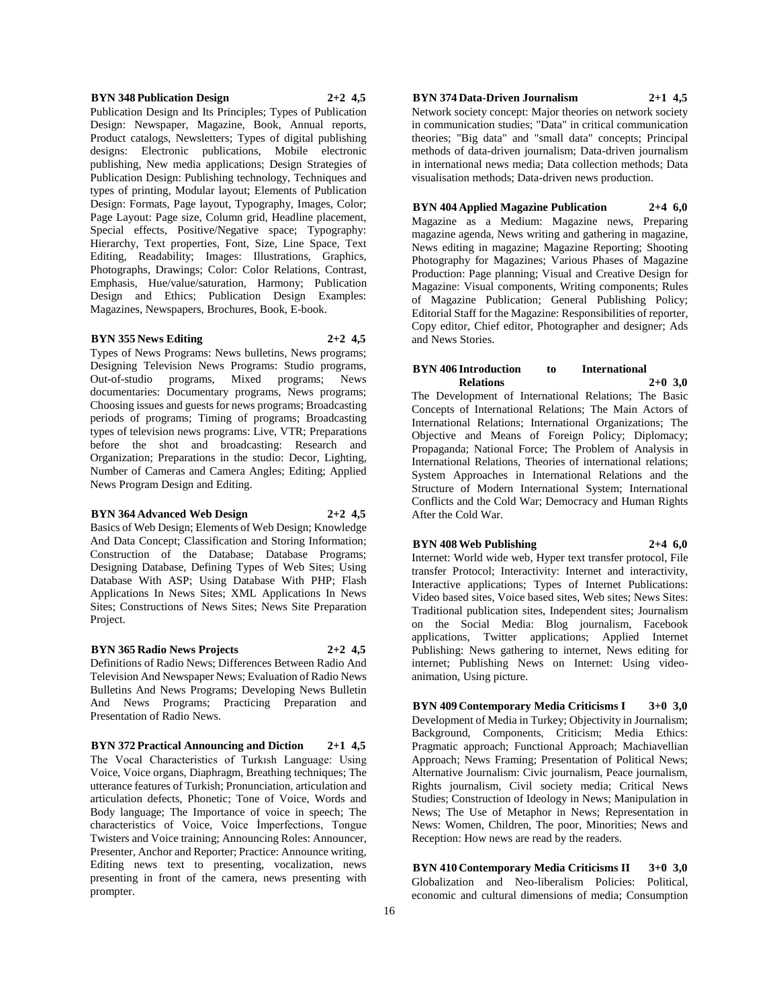#### **BYN 348 Publication Design 2+2 4,5**

Publication Design and Its Principles; Types of Publication Design: Newspaper, Magazine, Book, Annual reports, Product catalogs, Newsletters; Types of digital publishing designs: Electronic publications, Mobile electronic publishing, New media applications; Design Strategies of Publication Design: Publishing technology, Techniques and types of printing, Modular layout; Elements of Publication Design: Formats, Page layout, Typography, Images, Color; Page Layout: Page size, Column grid, Headline placement, Special effects, Positive/Negative space; Typography: Hierarchy, Text properties, Font, Size, Line Space, Text Editing, Readability; Images: Illustrations, Graphics, Photographs, Drawings; Color: Color Relations, Contrast, Emphasis, Hue/value/saturation, Harmony; Publication Design and Ethics; Publication Design Examples: Magazines, Newspapers, Brochures, Book, E-book.

#### **BYN 355 News Editing 2+2 4,5**

Types of News Programs: News bulletins, News programs; Designing Television News Programs: Studio programs, Out-of-studio programs, Mixed programs; News documentaries: Documentary programs, News programs; Choosing issues and guests for news programs; Broadcasting periods of programs; Timing of programs; Broadcasting types of television news programs: Live, VTR; Preparations before the shot and broadcasting: Research and Organization; Preparations in the studio: Decor, Lighting, Number of Cameras and Camera Angles; Editing; Applied News Program Design and Editing.

# **BYN 364 Advanced Web Design 2+2 4,5**

Basics of Web Design; Elements of Web Design; Knowledge And Data Concept: Classification and Storing Information: Construction of the Database; Database Programs; Designing Database, Defining Types of Web Sites; Using Database With ASP; Using Database With PHP; Flash Applications In News Sites; XML Applications In News Sites; Constructions of News Sites; News Site Preparation Project.

# **BYN 365 Radio News Projects 2+2 4,5**

Definitions of Radio News; Differences Between Radio And Television And Newspaper News; Evaluation of Radio News Bulletins And News Programs; Developing News Bulletin And News Programs; Practicing Preparation and Presentation of Radio News.

**BYN 372 Practical Announcing and Diction 2+1 4,5** The Vocal Characteristics of Turkısh Language: Using Voice, Voice organs, Diaphragm, Breathing techniques; The utterance features of Turkish; Pronunciation, articulation and articulation defects, Phonetic; Tone of Voice, Words and Body language; The Importance of voice in speech; The characteristics of Voice, Voice İmperfections, Tongue Twisters and Voice training; Announcing Roles: Announcer, Presenter, Anchor and Reporter; Practice: Announce writing, Editing news text to presenting, vocalization, news presenting in front of the camera, news presenting with prompter.

#### **BYN 374 Data-Driven Journalism 2+1 4,5**

Network society concept: Major theories on network society in communication studies; "Data" in critical communication theories; "Big data" and "small data" concepts; Principal methods of data-driven journalism; Data-driven journalism in international news media; Data collection methods; Data visualisation methods; Data-driven news production.

#### **BYN 404 Applied Magazine Publication 2+4 6,0**

Magazine as a Medium: Magazine news, Preparing magazine agenda, News writing and gathering in magazine, News editing in magazine; Magazine Reporting; Shooting Photography for Magazines; Various Phases of Magazine Production: Page planning; Visual and Creative Design for Magazine: Visual components, Writing components; Rules of Magazine Publication; General Publishing Policy; Editorial Staff for the Magazine: Responsibilities of reporter, Copy editor, Chief editor, Photographer and designer; Ads and News Stories.

#### **BYN 406 Introduction to International Relations 2+0 3,0**

The Development of International Relations; The Basic Concepts of International Relations; The Main Actors of International Relations; International Organizations; The Objective and Means of Foreign Policy; Diplomacy; Propaganda; National Force; The Problem of Analysis in International Relations, Theories of international relations; System Approaches in International Relations and the Structure of Modern International System; International Conflicts and the Cold War; Democracy and Human Rights After the Cold War.

# **BYN 408 Web Publishing 2+4 6,0**

Internet: World wide web, Hyper text transfer protocol, File transfer Protocol; Interactivity: Internet and interactivity, Interactive applications; Types of Internet Publications: Video based sites, Voice based sites, Web sites; News Sites: Traditional publication sites, Independent sites; Journalism on the Social Media: Blog journalism, Facebook applications, Twitter applications; Applied Internet Publishing: News gathering to internet, News editing for internet; Publishing News on Internet: Using videoanimation, Using picture.

**BYN 409 Contemporary Media Criticisms I 3+0 3,0** Development of Media in Turkey; Objectivity in Journalism; Background, Components, Criticism; Media Ethics: Pragmatic approach; Functional Approach; Machiavellian Approach; News Framing; Presentation of Political News; Alternative Journalism: Civic journalism, Peace journalism, Rights journalism, Civil society media; Critical News Studies; Construction of Ideology in News; Manipulation in News; The Use of Metaphor in News; Representation in News: Women, Children, The poor, Minorities; News and Reception: How news are read by the readers.

**BYN 410 Contemporary Media Criticisms II 3+0 3,0** Globalization and Neo-liberalism Policies: Political, economic and cultural dimensions of media; Consumption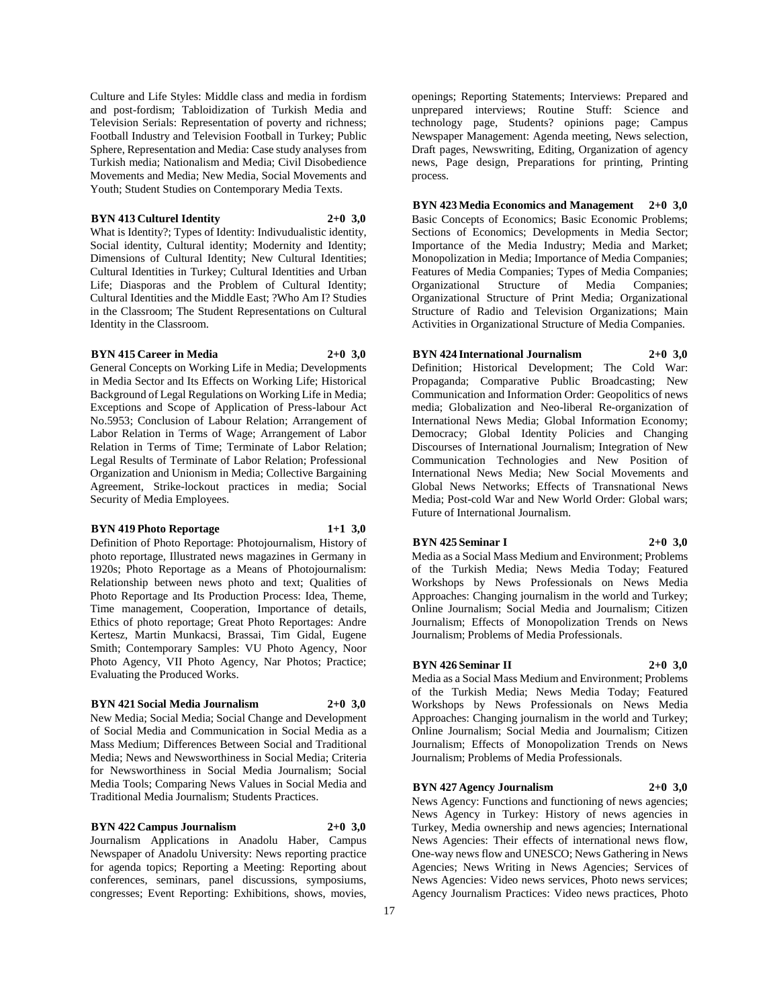Culture and Life Styles: Middle class and media in fordism and post-fordism; Tabloidization of Turkish Media and Television Serials: Representation of poverty and richness; Football Industry and Television Football in Turkey; Public Sphere, Representation and Media: Case study analyses from Turkish media; Nationalism and Media; Civil Disobedience Movements and Media; New Media, Social Movements and Youth; Student Studies on Contemporary Media Texts.

#### **BYN 413 Culturel Identity 2+0 3,0**

What is Identity?; Types of Identity: Indivudualistic identity, Social identity, Cultural identity; Modernity and Identity; Dimensions of Cultural Identity; New Cultural Identities; Cultural Identities in Turkey; Cultural Identities and Urban Life; Diasporas and the Problem of Cultural Identity; Cultural Identities and the Middle East; ?Who Am I? Studies in the Classroom; The Student Representations on Cultural Identity in the Classroom.

#### **BYN 415 Career in Media 2+0 3,0**

General Concepts on Working Life in Media; Developments in Media Sector and Its Effects on Working Life; Historical Background of Legal Regulations on Working Life in Media; Exceptions and Scope of Application of Press-labour Act No.5953; Conclusion of Labour Relation; Arrangement of Labor Relation in Terms of Wage; Arrangement of Labor Relation in Terms of Time; Terminate of Labor Relation; Legal Results of Terminate of Labor Relation; Professional Organization and Unionism in Media; Collective Bargaining Agreement, Strike-lockout practices in media; Social Security of Media Employees.

# **BYN 419 Photo Reportage 1+1 3,0**

Definition of Photo Reportage: Photojournalism, History of photo reportage, Illustrated news magazines in Germany in 1920s; Photo Reportage as a Means of Photojournalism: Relationship between news photo and text; Qualities of Photo Reportage and Its Production Process: Idea, Theme, Time management, Cooperation, Importance of details, Ethics of photo reportage; Great Photo Reportages: Andre Kertesz, Martin Munkacsi, Brassai, Tim Gidal, Eugene Smith; Contemporary Samples: VU Photo Agency, Noor Photo Agency, VII Photo Agency, Nar Photos; Practice; Evaluating the Produced Works.

#### **BYN 421 Social Media Journalism 2+0 3,0**

New Media; Social Media; Social Change and Development of Social Media and Communication in Social Media as a Mass Medium; Differences Between Social and Traditional Media; News and Newsworthiness in Social Media; Criteria for Newsworthiness in Social Media Journalism; Social Media Tools; Comparing News Values in Social Media and Traditional Media Journalism; Students Practices.

# **BYN 422 Campus Journalism 2+0 3,0**

Journalism Applications in Anadolu Haber, Campus Newspaper of Anadolu University: News reporting practice for agenda topics; Reporting a Meeting: Reporting about conferences, seminars, panel discussions, symposiums, congresses; Event Reporting: Exhibitions, shows, movies, openings; Reporting Statements; Interviews: Prepared and unprepared interviews; Routine Stuff: Science and technology page, Students? opinions page; Campus Newspaper Management: Agenda meeting, News selection, Draft pages, Newswriting, Editing, Organization of agency news, Page design, Preparations for printing, Printing process.

**BYN 423 Media Economics and Management 2+0 3,0** Basic Concepts of Economics; Basic Economic Problems; Sections of Economics; Developments in Media Sector; Importance of the Media Industry; Media and Market; Monopolization in Media; Importance of Media Companies; Features of Media Companies; Types of Media Companies; Organizational Structure of Media Companies; Organizational Structure of Print Media; Organizational Structure of Radio and Television Organizations; Main Activities in Organizational Structure of Media Companies.

# **BYN 424 International Journalism 2+0 3,0**

Definition; Historical Development; The Cold War: Propaganda; Comparative Public Broadcasting; New Communication and Information Order: Geopolitics of news media; Globalization and Neo-liberal Re-organization of International News Media; Global Information Economy; Democracy; Global Identity Policies and Changing Discourses of International Journalism; Integration of New Communication Technologies and New Position of International News Media; New Social Movements and Global News Networks; Effects of Transnational News Media; Post-cold War and New World Order: Global wars; Future of International Journalism.

#### **BYN 425 Seminar I 2+0 3,0**

Media as a Social Mass Medium and Environment; Problems of the Turkish Media; News Media Today; Featured Workshops by News Professionals on News Media Approaches: Changing journalism in the world and Turkey; Online Journalism; Social Media and Journalism; Citizen Journalism; Effects of Monopolization Trends on News Journalism; Problems of Media Professionals.

#### **BYN 426 Seminar II 2+0 3,0**

Media as a Social Mass Medium and Environment; Problems of the Turkish Media; News Media Today; Featured Workshops by News Professionals on News Media Approaches: Changing journalism in the world and Turkey; Online Journalism; Social Media and Journalism; Citizen Journalism; Effects of Monopolization Trends on News Journalism; Problems of Media Professionals.

#### **BYN 427 Agency Journalism 2+0 3,0**

News Agency: Functions and functioning of news agencies; News Agency in Turkey: History of news agencies in Turkey, Media ownership and news agencies; International News Agencies: Their effects of international news flow, One-way news flow and UNESCO; News Gathering in News Agencies; News Writing in News Agencies; Services of News Agencies: Video news services, Photo news services; Agency Journalism Practices: Video news practices, Photo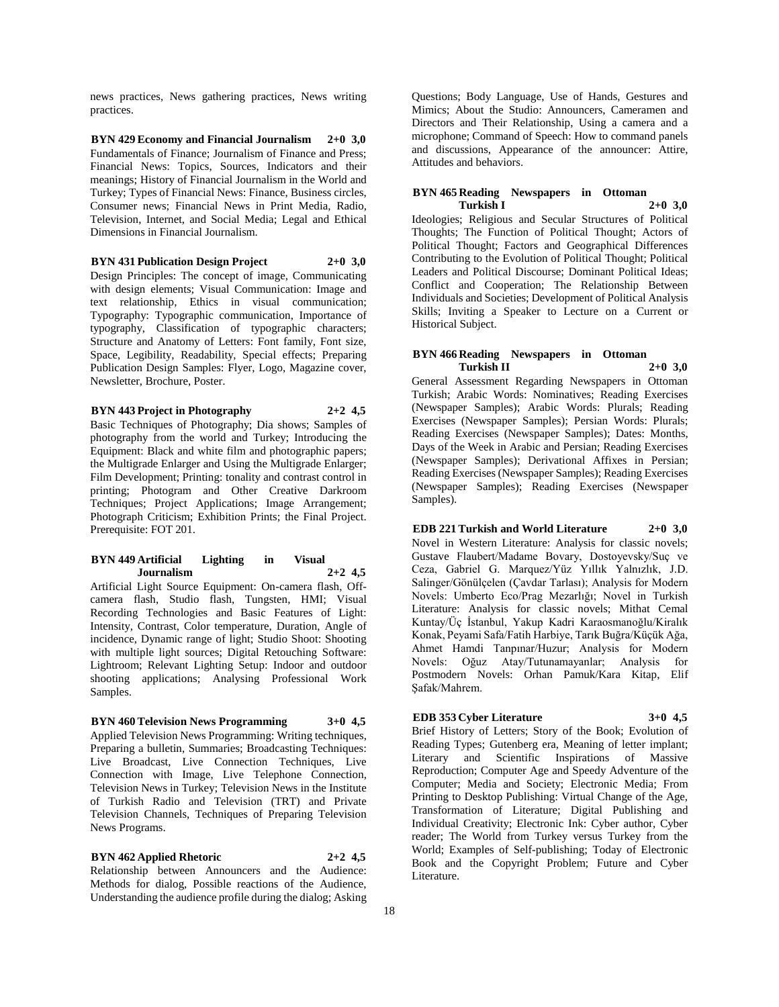news practices, News gathering practices, News writing practices.

**BYN 429 Economy and Financial Journalism 2+0 3,0** Fundamentals of Finance; Journalism of Finance and Press; Financial News: Topics, Sources, Indicators and their meanings; History of Financial Journalism in the World and Turkey; Types of Financial News: Finance, Business circles, Consumer news; Financial News in Print Media, Radio, Television, Internet, and Social Media; Legal and Ethical Dimensions in Financial Journalism.

**BYN 431 Publication Design Project 2+0 3,0** Design Principles: The concept of image, Communicating with design elements; Visual Communication: Image and text relationship, Ethics in visual communication; Typography: Typographic communication, Importance of typography, Classification of typographic characters; Structure and Anatomy of Letters: Font family, Font size, Space, Legibility, Readability, Special effects; Preparing Publication Design Samples: Flyer, Logo, Magazine cover, Newsletter, Brochure, Poster.

**BYN 443 Project in Photography 2+2 4,5** Basic Techniques of Photography; Dia shows; Samples of photography from the world and Turkey; Introducing the Equipment: Black and white film and photographic papers; the Multigrade Enlarger and Using the Multigrade Enlarger; Film Development; Printing: tonality and contrast control in printing; Photogram and Other Creative Darkroom Techniques; Project Applications; Image Arrangement; Photograph Criticism; Exhibition Prints; the Final Project. Prerequisite: FOT 201.

#### **BYN 449 Artificial Lighting in Visual Journalism 2+2 4,5**

Artificial Light Source Equipment: On-camera flash, Offcamera flash, Studio flash, Tungsten, HMI; Visual Recording Technologies and Basic Features of Light: Intensity, Contrast, Color temperature, Duration, Angle of incidence, Dynamic range of light; Studio Shoot: Shooting with multiple light sources; Digital Retouching Software: Lightroom; Relevant Lighting Setup: Indoor and outdoor shooting applications; Analysing Professional Work Samples.

**BYN 460 Television News Programming 3+0 4,5**

Applied Television News Programming: Writing techniques, Preparing a bulletin, Summaries; Broadcasting Techniques: Live Broadcast, Live Connection Techniques, Live Connection with Image, Live Telephone Connection, Television News in Turkey; Television News in the Institute of Turkish Radio and Television (TRT) and Private Television Channels, Techniques of Preparing Television News Programs.

**BYN 462 Applied Rhetoric 2+2 4,5** Relationship between Announcers and the Audience: Methods for dialog, Possible reactions of the Audience, Understanding the audience profile during the dialog; Asking

Questions; Body Language, Use of Hands, Gestures and Mimics; About the Studio: Announcers, Cameramen and Directors and Their Relationship, Using a camera and a microphone; Command of Speech: How to command panels and discussions, Appearance of the announcer: Attire, Attitudes and behaviors.

#### **BYN 465 Reading Newspapers in Ottoman Turkish I 2+0 3,0**

Ideologies; Religious and Secular Structures of Political Thoughts; The Function of Political Thought; Actors of Political Thought; Factors and Geographical Differences Contributing to the Evolution of Political Thought; Political Leaders and Political Discourse; Dominant Political Ideas; Conflict and Cooperation; The Relationship Between Individuals and Societies; Development of Political Analysis Skills; Inviting a Speaker to Lecture on a Current or Historical Subject.

#### **BYN 466 Reading Newspapers in Ottoman Turkish II 2+0 3,0**

General Assessment Regarding Newspapers in Ottoman Turkish; Arabic Words: Nominatives; Reading Exercises (Newspaper Samples); Arabic Words: Plurals; Reading Exercises (Newspaper Samples); Persian Words: Plurals; Reading Exercises (Newspaper Samples); Dates: Months, Days of the Week in Arabic and Persian; Reading Exercises (Newspaper Samples); Derivational Affixes in Persian; Reading Exercises (Newspaper Samples); Reading Exercises (Newspaper Samples); Reading Exercises (Newspaper Samples).

**EDB 221 Turkish and World Literature 2+0 3,0** Novel in Western Literature: Analysis for classic novels; Gustave Flaubert/Madame Bovary, Dostoyevsky/Suç ve Ceza, Gabriel G. Marquez/Yüz Yıllık Yalnızlık, J.D. Salinger/Gönülçelen (Çavdar Tarlası); Analysis for Modern Novels: Umberto Eco/Prag Mezarlığı; Novel in Turkish Literature: Analysis for classic novels; Mithat Cemal Kuntay/Üç İstanbul, Yakup Kadri Karaosmanoğlu/Kiralık Konak, Peyami Safa/Fatih Harbiye, Tarık Buğra/Küçük Ağa, Ahmet Hamdi Tanpınar/Huzur; Analysis for Modern Novels: Oğuz Atay/Tutunamayanlar; Analysis for Postmodern Novels: Orhan Pamuk/Kara Kitap, Elif Şafak/Mahrem.

#### **EDB 353 Cyber Literature 3+0 4,5**

Brief History of Letters; Story of the Book; Evolution of Reading Types; Gutenberg era, Meaning of letter implant; Literary and Scientific Inspirations of Massive Reproduction; Computer Age and Speedy Adventure of the Computer; Media and Society; Electronic Media; From Printing to Desktop Publishing: Virtual Change of the Age, Transformation of Literature; Digital Publishing and Individual Creativity; Electronic Ink: Cyber author, Cyber reader; The World from Turkey versus Turkey from the World; Examples of Self-publishing; Today of Electronic Book and the Copyright Problem; Future and Cyber Literature.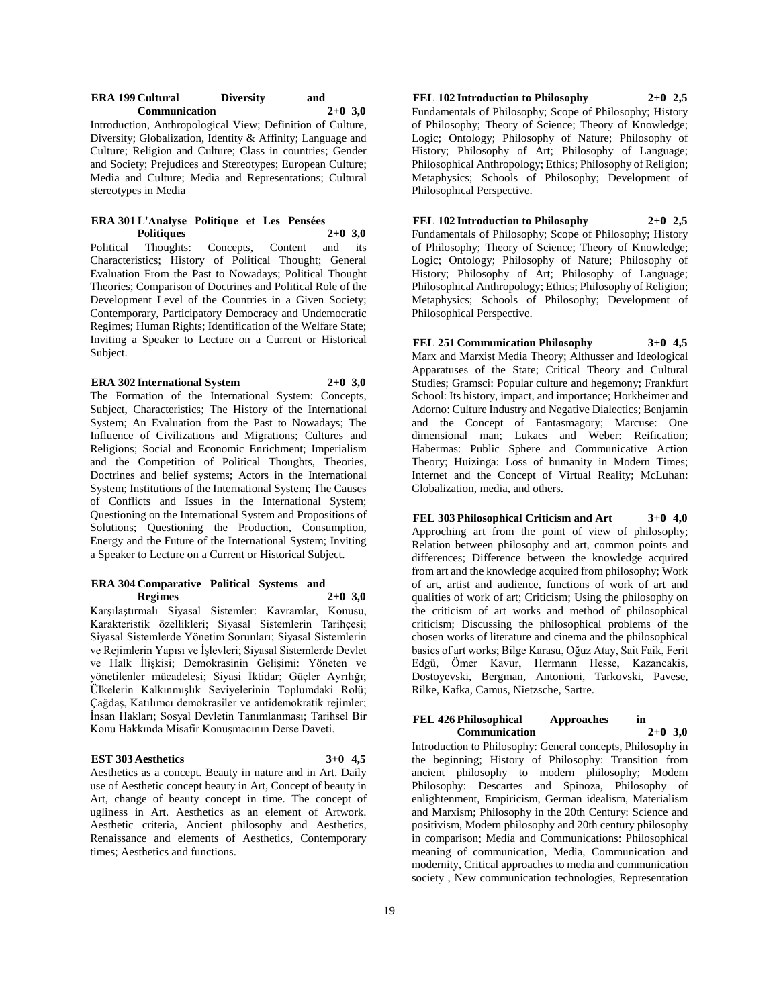| <b>ERA 199 Cultural</b> | <b>Diversity</b> | and       |  |
|-------------------------|------------------|-----------|--|
| <b>Communication</b>    |                  | $2+0$ 3.0 |  |

Introduction, Anthropological View; Definition of Culture, Diversity; Globalization, Identity & Affinity; Language and Culture; Religion and Culture; Class in countries; Gender and Society; Prejudices and Stereotypes; European Culture; Media and Culture; Media and Representations; Cultural stereotypes in Media

# **ERA 301 L'Analyse Politique et Les Pensées**

**Politiques** 2+0 **3,0**<br>Thoughts: Concepts, Content and its Political Thoughts: Concepts, Content Characteristics; History of Political Thought; General Evaluation From the Past to Nowadays; Political Thought Theories; Comparison of Doctrines and Political Role of the Development Level of the Countries in a Given Society; Contemporary, Participatory Democracy and Undemocratic Regimes; Human Rights; Identification of the Welfare State; Inviting a Speaker to Lecture on a Current or Historical Subject.

#### **ERA 302 International System 2+0 3,0**

The Formation of the International System: Concepts, Subject, Characteristics; The History of the International System; An Evaluation from the Past to Nowadays; The Influence of Civilizations and Migrations; Cultures and Religions; Social and Economic Enrichment; Imperialism and the Competition of Political Thoughts, Theories, Doctrines and belief systems; Actors in the International System; Institutions of the International System; The Causes of Conflicts and Issues in the International System; Questioning on the International System and Propositions of Solutions; Questioning the Production, Consumption, Energy and the Future of the International System; Inviting a Speaker to Lecture on a Current or Historical Subject.

#### **ERA 304 Comparative Political Systems and Regimes 2+0 3,0**

Karşılaştırmalı Siyasal Sistemler: Kavramlar, Konusu, Karakteristik özellikleri; Siyasal Sistemlerin Tarihçesi; Siyasal Sistemlerde Yönetim Sorunları; Siyasal Sistemlerin ve Rejimlerin Yapısı ve İşlevleri; Siyasal Sistemlerde Devlet ve Halk İlişkisi; Demokrasinin Gelişimi: Yöneten ve yönetilenler mücadelesi; Siyasi İktidar; Güçler Ayrılığı; Ülkelerin Kalkınmışlık Seviyelerinin Toplumdaki Rolü; Çağdaş, Katılımcı demokrasiler ve antidemokratik rejimler; İnsan Hakları; Sosyal Devletin Tanımlanması; Tarihsel Bir Konu Hakkında Misafir Konuşmacının Derse Daveti.

#### **EST 303 Aesthetics 3+0 4,5**

Aesthetics as a concept. Beauty in nature and in Art. Daily use of Aesthetic concept beauty in Art, Concept of beauty in Art, change of beauty concept in time. The concept of ugliness in Art. Aesthetics as an element of Artwork. Aesthetic criteria, Ancient philosophy and Aesthetics, Renaissance and elements of Aesthetics, Contemporary times; Aesthetics and functions.

# **FEL 102 Introduction to Philosophy 2+0 2,5**

Fundamentals of Philosophy; Scope of Philosophy; History of Philosophy; Theory of Science; Theory of Knowledge; Logic; Ontology; Philosophy of Nature; Philosophy of History; Philosophy of Art; Philosophy of Language; Philosophical Anthropology; Ethics; Philosophy of Religion; Metaphysics; Schools of Philosophy; Development of Philosophical Perspective.

# **FEL 102 Introduction to Philosophy 2+0 2,5**

Fundamentals of Philosophy; Scope of Philosophy; History of Philosophy; Theory of Science; Theory of Knowledge; Logic; Ontology; Philosophy of Nature; Philosophy of History; Philosophy of Art; Philosophy of Language; Philosophical Anthropology; Ethics; Philosophy of Religion; Metaphysics; Schools of Philosophy; Development of Philosophical Perspective.

**FEL 251 Communication Philosophy 3+0 4,5** Marx and Marxist Media Theory; Althusser and Ideological Apparatuses of the State; Critical Theory and Cultural Studies; Gramsci: Popular culture and hegemony; Frankfurt School: Its history, impact, and importance; Horkheimer and Adorno: Culture Industry and Negative Dialectics; Benjamin and the Concept of Fantasmagory; Marcuse: One dimensional man; Lukacs and Weber: Reification; Habermas: Public Sphere and Communicative Action Theory; Huizinga: Loss of humanity in Modern Times; Internet and the Concept of Virtual Reality; McLuhan: Globalization, media, and others.

**FEL 303 Philosophical Criticism and Art 3+0 4,0** Approching art from the point of view of philosophy; Relation between philosophy and art, common points and differences; Difference between the knowledge acquired from art and the knowledge acquired from philosophy; Work of art, artist and audience, functions of work of art and qualities of work of art; Criticism; Using the philosophy on the criticism of art works and method of philosophical criticism; Discussing the philosophical problems of the chosen works of literature and cinema and the philosophical basics of art works; Bilge Karasu, Oğuz Atay, Sait Faik, Ferit Edgü, Ömer Kavur, Hermann Hesse, Kazancakis, Dostoyevski, Bergman, Antonioni, Tarkovski, Pavese, Rilke, Kafka, Camus, Nietzsche, Sartre.

#### **FEL 426 Philosophical Approaches in Communication 2+0 3,0**

Introduction to Philosophy: General concepts, Philosophy in the beginning; History of Philosophy: Transition from ancient philosophy to modern philosophy; Modern Philosophy: Descartes and Spinoza, Philosophy of enlightenment, Empiricism, German idealism, Materialism and Marxism; Philosophy in the 20th Century: Science and positivism, Modern philosophy and 20th century philosophy in comparison; Media and Communications: Philosophical meaning of communication, Media, Communication and modernity, Critical approaches to media and communication society , New communication technologies, Representation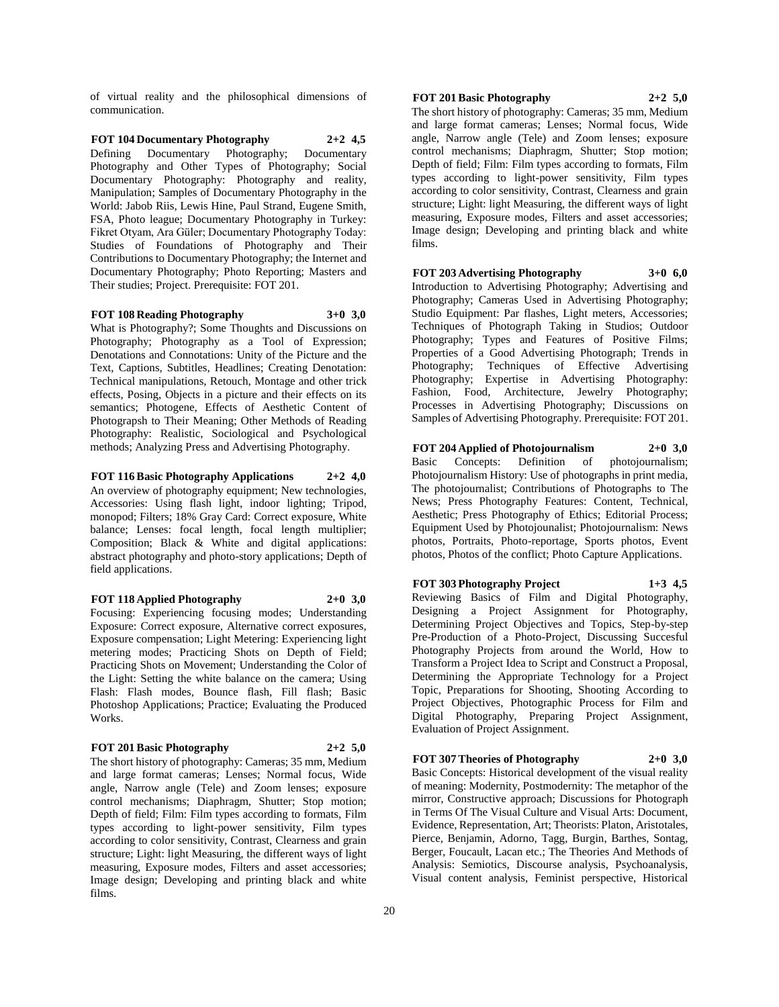of virtual reality and the philosophical dimensions of communication.

**FOT 104 Documentary Photography 2+2 4,5** Defining Documentary Photography; Documentary Photography and Other Types of Photography; Social Documentary Photography: Photography and reality, Manipulation; Samples of Documentary Photography in the World: Jabob Riis, Lewis Hine, Paul Strand, Eugene Smith, FSA, Photo league; Documentary Photography in Turkey: Fikret Otyam, Ara Güler; Documentary Photography Today: Studies of Foundations of Photography and Their Contributions to Documentary Photography; the Internet and Documentary Photography; Photo Reporting; Masters and Their studies; Project. Prerequisite: FOT 201.

**FOT 108 Reading Photography 3+0 3,0** What is Photography?; Some Thoughts and Discussions on Photography; Photography as a Tool of Expression; Denotations and Connotations: Unity of the Picture and the Text, Captions, Subtitles, Headlines; Creating Denotation: Technical manipulations, Retouch, Montage and other trick effects, Posing, Objects in a picture and their effects on its semantics; Photogene, Effects of Aesthetic Content of Photograpsh to Their Meaning; Other Methods of Reading Photography: Realistic, Sociological and Psychological methods; Analyzing Press and Advertising Photography.

**FOT 116 Basic Photography Applications 2+2 4,0** An overview of photography equipment; New technologies, Accessories: Using flash light, indoor lighting; Tripod, monopod; Filters; 18% Gray Card: Correct exposure, White balance; Lenses: focal length, focal length multiplier; Composition; Black & White and digital applications: abstract photography and photo-story applications; Depth of field applications.

# **FOT 118 Applied Photography 2+0 3,0**

Focusing: Experiencing focusing modes; Understanding Exposure: Correct exposure, Alternative correct exposures, Exposure compensation; Light Metering: Experiencing light metering modes; Practicing Shots on Depth of Field; Practicing Shots on Movement; Understanding the Color of the Light: Setting the white balance on the camera; Using Flash: Flash modes, Bounce flash, Fill flash; Basic Photoshop Applications; Practice; Evaluating the Produced Works.

#### **FOT 201 Basic Photography 2+2 5,0**

The short history of photography: Cameras; 35 mm, Medium and large format cameras; Lenses; Normal focus, Wide angle, Narrow angle (Tele) and Zoom lenses; exposure control mechanisms; Diaphragm, Shutter; Stop motion; Depth of field; Film: Film types according to formats, Film types according to light-power sensitivity, Film types according to color sensitivity, Contrast, Clearness and grain structure; Light: light Measuring, the different ways of light measuring, Exposure modes, Filters and asset accessories; Image design; Developing and printing black and white films.

# **FOT 201 Basic Photography 2+2 5,0**

The short history of photography: Cameras; 35 mm, Medium and large format cameras; Lenses; Normal focus, Wide angle, Narrow angle (Tele) and Zoom lenses; exposure control mechanisms; Diaphragm, Shutter; Stop motion; Depth of field; Film: Film types according to formats, Film types according to light-power sensitivity, Film types according to color sensitivity, Contrast, Clearness and grain structure; Light: light Measuring, the different ways of light measuring, Exposure modes, Filters and asset accessories; Image design; Developing and printing black and white films.

#### **FOT 203 Advertising Photography 3+0 6,0**

Introduction to Advertising Photography; Advertising and Photography; Cameras Used in Advertising Photography; Studio Equipment: Par flashes, Light meters, Accessories; Techniques of Photograph Taking in Studios; Outdoor Photography; Types and Features of Positive Films; Properties of a Good Advertising Photograph; Trends in Photography; Techniques of Effective Advertising Photography; Expertise in Advertising Photography: Fashion, Food, Architecture, Jewelry Photography; Processes in Advertising Photography; Discussions on Samples of Advertising Photography. Prerequisite: FOT 201.

#### **FOT 204 Applied of Photojournalism 2+0 3,0**

Basic Concepts: Definition of photojournalism; Photojournalism History: Use of photographs in print media, The photojournalist; Contributions of Photographs to The News; Press Photography Features: Content, Technical, Aesthetic; Press Photography of Ethics; Editorial Process; Equipment Used by Photojounalist; Photojournalism: News photos, Portraits, Photo-reportage, Sports photos, Event photos, Photos of the conflict; Photo Capture Applications.

**FOT 303 Photography Project 1+3 4,5** Reviewing Basics of Film and Digital Photography, Designing a Project Assignment for Photography, Determining Project Objectives and Topics, Step-by-step Pre-Production of a Photo-Project, Discussing Succesful Photography Projects from around the World, How to Transform a Project Idea to Script and Construct a Proposal, Determining the Appropriate Technology for a Project Topic, Preparations for Shooting, Shooting According to Project Objectives, Photographic Process for Film and Digital Photography, Preparing Project Assignment, Evaluation of Project Assignment.

#### **FOT 307 Theories of Photography 2+0 3,0**

Basic Concepts: Historical development of the visual reality of meaning: Modernity, Postmodernity: The metaphor of the mirror, Constructive approach; Discussions for Photograph in Terms Of The Visual Culture and Visual Arts: Document, Evidence, Representation, Art; Theorists: Platon, Aristotales, Pierce, Benjamin, Adorno, Tagg, Burgin, Barthes, Sontag, Berger, Foucault, Lacan etc.; The Theories And Methods of Analysis: Semiotics, Discourse analysis, Psychoanalysis, Visual content analysis, Feminist perspective, Historical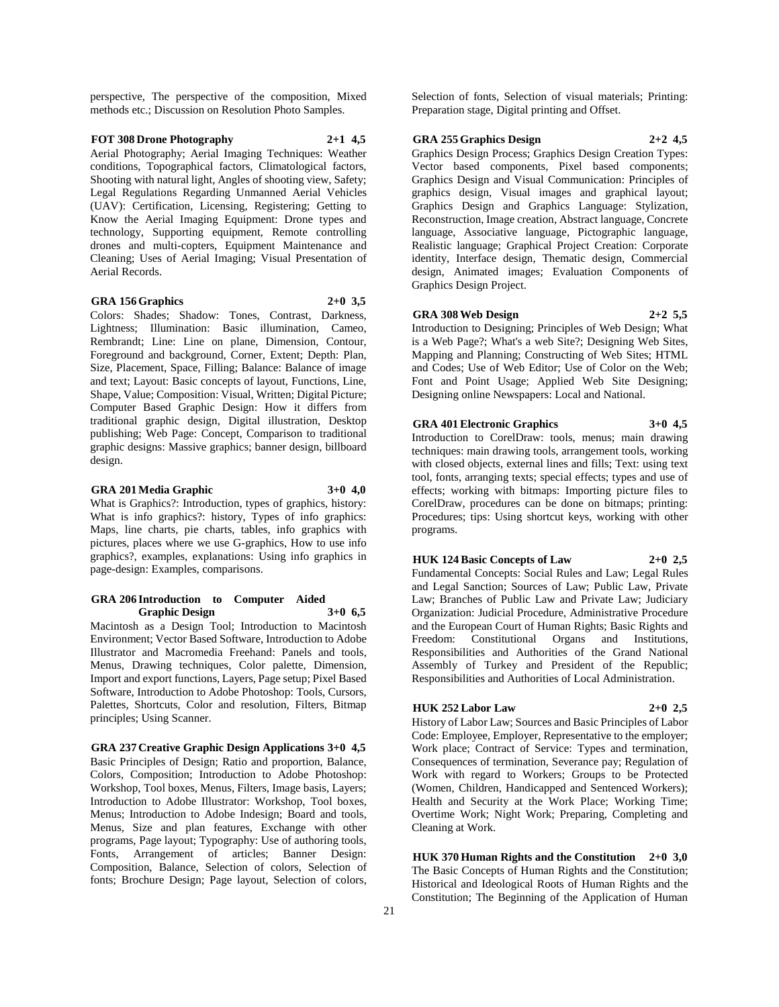perspective, The perspective of the composition, Mixed methods etc.; Discussion on Resolution Photo Samples.

# **FOT 308 Drone Photography 2+1 4,5**

Aerial Photography; Aerial Imaging Techniques: Weather conditions, Topographical factors, Climatological factors, Shooting with natural light, Angles of shooting view, Safety; Legal Regulations Regarding Unmanned Aerial Vehicles (UAV): Certification, Licensing, Registering; Getting to Know the Aerial Imaging Equipment: Drone types and technology, Supporting equipment, Remote controlling drones and multi-copters, Equipment Maintenance and Cleaning; Uses of Aerial Imaging; Visual Presentation of Aerial Records.

#### **GRA 156 Graphics 2+0 3,5**

Colors: Shades; Shadow: Tones, Contrast, Darkness, Lightness; Illumination: Basic illumination, Cameo, Rembrandt; Line: Line on plane, Dimension, Contour, Foreground and background, Corner, Extent; Depth: Plan, Size, Placement, Space, Filling; Balance: Balance of image and text; Layout: Basic concepts of layout, Functions, Line, Shape, Value; Composition: Visual, Written; Digital Picture; Computer Based Graphic Design: How it differs from traditional graphic design, Digital illustration, Desktop publishing; Web Page: Concept, Comparison to traditional graphic designs: Massive graphics; banner design, billboard design.

# **GRA 201 Media Graphic 3+0 4,0**

What is Graphics?: Introduction, types of graphics, history: What is info graphics?: history, Types of info graphics: Maps, line charts, pie charts, tables, info graphics with pictures, places where we use G-graphics, How to use info graphics?, examples, explanations: Using info graphics in page-design: Examples, comparisons.

#### **GRA 206 Introduction to Computer Aided Graphic Design 3+0 6,5**

Macintosh as a Design Tool; Introduction to Macintosh Environment; Vector Based Software, Introduction to Adobe Illustrator and Macromedia Freehand: Panels and tools, Menus, Drawing techniques, Color palette, Dimension, Import and export functions, Layers, Page setup; Pixel Based Software, Introduction to Adobe Photoshop: Tools, Cursors, Palettes, Shortcuts, Color and resolution, Filters, Bitmap principles; Using Scanner.

**GRA 237 Creative Graphic Design Applications 3+0 4,5**

Basic Principles of Design; Ratio and proportion, Balance, Colors, Composition; Introduction to Adobe Photoshop: Workshop, Tool boxes, Menus, Filters, Image basis, Layers; Introduction to Adobe Illustrator: Workshop, Tool boxes, Menus; Introduction to Adobe Indesign; Board and tools, Menus, Size and plan features, Exchange with other programs, Page layout; Typography: Use of authoring tools, Fonts, Arrangement of articles; Banner Design: Composition, Balance, Selection of colors, Selection of fonts; Brochure Design; Page layout, Selection of colors,

Selection of fonts, Selection of visual materials; Printing: Preparation stage, Digital printing and Offset.

#### **GRA 255 Graphics Design 2+2 4,5**

Graphics Design Process; Graphics Design Creation Types: Vector based components, Pixel based components; Graphics Design and Visual Communication: Principles of graphics design, Visual images and graphical layout; Graphics Design and Graphics Language: Stylization, Reconstruction, Image creation, Abstract language, Concrete language, Associative language, Pictographic language, Realistic language; Graphical Project Creation: Corporate identity, Interface design, Thematic design, Commercial design, Animated images; Evaluation Components of Graphics Design Project.

# **GRA 308 Web Design 2+2 5,5**

Introduction to Designing; Principles of Web Design; What is a Web Page?; What's a web Site?; Designing Web Sites, Mapping and Planning; Constructing of Web Sites; HTML and Codes; Use of Web Editor; Use of Color on the Web; Font and Point Usage; Applied Web Site Designing; Designing online Newspapers: Local and National.

# **GRA 401 Electronic Graphics 3+0 4,5**

Introduction to CorelDraw: tools, menus; main drawing techniques: main drawing tools, arrangement tools, working with closed objects, external lines and fills; Text: using text tool, fonts, arranging texts; special effects; types and use of effects; working with bitmaps: Importing picture files to CorelDraw, procedures can be done on bitmaps; printing: Procedures; tips: Using shortcut keys, working with other programs.

#### **HUK 124 Basic Concepts of Law 2+0 2,5**

Fundamental Concepts: Social Rules and Law; Legal Rules and Legal Sanction; Sources of Law; Public Law, Private Law; Branches of Public Law and Private Law; Judiciary Organization: Judicial Procedure, Administrative Procedure and the European Court of Human Rights; Basic Rights and Freedom: Constitutional Organs and Institutions, Responsibilities and Authorities of the Grand National Assembly of Turkey and President of the Republic; Responsibilities and Authorities of Local Administration.

#### **HUK 252 Labor Law 2+0 2,5**

History of Labor Law; Sources and Basic Principles of Labor Code: Employee, Employer, Representative to the employer; Work place; Contract of Service: Types and termination, Consequences of termination, Severance pay; Regulation of Work with regard to Workers; Groups to be Protected (Women, Children, Handicapped and Sentenced Workers); Health and Security at the Work Place; Working Time; Overtime Work; Night Work; Preparing, Completing and Cleaning at Work.

**HUK 370 Human Rights and the Constitution 2+0 3,0** The Basic Concepts of Human Rights and the Constitution; Historical and Ideological Roots of Human Rights and the Constitution; The Beginning of the Application of Human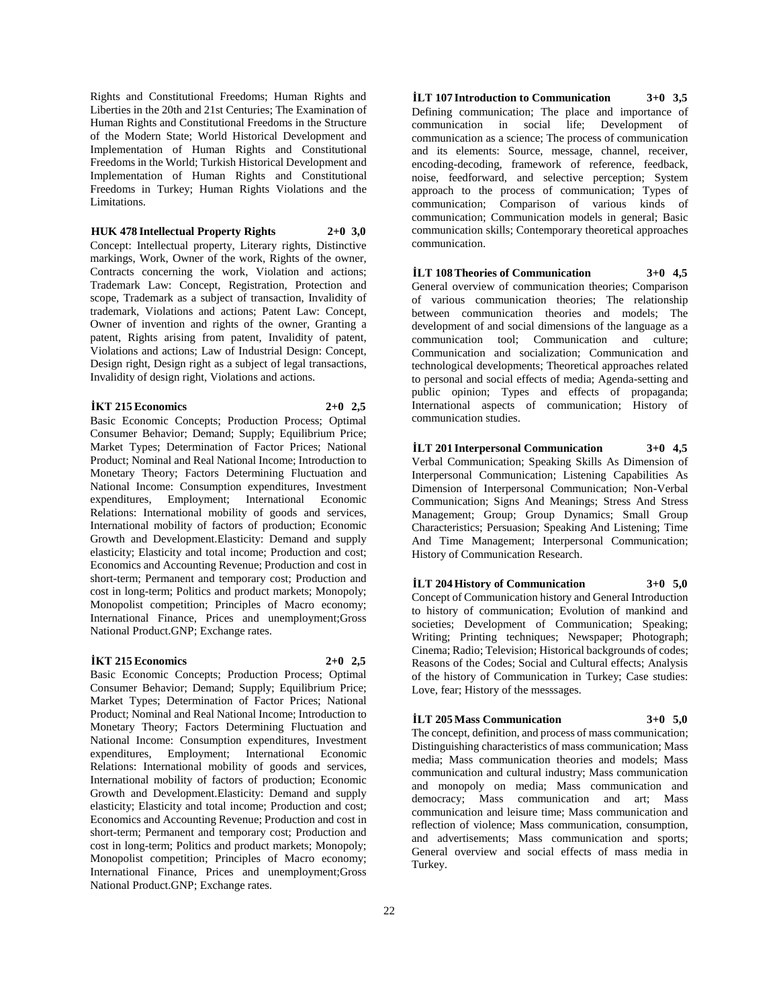Rights and Constitutional Freedoms; Human Rights and Liberties in the 20th and 21st Centuries; The Examination of Human Rights and Constitutional Freedoms in the Structure of the Modern State; World Historical Development and Implementation of Human Rights and Constitutional Freedoms in the World; Turkish Historical Development and Implementation of Human Rights and Constitutional Freedoms in Turkey; Human Rights Violations and the Limitations.

**HUK 478 Intellectual Property Rights 2+0 3,0** Concept: Intellectual property, Literary rights, Distinctive markings, Work, Owner of the work, Rights of the owner, Contracts concerning the work, Violation and actions; Trademark Law: Concept, Registration, Protection and scope, Trademark as a subject of transaction, Invalidity of trademark, Violations and actions; Patent Law: Concept, Owner of invention and rights of the owner, Granting a patent, Rights arising from patent, Invalidity of patent, Violations and actions; Law of Industrial Design: Concept, Design right, Design right as a subject of legal transactions, Invalidity of design right, Violations and actions.

# **İKT 215 Economics 2+0 2,5**

Basic Economic Concepts; Production Process; Optimal Consumer Behavior; Demand; Supply; Equilibrium Price; Market Types; Determination of Factor Prices; National Product; Nominal and Real National Income; Introduction to Monetary Theory; Factors Determining Fluctuation and National Income: Consumption expenditures, Investment expenditures, Employment; International Economic Relations: International mobility of goods and services, International mobility of factors of production; Economic Growth and Development.Elasticity: Demand and supply elasticity; Elasticity and total income; Production and cost; Economics and Accounting Revenue; Production and cost in short-term; Permanent and temporary cost; Production and cost in long-term; Politics and product markets; Monopoly; Monopolist competition; Principles of Macro economy; International Finance, Prices and unemployment;Gross National Product.GNP; Exchange rates.

#### **İKT 215 Economics 2+0 2,5**

Basic Economic Concepts; Production Process; Optimal Consumer Behavior; Demand; Supply; Equilibrium Price; Market Types; Determination of Factor Prices; National Product; Nominal and Real National Income; Introduction to Monetary Theory; Factors Determining Fluctuation and National Income: Consumption expenditures, Investment expenditures, Employment; International Economic Relations: International mobility of goods and services, International mobility of factors of production; Economic Growth and Development.Elasticity: Demand and supply elasticity; Elasticity and total income; Production and cost; Economics and Accounting Revenue; Production and cost in short-term; Permanent and temporary cost; Production and cost in long-term; Politics and product markets; Monopoly; Monopolist competition; Principles of Macro economy; International Finance, Prices and unemployment;Gross National Product.GNP; Exchange rates.

**İLT 107 Introduction to Communication 3+0 3,5** Defining communication; The place and importance of communication in social life; Development of communication as a science; The process of communication and its elements: Source, message, channel, receiver, encoding-decoding, framework of reference, feedback, noise, feedforward, and selective perception; System approach to the process of communication; Types of communication; Comparison of various kinds of communication; Communication models in general; Basic communication skills; Contemporary theoretical approaches communication.

#### **İLT 108 Theories of Communication 3+0 4,5**

General overview of communication theories; Comparison of various communication theories; The relationship between communication theories and models; The development of and social dimensions of the language as a communication tool; Communication and culture; Communication and socialization; Communication and technological developments; Theoretical approaches related to personal and social effects of media; Agenda-setting and public opinion; Types and effects of propaganda; International aspects of communication; History of communication studies.

**İLT 201 Interpersonal Communication 3+0 4,5** Verbal Communication; Speaking Skills As Dimension of Interpersonal Communication; Listening Capabilities As Dimension of Interpersonal Communication; Non-Verbal Communication; Signs And Meanings; Stress And Stress Management; Group; Group Dynamics; Small Group Characteristics; Persuasion; Speaking And Listening; Time And Time Management; Interpersonal Communication; History of Communication Research.

#### **İLT 204 History of Communication 3+0 5,0**

Concept of Communication history and General Introduction to history of communication; Evolution of mankind and societies; Development of Communication; Speaking; Writing; Printing techniques; Newspaper; Photograph; Cinema; Radio; Television; Historical backgrounds of codes; Reasons of the Codes; Social and Cultural effects; Analysis of the history of Communication in Turkey; Case studies: Love, fear; History of the messsages.

# **İLT 205 Mass Communication 3+0 5,0**

The concept, definition, and process of mass communication; Distinguishing characteristics of mass communication; Mass media; Mass communication theories and models; Mass communication and cultural industry; Mass communication and monopoly on media; Mass communication and democracy; Mass communication and art; Mass communication and leisure time; Mass communication and reflection of violence; Mass communication, consumption, and advertisements; Mass communication and sports; General overview and social effects of mass media in Turkey.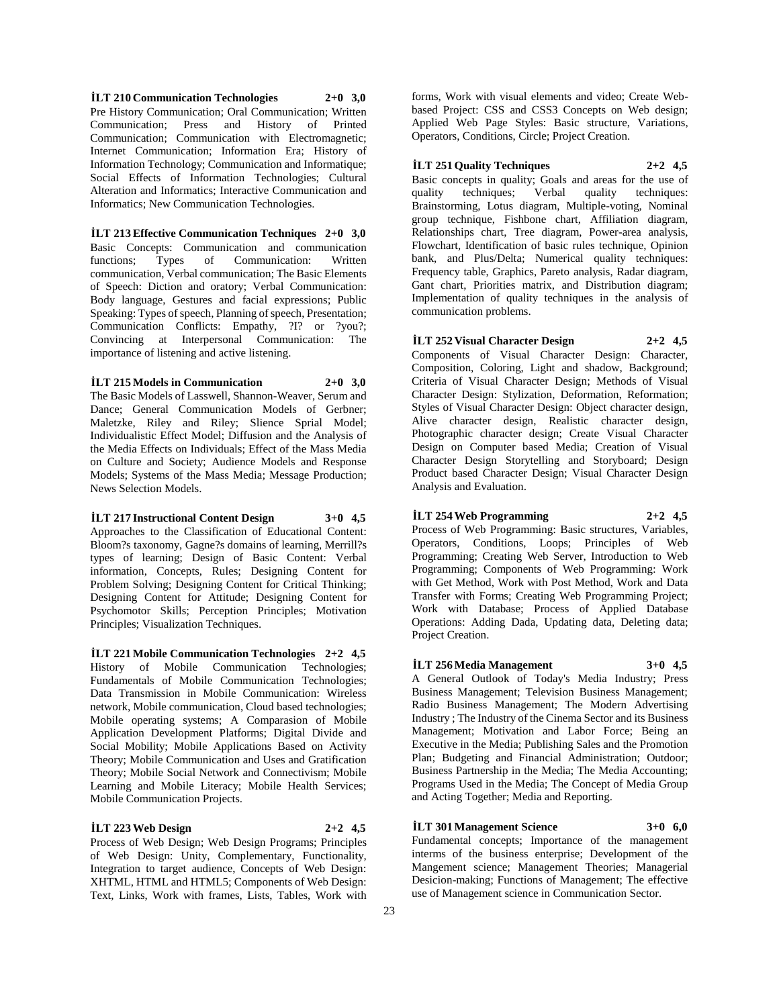**İLT 210 Communication Technologies 2+0 3,0** Pre History Communication; Oral Communication; Written Communication; Press and History of Printed Communication; Communication with Electromagnetic; Internet Communication; Information Era; History of Information Technology; Communication and Informatique; Social Effects of Information Technologies; Cultural Alteration and Informatics; Interactive Communication and Informatics; New Communication Technologies.

**İLT 213 Effective Communication Techniques 2+0 3,0** Basic Concepts: Communication and communication functions: Types of Communication: Written functions; Types of Communication: communication, Verbal communication; The Basic Elements of Speech: Diction and oratory; Verbal Communication: Body language, Gestures and facial expressions; Public Speaking: Types of speech, Planning of speech, Presentation; Communication Conflicts: Empathy, ?I? or ?you?; Convincing at Interpersonal Communication: The importance of listening and active listening.

#### **İLT 215 Models in Communication 2+0 3,0**

The Basic Models of Lasswell, Shannon-Weaver, Serum and Dance; General Communication Models of Gerbner; Maletzke, Riley and Riley; Slience Sprial Model; Individualistic Effect Model; Diffusion and the Analysis of the Media Effects on Individuals; Effect of the Mass Media on Culture and Society; Audience Models and Response Models; Systems of the Mass Media; Message Production; News Selection Models.

# **İLT 217 Instructional Content Design 3+0 4,5**

Approaches to the Classification of Educational Content: Bloom?s taxonomy, Gagne?s domains of learning, Merrill?s types of learning; Design of Basic Content: Verbal information, Concepts, Rules; Designing Content for Problem Solving; Designing Content for Critical Thinking; Designing Content for Attitude; Designing Content for Psychomotor Skills; Perception Principles; Motivation Principles; Visualization Techniques.

**İLT 221 Mobile Communication Technologies 2+2 4,5** History of Mobile Communication Technologies; Fundamentals of Mobile Communication Technologies; Data Transmission in Mobile Communication: Wireless network, Mobile communication, Cloud based technologies; Mobile operating systems; A Comparasion of Mobile Application Development Platforms; Digital Divide and Social Mobility; Mobile Applications Based on Activity Theory; Mobile Communication and Uses and Gratification Theory; Mobile Social Network and Connectivism; Mobile Learning and Mobile Literacy; Mobile Health Services; Mobile Communication Projects.

#### **İLT 223 Web Design 2+2 4,5**

Process of Web Design; Web Design Programs; Principles of Web Design: Unity, Complementary, Functionality, Integration to target audience, Concepts of Web Design: XHTML, HTML and HTML5; Components of Web Design: Text, Links, Work with frames, Lists, Tables, Work with

forms, Work with visual elements and video; Create Webbased Project: CSS and CSS3 Concepts on Web design; Applied Web Page Styles: Basic structure, Variations, Operators, Conditions, Circle; Project Creation.

#### **İLT 251 Quality Techniques 2+2 4,5**

Basic concepts in quality; Goals and areas for the use of quality techniques; Verbal quality techniques: Brainstorming, Lotus diagram, Multiple-voting, Nominal group technique, Fishbone chart, Affiliation diagram, Relationships chart, Tree diagram, Power-area analysis, Flowchart, Identification of basic rules technique, Opinion bank, and Plus/Delta; Numerical quality techniques: Frequency table, Graphics, Pareto analysis, Radar diagram, Gant chart, Priorities matrix, and Distribution diagram; Implementation of quality techniques in the analysis of communication problems.

**İLT 252 Visual Character Design 2+2 4,5** Components of Visual Character Design: Character, Composition, Coloring, Light and shadow, Background; Criteria of Visual Character Design; Methods of Visual Character Design: Stylization, Deformation, Reformation; Styles of Visual Character Design: Object character design, Alive character design, Realistic character design, Photographic character design; Create Visual Character Design on Computer based Media; Creation of Visual Character Design Storytelling and Storyboard; Design Product based Character Design; Visual Character Design Analysis and Evaluation.

# **İLT 254 Web Programming 2+2 4,5**

Process of Web Programming: Basic structures, Variables, Operators, Conditions, Loops; Principles of Web Programming; Creating Web Server, Introduction to Web Programming; Components of Web Programming: Work with Get Method, Work with Post Method, Work and Data Transfer with Forms; Creating Web Programming Project; Work with Database; Process of Applied Database Operations: Adding Dada, Updating data, Deleting data; Project Creation.

#### **İLT 256 Media Management 3+0 4,5**

A General Outlook of Today's Media Industry; Press Business Management; Television Business Management; Radio Business Management; The Modern Advertising Industry ; The Industry of the Cinema Sector and its Business Management; Motivation and Labor Force; Being an Executive in the Media; Publishing Sales and the Promotion Plan; Budgeting and Financial Administration; Outdoor; Business Partnership in the Media; The Media Accounting; Programs Used in the Media; The Concept of Media Group and Acting Together; Media and Reporting.

# **İLT 301 Management Science 3+0 6,0**

Fundamental concepts; Importance of the management interms of the business enterprise; Development of the Mangement science; Management Theories; Managerial Desicion-making; Functions of Management; The effective use of Management science in Communication Sector.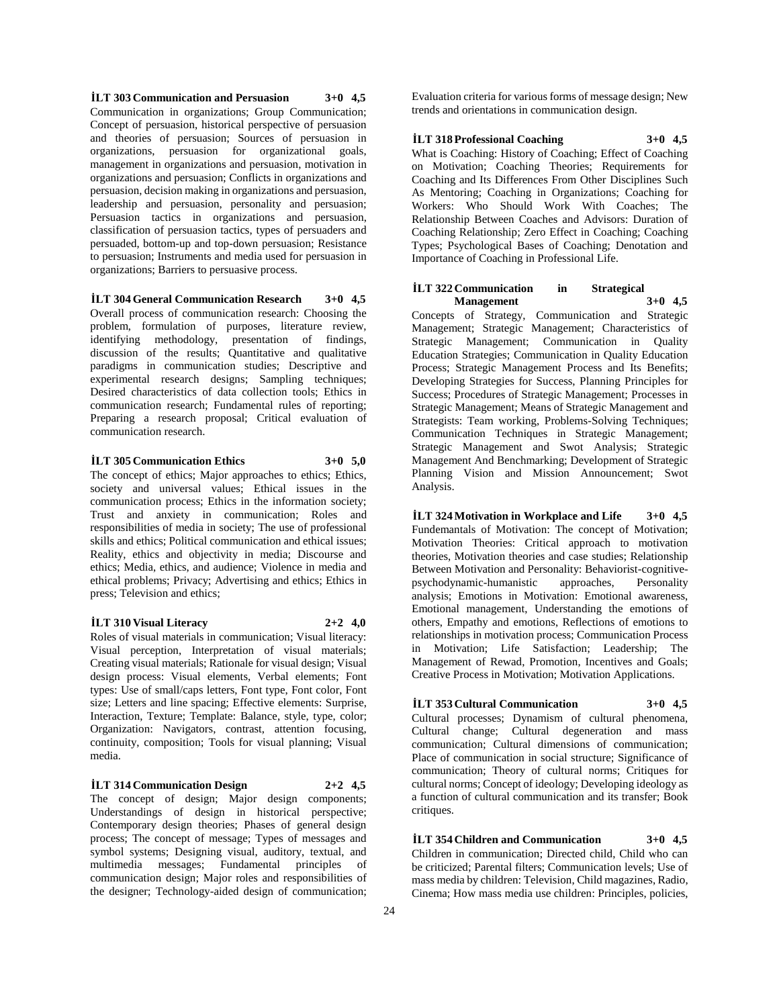**İLT 303 Communication and Persuasion 3+0 4,5** Communication in organizations; Group Communication; Concept of persuasion, historical perspective of persuasion and theories of persuasion; Sources of persuasion in organizations, persuasion for organizational goals, management in organizations and persuasion, motivation in organizations and persuasion; Conflicts in organizations and persuasion, decision making in organizations and persuasion, leadership and persuasion, personality and persuasion; Persuasion tactics in organizations and persuasion, classification of persuasion tactics, types of persuaders and persuaded, bottom-up and top-down persuasion; Resistance to persuasion; Instruments and media used for persuasion in organizations; Barriers to persuasive process.

**İLT 304 General Communication Research 3+0 4,5** Overall process of communication research: Choosing the problem, formulation of purposes, literature review, identifying methodology, presentation of findings, discussion of the results; Quantitative and qualitative paradigms in communication studies; Descriptive and experimental research designs; Sampling techniques; Desired characteristics of data collection tools; Ethics in communication research; Fundamental rules of reporting; Preparing a research proposal; Critical evaluation of communication research.

# **İLT 305 Communication Ethics 3+0 5,0**

The concept of ethics; Major approaches to ethics; Ethics, society and universal values; Ethical issues in the communication process; Ethics in the information society; Trust and anxiety in communication; Roles and responsibilities of media in society; The use of professional skills and ethics; Political communication and ethical issues; Reality, ethics and objectivity in media; Discourse and ethics; Media, ethics, and audience; Violence in media and ethical problems; Privacy; Advertising and ethics; Ethics in press; Television and ethics;

#### **İLT 310 Visual Literacy 2+2 4,0**

Roles of visual materials in communication; Visual literacy: Visual perception, Interpretation of visual materials; Creating visual materials; Rationale for visual design; Visual design process: Visual elements, Verbal elements; Font types: Use of small/caps letters, Font type, Font color, Font size; Letters and line spacing; Effective elements: Surprise, Interaction, Texture; Template: Balance, style, type, color; Organization: Navigators, contrast, attention focusing, continuity, composition; Tools for visual planning; Visual media.

#### **İLT 314 Communication Design 2+2 4,5**

The concept of design; Major design components; Understandings of design in historical perspective; Contemporary design theories; Phases of general design process; The concept of message; Types of messages and symbol systems; Designing visual, auditory, textual, and multimedia messages; Fundamental principles of communication design; Major roles and responsibilities of the designer; Technology-aided design of communication;

Evaluation criteria for various forms of message design; New trends and orientations in communication design.

**İLT 318 Professional Coaching 3+0 4,5**

What is Coaching: History of Coaching; Effect of Coaching on Motivation; Coaching Theories; Requirements for Coaching and Its Differences From Other Disciplines Such As Mentoring; Coaching in Organizations; Coaching for Workers: Who Should Work With Coaches; The Relationship Between Coaches and Advisors: Duration of Coaching Relationship; Zero Effect in Coaching; Coaching Types; Psychological Bases of Coaching; Denotation and Importance of Coaching in Professional Life.

#### **İLT 322 Communication in Strategical Management 3+0 4,5**

Concepts of Strategy, Communication and Strategic Management; Strategic Management; Characteristics of Strategic Management; Communication in Quality Education Strategies; Communication in Quality Education Process; Strategic Management Process and Its Benefits; Developing Strategies for Success, Planning Principles for Success; Procedures of Strategic Management; Processes in Strategic Management; Means of Strategic Management and Strategists: Team working, Problems-Solving Techniques; Communication Techniques in Strategic Management; Strategic Management and Swot Analysis; Strategic Management And Benchmarking; Development of Strategic Planning Vision and Mission Announcement; Swot Analysis.

**İLT 324 Motivation in Workplace and Life 3+0 4,5** Fundemantals of Motivation: The concept of Motivation; Motivation Theories: Critical approach to motivation theories, Motivation theories and case studies; Relationship Between Motivation and Personality: Behaviorist-cognitivepsychodynamic-humanistic approaches, Personality analysis; Emotions in Motivation: Emotional awareness, Emotional management, Understanding the emotions of others, Empathy and emotions, Reflections of emotions to relationships in motivation process; Communication Process in Motivation; Life Satisfaction; Leadership; The Management of Rewad, Promotion, Incentives and Goals; Creative Process in Motivation; Motivation Applications.

# **İLT 353 Cultural Communication 3+0 4,5** Cultural processes; Dynamism of cultural phenomena,

Cultural change; Cultural degeneration and mass communication; Cultural dimensions of communication; Place of communication in social structure; Significance of communication; Theory of cultural norms; Critiques for cultural norms; Concept of ideology; Developing ideology as a function of cultural communication and its transfer; Book critiques.

**İLT 354 Children and Communication 3+0 4,5** Children in communication; Directed child, Child who can be criticized; Parental filters; Communication levels; Use of mass media by children: Television, Child magazines, Radio, Cinema; How mass media use children: Principles, policies,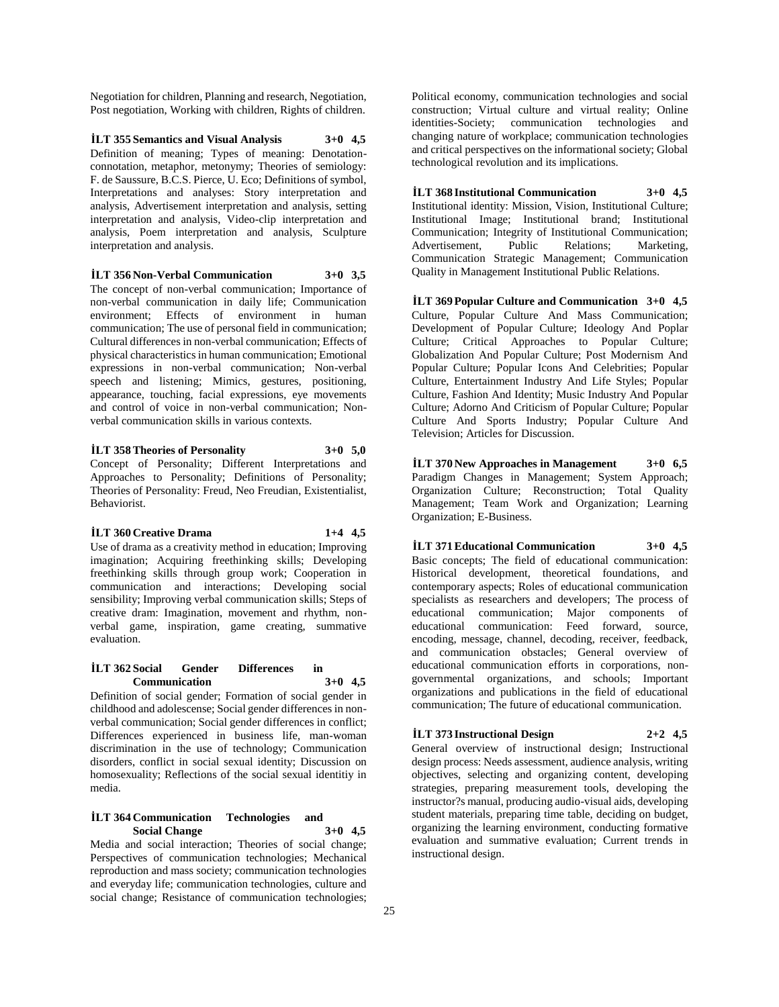Negotiation for children, Planning and research, Negotiation, Post negotiation, Working with children, Rights of children.

**İLT 355 Semantics and Visual Analysis 3+0 4,5** Definition of meaning; Types of meaning: Denotationconnotation, metaphor, metonymy; Theories of semiology: F. de Saussure, B.C.S. Pierce, U. Eco; Definitions of symbol, Interpretations and analyses: Story interpretation and analysis, Advertisement interpretation and analysis, setting interpretation and analysis, Video-clip interpretation and analysis, Poem interpretation and analysis, Sculpture interpretation and analysis.

#### **İLT 356 Non-Verbal Communication 3+0 3,5**

The concept of non-verbal communication; Importance of non-verbal communication in daily life; Communication environment; Effects of environment in human communication; The use of personal field in communication; Cultural differences in non-verbal communication; Effects of physical characteristics in human communication; Emotional expressions in non-verbal communication; Non-verbal speech and listening; Mimics, gestures, positioning, appearance, touching, facial expressions, eye movements and control of voice in non-verbal communication; Nonverbal communication skills in various contexts.

# **İLT 358 Theories of Personality 3+0 5,0**

Concept of Personality; Different Interpretations and Approaches to Personality; Definitions of Personality; Theories of Personality: Freud, Neo Freudian, Existentialist, Behaviorist.

#### **İLT 360 Creative Drama 1+4 4,5**

Use of drama as a creativity method in education; Improving imagination; Acquiring freethinking skills; Developing freethinking skills through group work; Cooperation in communication and interactions; Developing social sensibility; Improving verbal communication skills; Steps of creative dram: Imagination, movement and rhythm, nonverbal game, inspiration, game creating, summative evaluation.

#### **İLT 362 Social Gender Differences in Communication 3+0 4,5**

Definition of social gender; Formation of social gender in childhood and adolescense; Social gender differences in nonverbal communication; Social gender differences in conflict; Differences experienced in business life, man-woman discrimination in the use of technology; Communication disorders, conflict in social sexual identity; Discussion on homosexuality; Reflections of the social sexual identitiy in media.

## **İLT 364 Communication Technologies and Social Change 3+0 4,5**

Media and social interaction; Theories of social change; Perspectives of communication technologies; Mechanical reproduction and mass society; communication technologies and everyday life; communication technologies, culture and social change; Resistance of communication technologies; Political economy, communication technologies and social construction; Virtual culture and virtual reality; Online identities-Society; communication technologies and changing nature of workplace; communication technologies and critical perspectives on the informational society; Global technological revolution and its implications.

**İLT 368 Institutional Communication 3+0 4,5** Institutional identity: Mission, Vision, Institutional Culture; Institutional Image; Institutional brand; Institutional Communication; Integrity of Institutional Communication;<br>Advertisement, Public Relations; Marketing, Advertisement, Public Relations; Marketing, Communication Strategic Management; Communication Quality in Management Institutional Public Relations.

**İLT 369 Popular Culture and Communication 3+0 4,5** Culture, Popular Culture And Mass Communication; Development of Popular Culture; Ideology And Poplar Culture; Critical Approaches to Popular Culture; Globalization And Popular Culture; Post Modernism And Popular Culture; Popular Icons And Celebrities; Popular Culture, Entertainment Industry And Life Styles; Popular Culture, Fashion And Identity; Music Industry And Popular Culture; Adorno And Criticism of Popular Culture; Popular Culture And Sports Industry; Popular Culture And Television; Articles for Discussion.

**İLT 370 New Approaches in Management 3+0 6,5** Paradigm Changes in Management; System Approach; Organization Culture; Reconstruction; Total Quality Management; Team Work and Organization; Learning Organization; E-Business.

**İLT 371 Educational Communication 3+0 4,5** Basic concepts; The field of educational communication: Historical development, theoretical foundations, and contemporary aspects; Roles of educational communication specialists as researchers and developers; The process of educational communication; Major components of educational communication: Feed forward, source, encoding, message, channel, decoding, receiver, feedback, and communication obstacles; General overview of educational communication efforts in corporations, nongovernmental organizations, and schools; Important organizations and publications in the field of educational communication; The future of educational communication.

# **İLT 373 Instructional Design 2+2 4,5**

General overview of instructional design; Instructional design process: Needs assessment, audience analysis, writing objectives, selecting and organizing content, developing strategies, preparing measurement tools, developing the instructor?s manual, producing audio-visual aids, developing student materials, preparing time table, deciding on budget, organizing the learning environment, conducting formative evaluation and summative evaluation; Current trends in instructional design.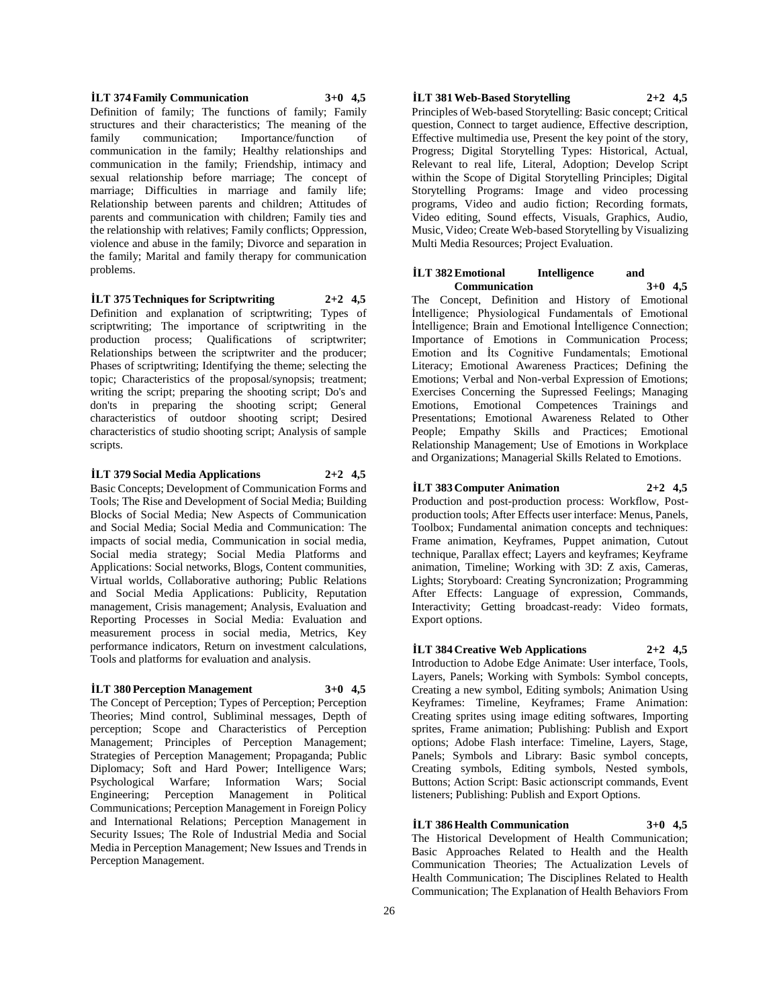**İLT 374 Family Communication 3+0 4,5** Definition of family; The functions of family; Family structures and their characteristics; The meaning of the family communication; Importance/function of communication in the family; Healthy relationships and communication in the family; Friendship, intimacy and sexual relationship before marriage; The concept of marriage; Difficulties in marriage and family life; Relationship between parents and children; Attitudes of parents and communication with children; Family ties and the relationship with relatives; Family conflicts; Oppression, violence and abuse in the family; Divorce and separation in the family; Marital and family therapy for communication problems.

**İLT 375 Techniques for Scriptwriting 2+2 4,5** Definition and explanation of scriptwriting; Types of scriptwriting; The importance of scriptwriting in the production process; Qualifications of scriptwriter; Relationships between the scriptwriter and the producer; Phases of scriptwriting; Identifying the theme; selecting the topic; Characteristics of the proposal/synopsis; treatment; writing the script; preparing the shooting script; Do's and don'ts in preparing the shooting script; General characteristics of outdoor shooting script; Desired characteristics of studio shooting script; Analysis of sample scripts.

#### **İLT 379 Social Media Applications 2+2 4,5**

Basic Concepts; Development of Communication Forms and Tools; The Rise and Development of Social Media; Building Blocks of Social Media; New Aspects of Communication and Social Media; Social Media and Communication: The impacts of social media, Communication in social media, Social media strategy; Social Media Platforms and Applications: Social networks, Blogs, Content communities, Virtual worlds, Collaborative authoring; Public Relations and Social Media Applications: Publicity, Reputation management, Crisis management; Analysis, Evaluation and Reporting Processes in Social Media: Evaluation and measurement process in social media, Metrics, Key performance indicators, Return on investment calculations, Tools and platforms for evaluation and analysis.

# **İLT 380 Perception Management 3+0 4,5**

The Concept of Perception; Types of Perception; Perception Theories; Mind control, Subliminal messages, Depth of perception; Scope and Characteristics of Perception Management; Principles of Perception Management; Strategies of Perception Management; Propaganda; Public Diplomacy; Soft and Hard Power; Intelligence Wars; Psychological Warfare; Information Wars; Social Engineering; Perception Management in Political Communications; Perception Management in Foreign Policy and International Relations; Perception Management in Security Issues; The Role of Industrial Media and Social Media in Perception Management; New Issues and Trends in Perception Management.

# **İLT 381 Web-Based Storytelling 2+2 4,5**

Principles of Web-based Storytelling: Basic concept; Critical question, Connect to target audience, Effective description, Effective multimedia use, Present the key point of the story, Progress; Digital Storytelling Types: Historical, Actual, Relevant to real life, Literal, Adoption; Develop Script within the Scope of Digital Storytelling Principles; Digital Storytelling Programs: Image and video processing programs, Video and audio fiction; Recording formats, Video editing, Sound effects, Visuals, Graphics, Audio, Music, Video; Create Web-based Storytelling by Visualizing Multi Media Resources; Project Evaluation.

#### **İLT 382** Emotional Intelligence and<br>Communication 3+0 4.5 **Communication 3+0 4,5**

The Concept, Definition and History of Emotional İntelligence; Physiological Fundamentals of Emotional İntelligence; Brain and Emotional İntelligence Connection; Importance of Emotions in Communication Process; Emotion and İts Cognitive Fundamentals; Emotional Literacy; Emotional Awareness Practices; Defining the Emotions; Verbal and Non-verbal Expression of Emotions; Exercises Concerning the Supressed Feelings; Managing Emotions, Emotional Competences Trainings and Presentations; Emotional Awareness Related to Other People; Empathy Skills and Practices; Emotional Relationship Management; Use of Emotions in Workplace and Organizations; Managerial Skills Related to Emotions.

# **İLT 383 Computer Animation 2+2 4,5**

Production and post-production process: Workflow, Postproduction tools; After Effects user interface: Menus, Panels, Toolbox; Fundamental animation concepts and techniques: Frame animation, Keyframes, Puppet animation, Cutout technique, Parallax effect; Layers and keyframes; Keyframe animation, Timeline; Working with 3D: Z axis, Cameras, Lights; Storyboard: Creating Syncronization; Programming After Effects: Language of expression, Commands, Interactivity; Getting broadcast-ready: Video formats, Export options.

#### **İLT 384 Creative Web Applications 2+2 4,5**

Introduction to Adobe Edge Animate: User interface, Tools, Layers, Panels; Working with Symbols: Symbol concepts, Creating a new symbol, Editing symbols; Animation Using Keyframes: Timeline, Keyframes; Frame Animation: Creating sprites using image editing softwares, Importing sprites, Frame animation; Publishing: Publish and Export options; Adobe Flash interface: Timeline, Layers, Stage, Panels; Symbols and Library: Basic symbol concepts, Creating symbols, Editing symbols, Nested symbols, Buttons; Action Script: Basic actionscript commands, Event listeners; Publishing: Publish and Export Options.

# **İLT 386 Health Communication 3+0 4,5**

The Historical Development of Health Communication; Basic Approaches Related to Health and the Health Communication Theories; The Actualization Levels of Health Communication; The Disciplines Related to Health Communication; The Explanation of Health Behaviors From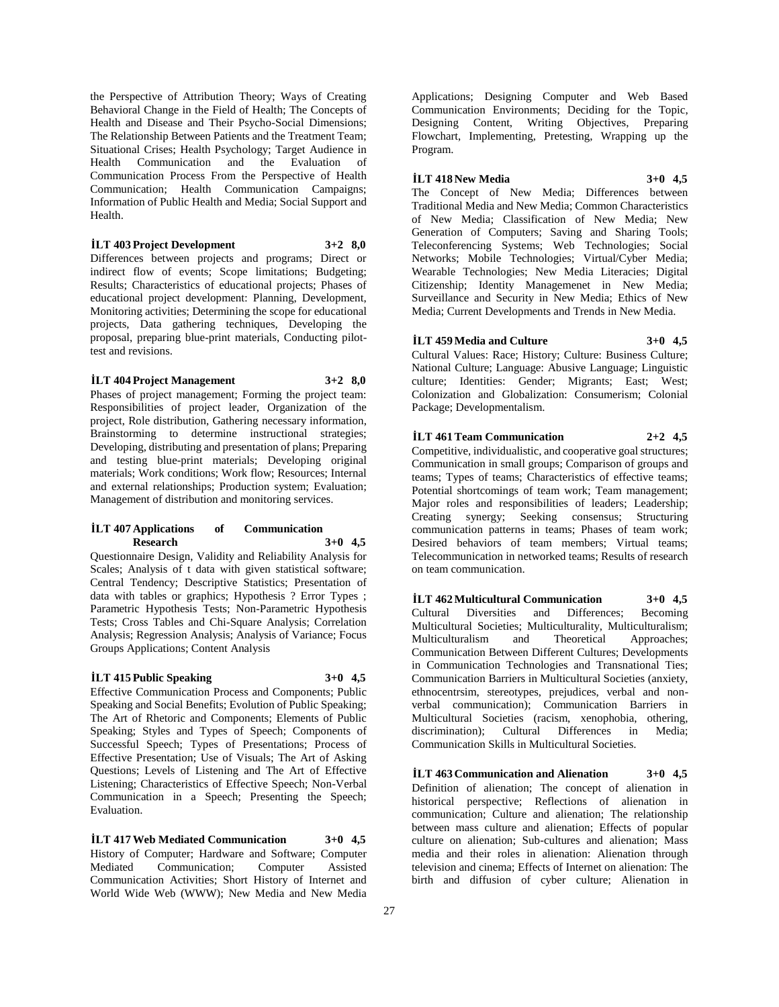the Perspective of Attribution Theory; Ways of Creating Behavioral Change in the Field of Health; The Concepts of Health and Disease and Their Psycho-Social Dimensions; The Relationship Between Patients and the Treatment Team; Situational Crises; Health Psychology; Target Audience in<br>Health Communication and the Evaluation of Communication and the Evaluation of Communication Process From the Perspective of Health Communication; Health Communication Campaigns; Information of Public Health and Media; Social Support and Health.

#### **İLT 403 Project Development 3+2 8,0**

Differences between projects and programs; Direct or indirect flow of events; Scope limitations; Budgeting; Results; Characteristics of educational projects; Phases of educational project development: Planning, Development, Monitoring activities; Determining the scope for educational projects, Data gathering techniques, Developing the proposal, preparing blue-print materials, Conducting pilottest and revisions.

#### **İLT 404 Project Management 3+2 8,0**

Phases of project management; Forming the project team: Responsibilities of project leader, Organization of the project, Role distribution, Gathering necessary information, Brainstorming to determine instructional strategies; Developing, distributing and presentation of plans; Preparing and testing blue-print materials; Developing original materials; Work conditions; Work flow; Resources; Internal and external relationships; Production system; Evaluation; Management of distribution and monitoring services.

#### **İLT 407 Applications of Communication Research 3+0 4,5**

Questionnaire Design, Validity and Reliability Analysis for Scales; Analysis of t data with given statistical software; Central Tendency; Descriptive Statistics; Presentation of data with tables or graphics; Hypothesis ? Error Types ; Parametric Hypothesis Tests; Non-Parametric Hypothesis Tests; Cross Tables and Chi-Square Analysis; Correlation Analysis; Regression Analysis; Analysis of Variance; Focus Groups Applications; Content Analysis

## **İLT 415 Public Speaking 3+0 4,5**

Effective Communication Process and Components; Public Speaking and Social Benefits; Evolution of Public Speaking; The Art of Rhetoric and Components; Elements of Public Speaking; Styles and Types of Speech; Components of Successful Speech; Types of Presentations; Process of Effective Presentation; Use of Visuals; The Art of Asking Questions; Levels of Listening and The Art of Effective Listening; Characteristics of Effective Speech; Non-Verbal Communication in a Speech; Presenting the Speech; Evaluation.

**İLT 417 Web Mediated Communication 3+0 4,5** History of Computer; Hardware and Software; Computer Mediated Communication; Computer Assisted Communication Activities; Short History of Internet and World Wide Web (WWW); New Media and New Media

Applications; Designing Computer and Web Based Communication Environments; Deciding for the Topic, Designing Content, Writing Objectives, Preparing Flowchart, Implementing, Pretesting, Wrapping up the Program.

**İLT 418 New Media 3+0 4,5** The Concept of New Media; Differences between Traditional Media and New Media; Common Characteristics of New Media; Classification of New Media; New Generation of Computers; Saving and Sharing Tools; Teleconferencing Systems; Web Technologies; Social Networks; Mobile Technologies; Virtual/Cyber Media; Wearable Technologies; New Media Literacies; Digital Citizenship; Identity Managemenet in New Media; Surveillance and Security in New Media; Ethics of New Media; Current Developments and Trends in New Media.

#### **İLT 459 Media and Culture 3+0 4,5**

Cultural Values: Race; History; Culture: Business Culture; National Culture; Language: Abusive Language; Linguistic culture; Identities: Gender; Migrants; East; West; Colonization and Globalization: Consumerism; Colonial Package; Developmentalism.

# **İLT 461 Team Communication 2+2 4,5**

Competitive, individualistic, and cooperative goal structures; Communication in small groups; Comparison of groups and teams; Types of teams; Characteristics of effective teams; Potential shortcomings of team work; Team management; Major roles and responsibilities of leaders; Leadership; Creating synergy; Seeking consensus; Structuring communication patterns in teams; Phases of team work; Desired behaviors of team members; Virtual teams; Telecommunication in networked teams; Results of research on team communication.

**İLT 462 Multicultural Communication 3+0 4,5** Cultural Diversities and Differences; Becoming Multicultural Societies; Multiculturality, Multiculturalism; Multiculturalism and Theoretical Approaches; Communication Between Different Cultures; Developments in Communication Technologies and Transnational Ties; Communication Barriers in Multicultural Societies (anxiety, ethnocentrsim, stereotypes, prejudices, verbal and nonverbal communication); Communication Barriers in Multicultural Societies (racism, xenophobia, othering, discrimination); Cultural Differences in Media; Communication Skills in Multicultural Societies.

**İLT 463 Communication and Alienation 3+0 4,5** Definition of alienation; The concept of alienation in historical perspective; Reflections of alienation in communication; Culture and alienation; The relationship between mass culture and alienation; Effects of popular culture on alienation; Sub-cultures and alienation; Mass media and their roles in alienation: Alienation through television and cinema; Effects of Internet on alienation: The birth and diffusion of cyber culture; Alienation in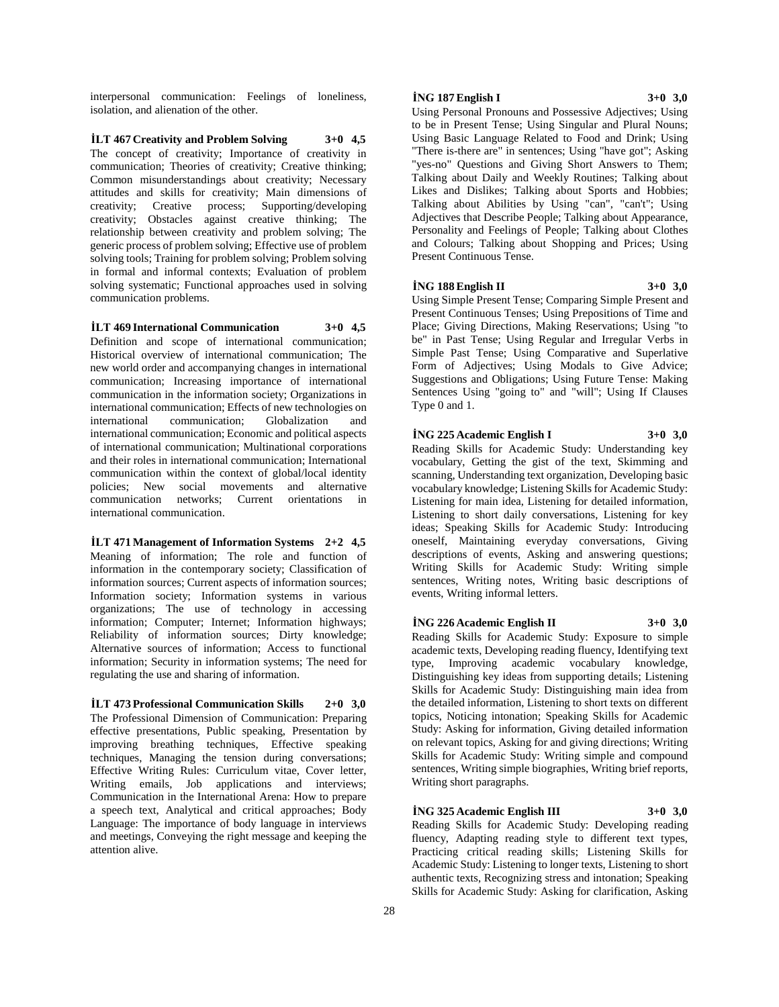interpersonal communication: Feelings of loneliness, isolation, and alienation of the other.

**İLT 467 Creativity and Problem Solving 3+0 4,5** The concept of creativity; Importance of creativity in communication; Theories of creativity; Creative thinking; Common misunderstandings about creativity; Necessary attitudes and skills for creativity; Main dimensions of creativity; Creative process; Supporting/developing creativity; Obstacles against creative thinking; The relationship between creativity and problem solving; The generic process of problem solving; Effective use of problem solving tools; Training for problem solving; Problem solving in formal and informal contexts; Evaluation of problem solving systematic; Functional approaches used in solving communication problems.

**İLT 469 International Communication 3+0 4,5** Definition and scope of international communication; Historical overview of international communication; The new world order and accompanying changes in international communication; Increasing importance of international communication in the information society; Organizations in international communication; Effects of new technologies on international communication; Globalization and international communication; Economic and political aspects of international communication; Multinational corporations and their roles in international communication; International communication within the context of global/local identity policies; New social movements and alternative communication networks; Current orientations in international communication.

**İLT 471 Management of Information Systems 2+2 4,5** Meaning of information; The role and function of information in the contemporary society; Classification of information sources; Current aspects of information sources; Information society; Information systems in various organizations; The use of technology in accessing information; Computer; Internet; Information highways; Reliability of information sources; Dirty knowledge; Alternative sources of information; Access to functional information; Security in information systems; The need for regulating the use and sharing of information.

**İLT 473 Professional Communication Skills 2+0 3,0** The Professional Dimension of Communication: Preparing effective presentations, Public speaking, Presentation by improving breathing techniques, Effective speaking techniques, Managing the tension during conversations; Effective Writing Rules: Curriculum vitae, Cover letter, Writing emails, Job applications and interviews; Communication in the International Arena: How to prepare a speech text, Analytical and critical approaches; Body Language: The importance of body language in interviews and meetings, Conveying the right message and keeping the attention alive.

# **İNG 187 English I 3+0 3,0**

Using Personal Pronouns and Possessive Adjectives; Using to be in Present Tense; Using Singular and Plural Nouns; Using Basic Language Related to Food and Drink; Using "There is-there are" in sentences; Using "have got"; Asking "yes-no" Questions and Giving Short Answers to Them; Talking about Daily and Weekly Routines; Talking about Likes and Dislikes; Talking about Sports and Hobbies; Talking about Abilities by Using "can", "can't"; Using Adjectives that Describe People; Talking about Appearance, Personality and Feelings of People; Talking about Clothes and Colours; Talking about Shopping and Prices; Using Present Continuous Tense.

#### **İNG 188 English II 3+0 3,0**

Using Simple Present Tense; Comparing Simple Present and Present Continuous Tenses; Using Prepositions of Time and Place; Giving Directions, Making Reservations; Using "to be" in Past Tense; Using Regular and Irregular Verbs in Simple Past Tense; Using Comparative and Superlative Form of Adjectives; Using Modals to Give Advice; Suggestions and Obligations; Using Future Tense: Making Sentences Using "going to" and "will"; Using If Clauses Type 0 and 1.

# **İNG 225 Academic English I 3+0 3,0**

Reading Skills for Academic Study: Understanding key vocabulary, Getting the gist of the text, Skimming and scanning, Understanding text organization, Developing basic vocabulary knowledge; Listening Skills for Academic Study: Listening for main idea, Listening for detailed information, Listening to short daily conversations, Listening for key ideas; Speaking Skills for Academic Study: Introducing oneself, Maintaining everyday conversations, Giving descriptions of events, Asking and answering questions; Writing Skills for Academic Study: Writing simple sentences, Writing notes, Writing basic descriptions of events, Writing informal letters.

# **İNG 226 Academic English II 3+0 3,0**

Reading Skills for Academic Study: Exposure to simple academic texts, Developing reading fluency, Identifying text type, Improving academic vocabulary knowledge, Distinguishing key ideas from supporting details; Listening Skills for Academic Study: Distinguishing main idea from the detailed information, Listening to short texts on different topics, Noticing intonation; Speaking Skills for Academic Study: Asking for information, Giving detailed information on relevant topics, Asking for and giving directions; Writing Skills for Academic Study: Writing simple and compound sentences, Writing simple biographies, Writing brief reports, Writing short paragraphs.

**İNG 325 Academic English III 3+0 3,0** Reading Skills for Academic Study: Developing reading fluency, Adapting reading style to different text types, Practicing critical reading skills; Listening Skills for Academic Study: Listening to longer texts, Listening to short authentic texts, Recognizing stress and intonation; Speaking Skills for Academic Study: Asking for clarification, Asking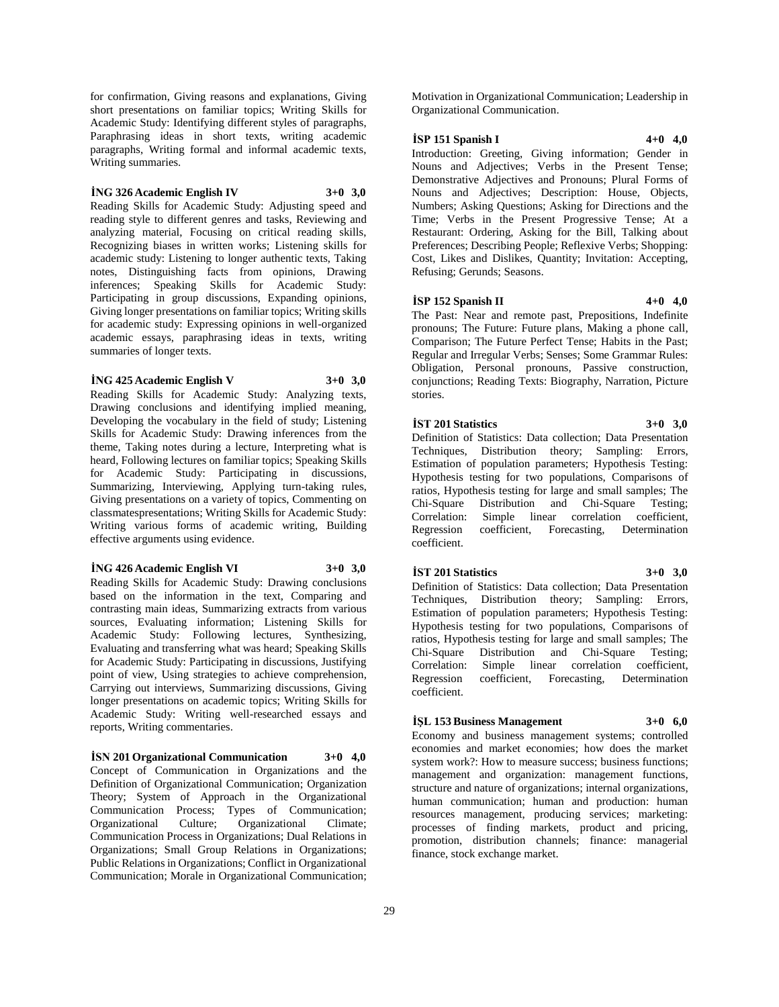for confirmation, Giving reasons and explanations, Giving short presentations on familiar topics; Writing Skills for Academic Study: Identifying different styles of paragraphs, Paraphrasing ideas in short texts, writing academic paragraphs, Writing formal and informal academic texts, Writing summaries.

#### **İNG 326 Academic English IV 3+0 3,0**

Reading Skills for Academic Study: Adjusting speed and reading style to different genres and tasks, Reviewing and analyzing material, Focusing on critical reading skills, Recognizing biases in written works; Listening skills for academic study: Listening to longer authentic texts, Taking notes, Distinguishing facts from opinions, Drawing inferences; Speaking Skills for Academic Study: Participating in group discussions, Expanding opinions, Giving longer presentations on familiar topics; Writing skills for academic study: Expressing opinions in well-organized academic essays, paraphrasing ideas in texts, writing summaries of longer texts.

#### **İNG 425 Academic English V 3+0 3,0**

Reading Skills for Academic Study: Analyzing texts, Drawing conclusions and identifying implied meaning, Developing the vocabulary in the field of study; Listening Skills for Academic Study: Drawing inferences from the theme, Taking notes during a lecture, Interpreting what is heard, Following lectures on familiar topics; Speaking Skills for Academic Study: Participating in discussions, Summarizing, Interviewing, Applying turn-taking rules, Giving presentations on a variety of topics, Commenting on classmatespresentations; Writing Skills for Academic Study: Writing various forms of academic writing, Building effective arguments using evidence.

#### **İNG 426 Academic English VI 3+0 3,0**

Reading Skills for Academic Study: Drawing conclusions based on the information in the text, Comparing and contrasting main ideas, Summarizing extracts from various sources, Evaluating information; Listening Skills for Academic Study: Following lectures, Synthesizing, Evaluating and transferring what was heard; Speaking Skills for Academic Study: Participating in discussions, Justifying point of view, Using strategies to achieve comprehension, Carrying out interviews, Summarizing discussions, Giving longer presentations on academic topics; Writing Skills for Academic Study: Writing well-researched essays and reports, Writing commentaries.

**İSN 201 Organizational Communication 3+0 4,0** Concept of Communication in Organizations and the Definition of Organizational Communication; Organization Theory; System of Approach in the Organizational Communication Process; Types of Communication; Organizational Culture; Organizational Climate; Communication Process in Organizations; Dual Relations in Organizations; Small Group Relations in Organizations; Public Relations in Organizations; Conflict in Organizational Communication; Morale in Organizational Communication;

Motivation in Organizational Communication; Leadership in Organizational Communication.

# **İSP 151 Spanish I 4+0 4,0**

Introduction: Greeting, Giving information; Gender in Nouns and Adjectives; Verbs in the Present Tense; Demonstrative Adjectives and Pronouns; Plural Forms of Nouns and Adjectives; Description: House, Objects, Numbers; Asking Questions; Asking for Directions and the Time; Verbs in the Present Progressive Tense; At a Restaurant: Ordering, Asking for the Bill, Talking about Preferences; Describing People; Reflexive Verbs; Shopping: Cost, Likes and Dislikes, Quantity; Invitation: Accepting, Refusing; Gerunds; Seasons.

#### **İSP 152 Spanish II 4+0 4,0**

The Past: Near and remote past, Prepositions, Indefinite pronouns; The Future: Future plans, Making a phone call, Comparison; The Future Perfect Tense; Habits in the Past; Regular and Irregular Verbs; Senses; Some Grammar Rules: Obligation, Personal pronouns, Passive construction, conjunctions; Reading Texts: Biography, Narration, Picture stories.

#### **İST 201 Statistics 3+0 3,0**

Definition of Statistics: Data collection; Data Presentation Techniques, Distribution theory; Sampling: Errors, Estimation of population parameters; Hypothesis Testing: Hypothesis testing for two populations, Comparisons of ratios, Hypothesis testing for large and small samples; The Chi-Square Distribution and Chi-Square Testing; Correlation: Simple linear correlation coefficient, Regression coefficient, Forecasting, Determination coefficient.

#### **İST 201 Statistics 3+0 3,0**

Definition of Statistics: Data collection; Data Presentation Techniques, Distribution theory; Sampling: Errors, Estimation of population parameters; Hypothesis Testing: Hypothesis testing for two populations, Comparisons of ratios, Hypothesis testing for large and small samples; The Chi-Square Distribution and Chi-Square Testing; Correlation: Simple linear correlation coefficient, Regression coefficient, Forecasting, Determination coefficient.

#### **İŞL 153 Business Management 3+0 6,0**

Economy and business management systems; controlled economies and market economies; how does the market system work?: How to measure success; business functions; management and organization: management functions, structure and nature of organizations; internal organizations, human communication; human and production: human resources management, producing services; marketing: processes of finding markets, product and pricing, promotion, distribution channels; finance: managerial finance, stock exchange market.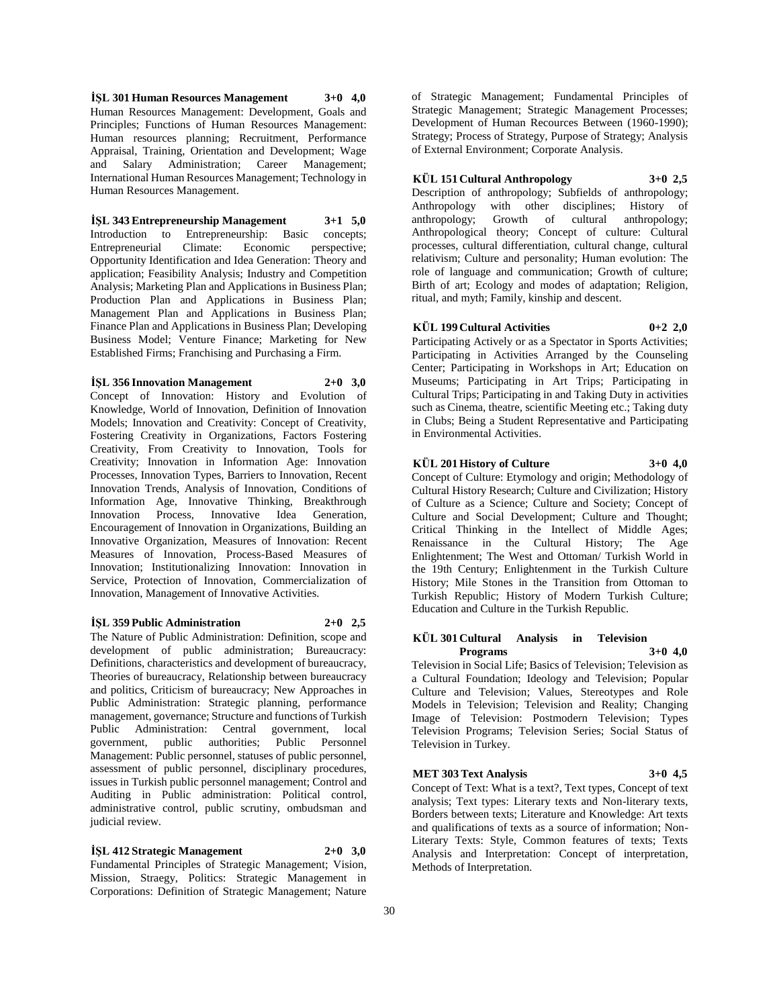**İŞL 301 Human Resources Management 3+0 4,0** Human Resources Management: Development, Goals and Principles; Functions of Human Resources Management: Human resources planning; Recruitment, Performance Appraisal, Training, Orientation and Development; Wage and Salary Administration; Career Management; International Human Resources Management; Technology in Human Resources Management.

#### **İŞL 343 Entrepreneurship Management 3+1 5,0**

Introduction to Entrepreneurship: Basic concepts; Entrepreneurial Climate: Economic perspective; Opportunity Identification and Idea Generation: Theory and application; Feasibility Analysis; Industry and Competition Analysis; Marketing Plan and Applications in Business Plan; Production Plan and Applications in Business Plan; Management Plan and Applications in Business Plan; Finance Plan and Applications in Business Plan; Developing Business Model; Venture Finance; Marketing for New Established Firms; Franchising and Purchasing a Firm.

#### **İŞL 356 Innovation Management 2+0 3,0**

Concept of Innovation: History and Evolution of Knowledge, World of Innovation, Definition of Innovation Models; Innovation and Creativity: Concept of Creativity, Fostering Creativity in Organizations, Factors Fostering Creativity, From Creativity to Innovation, Tools for Creativity; Innovation in Information Age: Innovation Processes, Innovation Types, Barriers to Innovation, Recent Innovation Trends, Analysis of Innovation, Conditions of Information Age, Innovative Thinking, Breakthrough Innovation Process, Innovative Idea Generation, Encouragement of Innovation in Organizations, Building an Innovative Organization, Measures of Innovation: Recent Measures of Innovation, Process-Based Measures of Innovation; Institutionalizing Innovation: Innovation in Service, Protection of Innovation, Commercialization of Innovation, Management of Innovative Activities.

#### **İŞL 359 Public Administration 2+0 2,5**

The Nature of Public Administration: Definition, scope and development of public administration; Bureaucracy: Definitions, characteristics and development of bureaucracy, Theories of bureaucracy, Relationship between bureaucracy and politics, Criticism of bureaucracy; New Approaches in Public Administration: Strategic planning, performance management, governance; Structure and functions of Turkish<br>Public Administration: Central government, local Public Administration: Central government, local government, public authorities; Public Personnel Management: Public personnel, statuses of public personnel, assessment of public personnel, disciplinary procedures, issues in Turkish public personnel management; Control and Auditing in Public administration: Political control, administrative control, public scrutiny, ombudsman and judicial review.

#### **İŞL 412 Strategic Management 2+0 3,0**

Fundamental Principles of Strategic Management; Vision, Mission, Straegy, Politics: Strategic Management in Corporations: Definition of Strategic Management; Nature of Strategic Management; Fundamental Principles of Strategic Management; Strategic Management Processes; Development of Human Recources Between (1960-1990); Strategy; Process of Strategy, Purpose of Strategy; Analysis of External Environment; Corporate Analysis.

#### **KÜL 151 Cultural Anthropology 3+0 2,5**

Description of anthropology; Subfields of anthropology; Anthropology with other disciplines; History of anthropology; Growth of cultural anthropology; Anthropological theory; Concept of culture: Cultural processes, cultural differentiation, cultural change, cultural relativism; Culture and personality; Human evolution: The role of language and communication; Growth of culture; Birth of art; Ecology and modes of adaptation; Religion, ritual, and myth; Family, kinship and descent.

#### **KÜL 199 Cultural Activities 0+2 2,0**

Participating Actively or as a Spectator in Sports Activities; Participating in Activities Arranged by the Counseling Center; Participating in Workshops in Art; Education on Museums; Participating in Art Trips; Participating in Cultural Trips; Participating in and Taking Duty in activities such as Cinema, theatre, scientific Meeting etc.; Taking duty in Clubs; Being a Student Representative and Participating in Environmental Activities.

#### **KÜL 201 History of Culture 3+0 4,0**

Concept of Culture: Etymology and origin; Methodology of Cultural History Research; Culture and Civilization; History of Culture as a Science; Culture and Society; Concept of Culture and Social Development; Culture and Thought; Critical Thinking in the Intellect of Middle Ages; Renaissance in the Cultural History; The Age Enlightenment; The West and Ottoman/ Turkish World in the 19th Century; Enlightenment in the Turkish Culture History; Mile Stones in the Transition from Ottoman to Turkish Republic; History of Modern Turkish Culture; Education and Culture in the Turkish Republic.

### **KÜL 301 Cultural Analysis in Television Programs 3+0 4,0**

Television in Social Life; Basics of Television; Television as a Cultural Foundation; Ideology and Television; Popular Culture and Television; Values, Stereotypes and Role Models in Television; Television and Reality; Changing Image of Television: Postmodern Television; Types Television Programs; Television Series; Social Status of Television in Turkey.

#### **MET 303 Text Analysis 3+0 4,5**

Concept of Text: What is a text?, Text types, Concept of text analysis; Text types: Literary texts and Non-literary texts, Borders between texts; Literature and Knowledge: Art texts and qualifications of texts as a source of information; Non-Literary Texts: Style, Common features of texts; Texts Analysis and Interpretation: Concept of interpretation, Methods of Interpretation.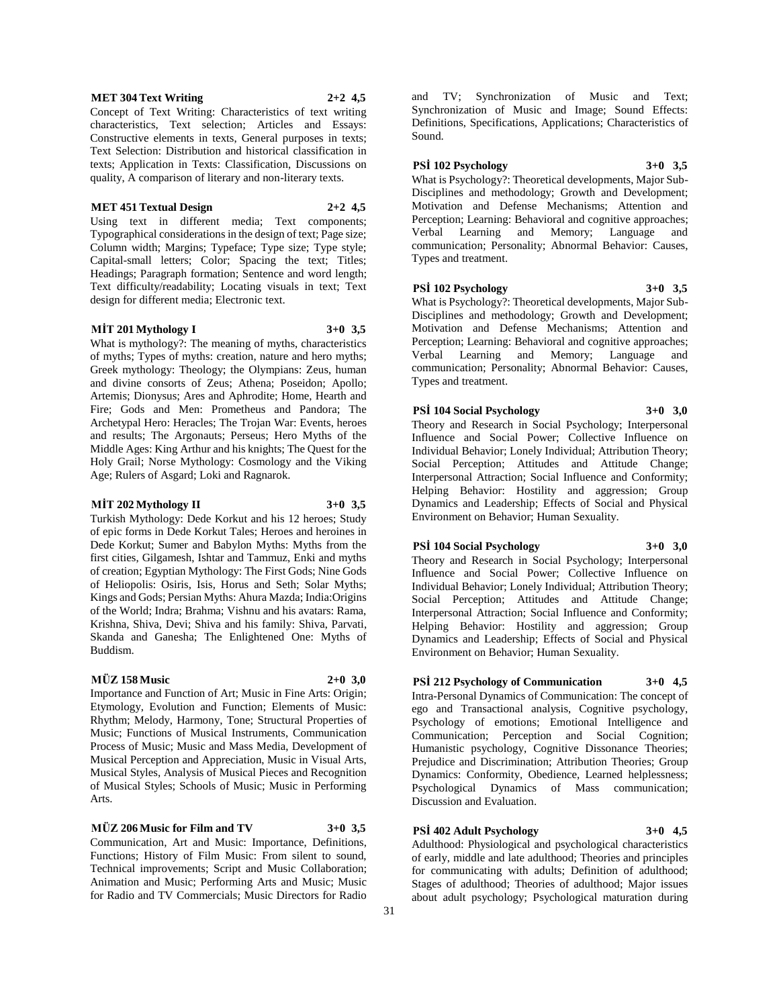#### **MET 304 Text Writing 2+2 4,5**

Concept of Text Writing: Characteristics of text writing characteristics, Text selection; Articles and Essays: Constructive elements in texts, General purposes in texts; Text Selection: Distribution and historical classification in texts; Application in Texts: Classification, Discussions on quality, A comparison of literary and non-literary texts.

#### **MET 451 Textual Design 2+2 4,5**

Using text in different media; Text components; Typographical considerations in the design of text; Page size; Column width; Margins; Typeface; Type size; Type style; Capital-small letters; Color; Spacing the text; Titles; Headings; Paragraph formation; Sentence and word length; Text difficulty/readability; Locating visuals in text; Text design for different media; Electronic text.

#### **MİT 201 Mythology I 3+0 3,5**

What is mythology?: The meaning of myths, characteristics of myths; Types of myths: creation, nature and hero myths; Greek mythology: Theology; the Olympians: Zeus, human and divine consorts of Zeus; Athena; Poseidon; Apollo; Artemis; Dionysus; Ares and Aphrodite; Home, Hearth and Fire; Gods and Men: Prometheus and Pandora; The Archetypal Hero: Heracles; The Trojan War: Events, heroes and results; The Argonauts; Perseus; Hero Myths of the Middle Ages: King Arthur and his knights; The Quest for the Holy Grail; Norse Mythology: Cosmology and the Viking Age; Rulers of Asgard; Loki and Ragnarok.

#### **MİT 202 Mythology II 3+0 3,5**

Turkish Mythology: Dede Korkut and his 12 heroes; Study of epic forms in Dede Korkut Tales; Heroes and heroines in Dede Korkut; Sumer and Babylon Myths: Myths from the first cities, Gilgamesh, Ishtar and Tammuz, Enki and myths of creation; Egyptian Mythology: The First Gods; Nine Gods of Heliopolis: Osiris, Isis, Horus and Seth; Solar Myths; Kings and Gods; Persian Myths: Ahura Mazda; India:Origins of the World; Indra; Brahma; Vishnu and his avatars: Rama, Krishna, Shiva, Devi; Shiva and his family: Shiva, Parvati, Skanda and Ganesha; The Enlightened One: Myths of Buddism.

# **MÜZ 158 Music 2+0 3,0**

Importance and Function of Art; Music in Fine Arts: Origin; Etymology, Evolution and Function; Elements of Music: Rhythm; Melody, Harmony, Tone; Structural Properties of Music; Functions of Musical Instruments, Communication Process of Music; Music and Mass Media, Development of Musical Perception and Appreciation, Music in Visual Arts, Musical Styles, Analysis of Musical Pieces and Recognition of Musical Styles; Schools of Music; Music in Performing Arts.

#### **MÜZ 206 Music for Film and TV 3+0 3,5**

Communication, Art and Music: Importance, Definitions, Functions; History of Film Music: From silent to sound, Technical improvements; Script and Music Collaboration; Animation and Music; Performing Arts and Music; Music for Radio and TV Commercials; Music Directors for Radio

and TV; Synchronization of Music and Text; Synchronization of Music and Image; Sound Effects: Definitions, Specifications, Applications; Characteristics of Sound.

# **PSİ 102 Psychology 3+0 3,5**

What is Psychology?: Theoretical developments, Major Sub-Disciplines and methodology; Growth and Development; Motivation and Defense Mechanisms; Attention and Perception; Learning: Behavioral and cognitive approaches; Verbal Learning and Memory; Language and communication; Personality; Abnormal Behavior: Causes, Types and treatment.

#### **PSİ 102 Psychology 3+0 3,5**

What is Psychology?: Theoretical developments, Major Sub-Disciplines and methodology; Growth and Development; Motivation and Defense Mechanisms; Attention and Perception; Learning: Behavioral and cognitive approaches; Verbal Learning and Memory; Language and communication; Personality; Abnormal Behavior: Causes, Types and treatment.

**PSİ 104 Social Psychology 3+0 3,0** Theory and Research in Social Psychology; Interpersonal Influence and Social Power; Collective Influence on Individual Behavior; Lonely Individual; Attribution Theory; Social Perception; Attitudes and Attitude Change; Interpersonal Attraction; Social Influence and Conformity; Helping Behavior: Hostility and aggression; Group Dynamics and Leadership; Effects of Social and Physical Environment on Behavior; Human Sexuality.

**PSİ 104 Social Psychology 3+0 3,0** Theory and Research in Social Psychology; Interpersonal Influence and Social Power; Collective Influence on Individual Behavior; Lonely Individual; Attribution Theory; Social Perception; Attitudes and Attitude Change; Interpersonal Attraction; Social Influence and Conformity; Helping Behavior: Hostility and aggression; Group Dynamics and Leadership; Effects of Social and Physical Environment on Behavior; Human Sexuality.

# **PSİ 212 Psychology of Communication 3+0 4,5**

Intra-Personal Dynamics of Communication: The concept of ego and Transactional analysis, Cognitive psychology, Psychology of emotions; Emotional Intelligence and Communication; Perception and Social Cognition; Humanistic psychology, Cognitive Dissonance Theories; Prejudice and Discrimination; Attribution Theories; Group Dynamics: Conformity, Obedience, Learned helplessness; Psychological Dynamics of Mass communication; Discussion and Evaluation.

# **PSİ 402 Adult Psychology 3+0 4,5**

Adulthood: Physiological and psychological characteristics of early, middle and late adulthood; Theories and principles for communicating with adults; Definition of adulthood; Stages of adulthood; Theories of adulthood; Major issues about adult psychology; Psychological maturation during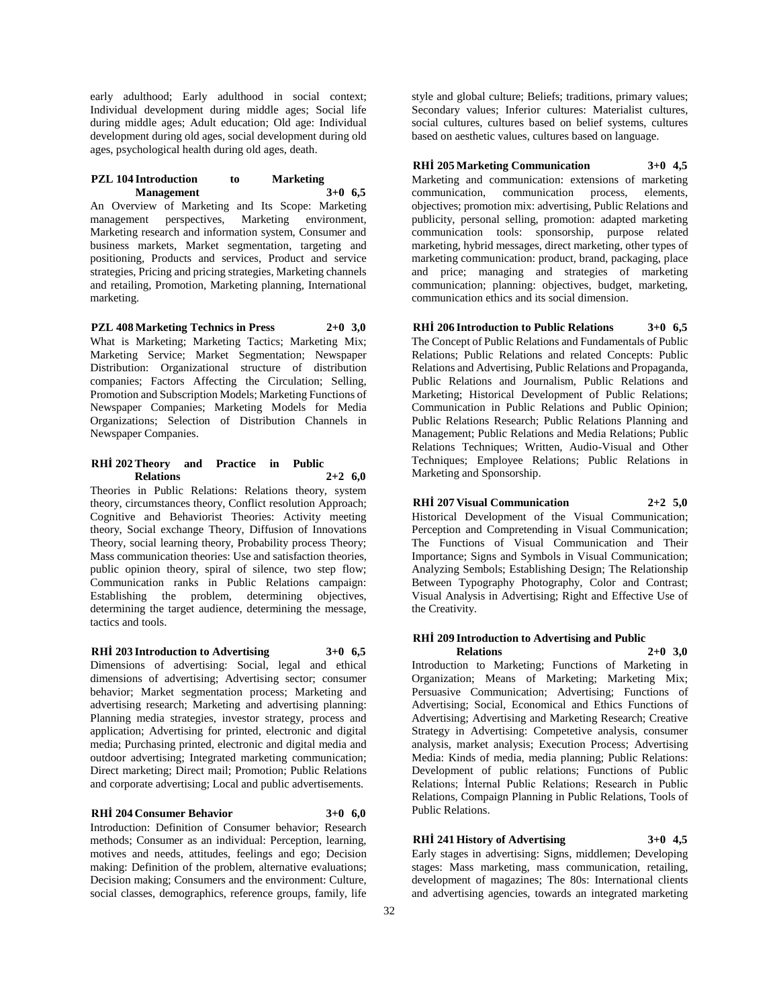early adulthood; Early adulthood in social context; Individual development during middle ages; Social life during middle ages; Adult education; Old age: Individual development during old ages, social development during old ages, psychological health during old ages, death.

#### **PZL 104 Introduction to Marketing Management 3+0 6,5**

An Overview of Marketing and Its Scope: Marketing management perspectives, Marketing environment, Marketing research and information system, Consumer and business markets, Market segmentation, targeting and positioning, Products and services, Product and service strategies, Pricing and pricing strategies, Marketing channels and retailing, Promotion, Marketing planning, International marketing.

**PZL 408 Marketing Technics in Press 2+0 3,0** What is Marketing; Marketing Tactics; Marketing Mix; Marketing Service; Market Segmentation; Newspaper Distribution: Organizational structure of distribution companies; Factors Affecting the Circulation; Selling, Promotion and Subscription Models; Marketing Functions of Newspaper Companies; Marketing Models for Media Organizations; Selection of Distribution Channels in Newspaper Companies.

#### **RHİ 202 Theory and Practice in Public Relations 2+2 6,0**

Theories in Public Relations: Relations theory, system theory, circumstances theory, Conflict resolution Approach; Cognitive and Behaviorist Theories: Activity meeting theory, Social exchange Theory, Diffusion of Innovations Theory, social learning theory, Probability process Theory; Mass communication theories: Use and satisfaction theories, public opinion theory, spiral of silence, two step flow; Communication ranks in Public Relations campaign: Establishing the problem, determining objectives, determining the target audience, determining the message, tactics and tools.

# **RHİ 203 Introduction to Advertising 3+0 6,5**

Dimensions of advertising: Social, legal and ethical dimensions of advertising; Advertising sector; consumer behavior; Market segmentation process; Marketing and advertising research; Marketing and advertising planning: Planning media strategies, investor strategy, process and application; Advertising for printed, electronic and digital media; Purchasing printed, electronic and digital media and outdoor advertising; Integrated marketing communication; Direct marketing; Direct mail; Promotion; Public Relations and corporate advertising; Local and public advertisements.

#### **RHİ 204 Consumer Behavior 3+0 6,0**

Introduction: Definition of Consumer behavior; Research methods; Consumer as an individual: Perception, learning, motives and needs, attitudes, feelings and ego; Decision making: Definition of the problem, alternative evaluations; Decision making; Consumers and the environment: Culture, social classes, demographics, reference groups, family, life

style and global culture; Beliefs; traditions, primary values; Secondary values; Inferior cultures: Materialist cultures, social cultures, cultures based on belief systems, cultures based on aesthetic values, cultures based on language.

# **RHİ 205 Marketing Communication 3+0 4,5**

Marketing and communication: extensions of marketing communication, communication process, elements, objectives; promotion mix: advertising, Public Relations and publicity, personal selling, promotion: adapted marketing communication tools: sponsorship, purpose related marketing, hybrid messages, direct marketing, other types of marketing communication: product, brand, packaging, place and price; managing and strategies of marketing communication; planning: objectives, budget, marketing, communication ethics and its social dimension.

**RHİ 206 Introduction to Public Relations 3+0 6,5** The Concept of Public Relations and Fundamentals of Public Relations; Public Relations and related Concepts: Public Relations and Advertising, Public Relations and Propaganda, Public Relations and Journalism, Public Relations and Marketing; Historical Development of Public Relations; Communication in Public Relations and Public Opinion; Public Relations Research; Public Relations Planning and Management; Public Relations and Media Relations; Public Relations Techniques; Written, Audio-Visual and Other Techniques; Employee Relations; Public Relations in Marketing and Sponsorship.

#### **RHİ 207 Visual Communication 2+2 5,0**

Historical Development of the Visual Communication; Perception and Compretending in Visual Communication; The Functions of Visual Communication and Their Importance; Signs and Symbols in Visual Communication; Analyzing Sembols; Establishing Design; The Relationship Between Typography Photography, Color and Contrast; Visual Analysis in Advertising; Right and Effective Use of the Creativity.

#### **RHİ 209 Introduction to Advertising and Public Relations 2+0 3,0**

Introduction to Marketing; Functions of Marketing in Organization; Means of Marketing; Marketing Mix; Persuasive Communication; Advertising; Functions of Advertising; Social, Economical and Ethics Functions of Advertising; Advertising and Marketing Research; Creative Strategy in Advertising: Competetive analysis, consumer analysis, market analysis; Execution Process; Advertising Media: Kinds of media, media planning; Public Relations: Development of public relations; Functions of Public Relations; İnternal Public Relations; Research in Public Relations, Compaign Planning in Public Relations, Tools of Public Relations.

# **RHİ 241 History of Advertising 3+0 4,5**

Early stages in advertising: Signs, middlemen; Developing stages: Mass marketing, mass communication, retailing, development of magazines; The 80s: International clients and advertising agencies, towards an integrated marketing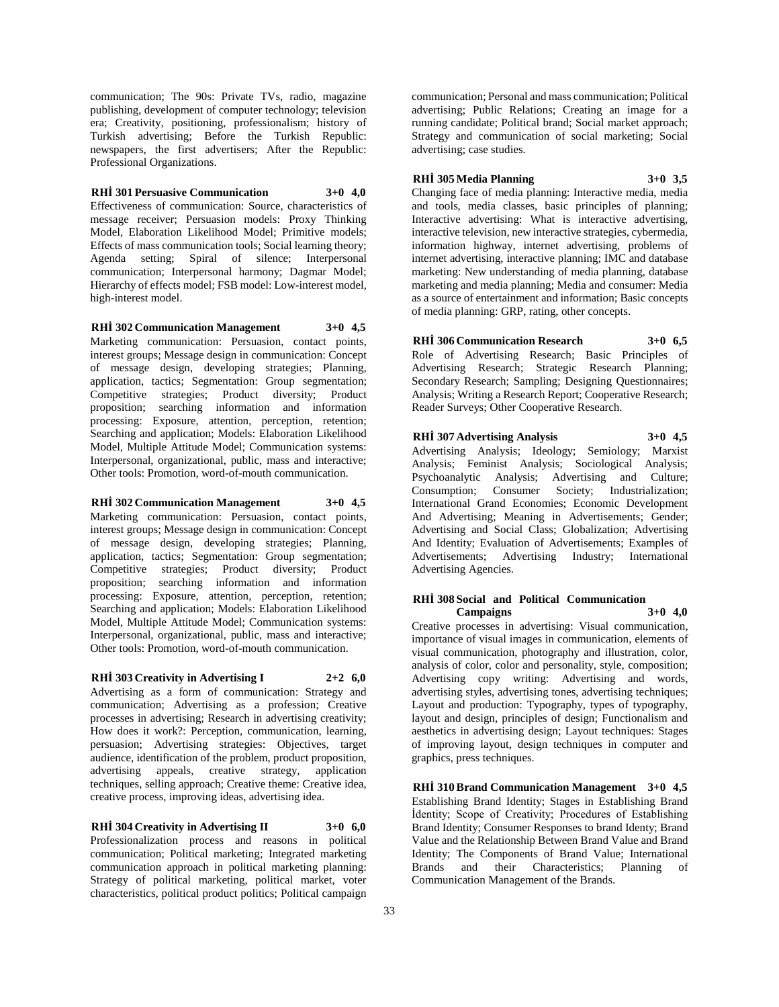communication; The 90s: Private TVs, radio, magazine publishing, development of computer technology; television era; Creativity, positioning, professionalism; history of Turkish advertising; Before the Turkish Republic: newspapers, the first advertisers; After the Republic: Professional Organizations.

### **RHİ 301 Persuasive Communication 3+0 4,0**

Effectiveness of communication: Source, characteristics of message receiver; Persuasion models: Proxy Thinking Model, Elaboration Likelihood Model; Primitive models; Effects of mass communication tools; Social learning theory; Agenda setting; Spiral of silence; Interpersonal communication; Interpersonal harmony; Dagmar Model; Hierarchy of effects model; FSB model: Low-interest model, high-interest model.

**RHİ 302 Communication Management 3+0 4,5** Marketing communication: Persuasion, contact points, interest groups; Message design in communication: Concept of message design, developing strategies; Planning, application, tactics; Segmentation: Group segmentation; Competitive strategies; Product diversity; Product proposition; searching information and information processing: Exposure, attention, perception, retention; Searching and application; Models: Elaboration Likelihood Model, Multiple Attitude Model; Communication systems: Interpersonal, organizational, public, mass and interactive; Other tools: Promotion, word-of-mouth communication.

# **RHİ 302 Communication Management 3+0 4,5**

Marketing communication: Persuasion, contact points, interest groups; Message design in communication: Concept of message design, developing strategies; Planning, application, tactics; Segmentation: Group segmentation; Competitive strategies; Product diversity; Product proposition; searching information and information processing: Exposure, attention, perception, retention; Searching and application; Models: Elaboration Likelihood Model, Multiple Attitude Model; Communication systems: Interpersonal, organizational, public, mass and interactive; Other tools: Promotion, word-of-mouth communication.

#### **RHİ 303 Creativity in Advertising I 2+2 6,0**

Advertising as a form of communication: Strategy and communication; Advertising as a profession; Creative processes in advertising; Research in advertising creativity; How does it work?: Perception, communication, learning, persuasion; Advertising strategies: Objectives, target audience, identification of the problem, product proposition, advertising appeals, creative strategy, application techniques, selling approach; Creative theme: Creative idea, creative process, improving ideas, advertising idea.

# **RHİ 304 Creativity in Advertising II 3+0 6,0**

Professionalization process and reasons in political communication; Political marketing; Integrated marketing communication approach in political marketing planning: Strategy of political marketing, political market, voter characteristics, political product politics; Political campaign

communication; Personal and mass communication; Political advertising; Public Relations; Creating an image for a running candidate; Political brand; Social market approach; Strategy and communication of social marketing; Social advertising; case studies.

**RHİ 305 Media Planning 3+0 3,5** Changing face of media planning: Interactive media, media and tools, media classes, basic principles of planning; Interactive advertising: What is interactive advertising, interactive television, new interactive strategies, cybermedia, information highway, internet advertising, problems of internet advertising, interactive planning; IMC and database marketing: New understanding of media planning, database marketing and media planning; Media and consumer: Media as a source of entertainment and information; Basic concepts

**RHİ 306 Communication Research 3+0 6,5** Role of Advertising Research; Basic Principles of Advertising Research; Strategic Research Planning; Secondary Research; Sampling; Designing Questionnaires; Analysis; Writing a Research Report; Cooperative Research; Reader Surveys; Other Cooperative Research.

of media planning: GRP, rating, other concepts.

**RHİ 307 Advertising Analysis 3+0 4,5** Advertising Analysis; Ideology; Semiology; Marxist Analysis; Feminist Analysis; Sociological Analysis; Psychoanalytic Analysis; Advertising and Culture; Consumption; Consumer Society; Industrialization; International Grand Economies; Economic Development And Advertising; Meaning in Advertisements; Gender; Advertising and Social Class; Globalization; Advertising And Identity; Evaluation of Advertisements; Examples of Advertisements; Advertising Industry; International Advertising Agencies.

#### **RHİ 308 Social and Political Communication Campaigns 3+0 4,0**

Creative processes in advertising: Visual communication, importance of visual images in communication, elements of visual communication, photography and illustration, color, analysis of color, color and personality, style, composition; Advertising copy writing: Advertising and words, advertising styles, advertising tones, advertising techniques; Layout and production: Typography, types of typography, layout and design, principles of design; Functionalism and aesthetics in advertising design; Layout techniques: Stages of improving layout, design techniques in computer and graphics, press techniques.

**RHİ 310 Brand Communication Management 3+0 4,5** Establishing Brand Identity; Stages in Establishing Brand İdentity; Scope of Creativity; Procedures of Establishing Brand Identity; Consumer Responses to brand Identy; Brand Value and the Relationship Between Brand Value and Brand Identity; The Components of Brand Value; International Brands and their Characteristics; Planning of Communication Management of the Brands.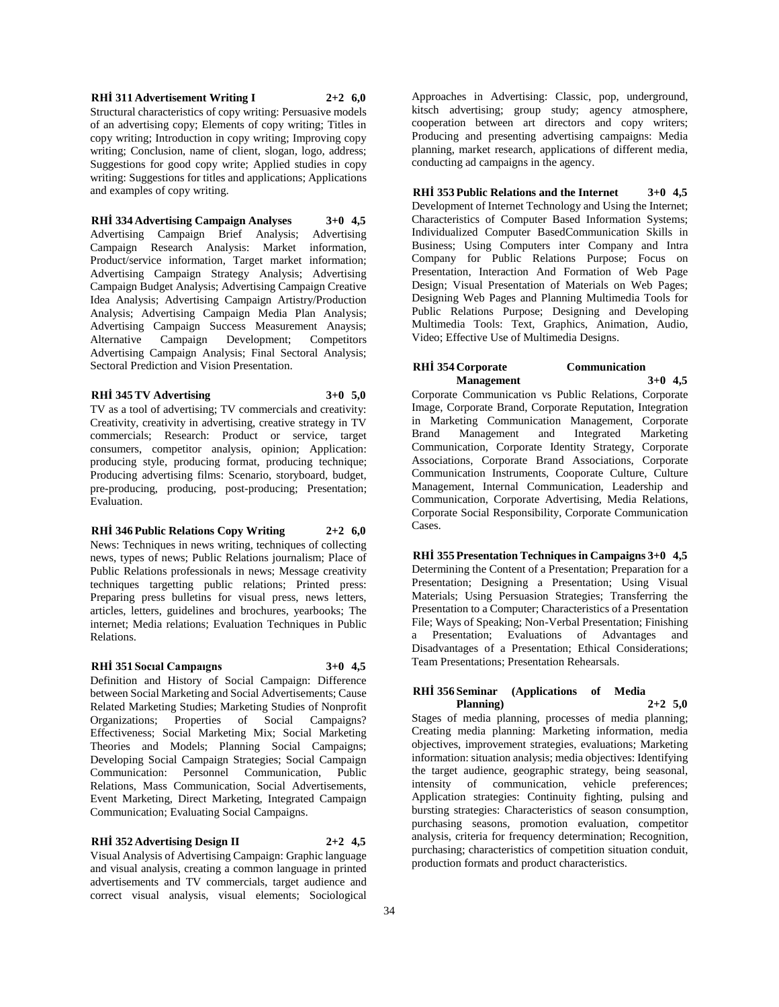# **RHİ 311 Advertisement Writing I 2+2 6,0**

Structural characteristics of copy writing: Persuasive models of an advertising copy; Elements of copy writing; Titles in copy writing; Introduction in copy writing; Improving copy writing; Conclusion, name of client, slogan, logo, address; Suggestions for good copy write; Applied studies in copy writing: Suggestions for titles and applications; Applications and examples of copy writing.

# **RHİ 334 Advertising Campaign Analyses 3+0 4,5**

Advertising Campaign Brief Analysis; Advertising Campaign Research Analysis: Market information, Product/service information, Target market information; Advertising Campaign Strategy Analysis; Advertising Campaign Budget Analysis; Advertising Campaign Creative Idea Analysis; Advertising Campaign Artistry/Production Analysis; Advertising Campaign Media Plan Analysis; Advertising Campaign Success Measurement Anaysis; Alternative Campaign Development; Competitors Advertising Campaign Analysis; Final Sectoral Analysis; Sectoral Prediction and Vision Presentation.

#### **RHİ 345 TV Advertising 3+0 5,0**

TV as a tool of advertising; TV commercials and creativity: Creativity, creativity in advertising, creative strategy in TV commercials; Research: Product or service, target consumers, competitor analysis, opinion; Application: producing style, producing format, producing technique; Producing advertising films: Scenario, storyboard, budget, pre-producing, producing, post-producing; Presentation; Evaluation.

# **RHİ 346 Public Relations Copy Writing 2+2 6,0**

News: Techniques in news writing, techniques of collecting news, types of news; Public Relations journalism; Place of Public Relations professionals in news; Message creativity techniques targetting public relations; Printed press: Preparing press bulletins for visual press, news letters, articles, letters, guidelines and brochures, yearbooks; The internet; Media relations; Evaluation Techniques in Public Relations.

# **RHİ 351 Socıal Campaıgns 3+0 4,5**

Definition and History of Social Campaign: Difference between Social Marketing and Social Advertisements; Cause Related Marketing Studies; Marketing Studies of Nonprofit Organizations; Properties of Social Campaigns? Effectiveness; Social Marketing Mix; Social Marketing Theories and Models; Planning Social Campaigns; Developing Social Campaign Strategies; Social Campaign Communication: Personnel Communication, Public Relations, Mass Communication, Social Advertisements, Event Marketing, Direct Marketing, Integrated Campaign Communication; Evaluating Social Campaigns.

#### **RHİ 352 Advertising Design II 2+2 4,5**

Visual Analysis of Advertising Campaign: Graphic language and visual analysis, creating a common language in printed advertisements and TV commercials, target audience and correct visual analysis, visual elements; Sociological

Approaches in Advertising: Classic, pop, underground, kitsch advertising; group study; agency atmosphere, cooperation between art directors and copy writers; Producing and presenting advertising campaigns: Media planning, market research, applications of different media, conducting ad campaigns in the agency.

**RHİ 353 Public Relations and the Internet 3+0 4,5** Development of Internet Technology and Using the Internet; Characteristics of Computer Based Information Systems; Individualized Computer BasedCommunication Skills in Business; Using Computers inter Company and Intra Company for Public Relations Purpose; Focus on Presentation, Interaction And Formation of Web Page Design; Visual Presentation of Materials on Web Pages; Designing Web Pages and Planning Multimedia Tools for Public Relations Purpose; Designing and Developing Multimedia Tools: Text, Graphics, Animation, Audio, Video; Effective Use of Multimedia Designs.

# **RHİ 354 Corporate Communication Management 3+0 4,5**

Corporate Communication vs Public Relations, Corporate Image, Corporate Brand, Corporate Reputation, Integration in Marketing Communication Management, Corporate Brand Management and Integrated Marketing Communication, Corporate Identity Strategy, Corporate Associations, Corporate Brand Associations, Corporate Communication Instruments, Cooporate Culture, Culture Management, Internal Communication, Leadership and Communication, Corporate Advertising, Media Relations, Corporate Social Responsibility, Corporate Communication Cases.

**RHİ 355 Presentation Techniques in Campaigns 3+0 4,5** Determining the Content of a Presentation; Preparation for a Presentation; Designing a Presentation; Using Visual Materials; Using Persuasion Strategies; Transferring the Presentation to a Computer; Characteristics of a Presentation File; Ways of Speaking; Non-Verbal Presentation; Finishing a Presentation; Evaluations of Advantages and Disadvantages of a Presentation; Ethical Considerations; Team Presentations; Presentation Rehearsals.

#### **RHİ 356 Seminar (Applications of Media Planning) 2+2 5,0**

Stages of media planning, processes of media planning; Creating media planning: Marketing information, media objectives, improvement strategies, evaluations; Marketing information: situation analysis; media objectives: Identifying the target audience, geographic strategy, being seasonal, intensity of communication, vehicle preferences; Application strategies: Continuity fighting, pulsing and bursting strategies: Characteristics of season consumption, purchasing seasons, promotion evaluation, competitor analysis, criteria for frequency determination; Recognition, purchasing; characteristics of competition situation conduit, production formats and product characteristics.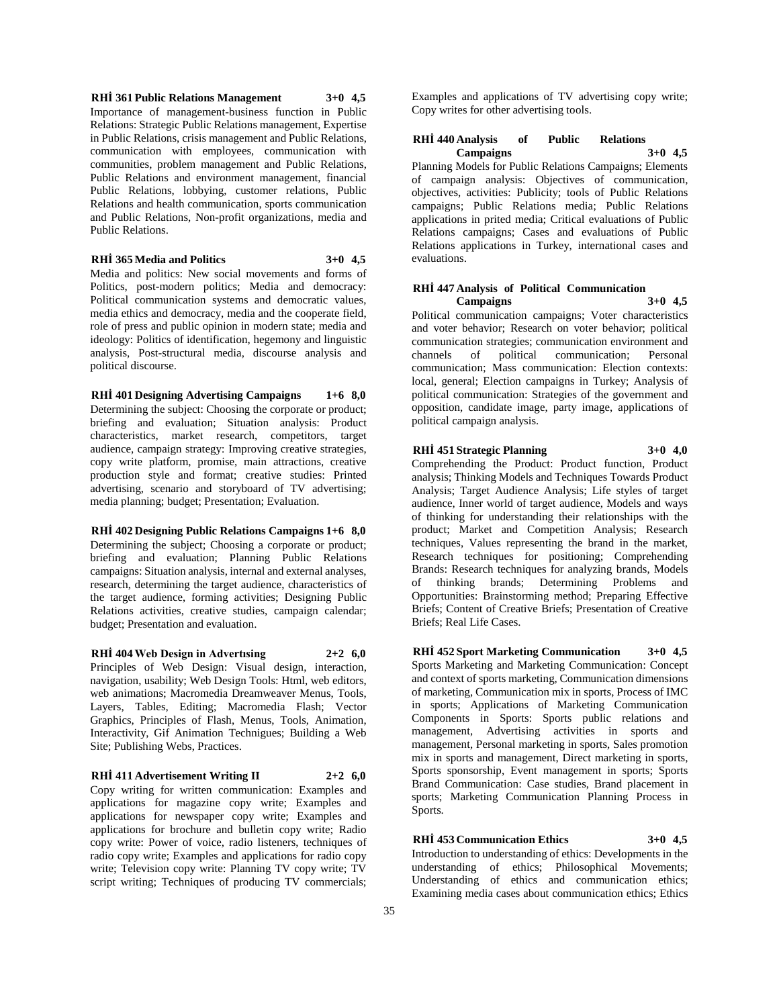**RHİ 361 Public Relations Management 3+0 4,5** Importance of management-business function in Public Relations: Strategic Public Relations management, Expertise in Public Relations, crisis management and Public Relations, communication with employees, communication with communities, problem management and Public Relations, Public Relations and environment management, financial Public Relations, lobbying, customer relations, Public Relations and health communication, sports communication and Public Relations, Non-profit organizations, media and Public Relations.

**RHİ 365 Media and Politics 3+0 4,5**

Media and politics: New social movements and forms of Politics, post-modern politics; Media and democracy: Political communication systems and democratic values, media ethics and democracy, media and the cooperate field, role of press and public opinion in modern state; media and ideology: Politics of identification, hegemony and linguistic analysis, Post-structural media, discourse analysis and political discourse.

**RHİ 401 Designing Advertising Campaigns 1+6 8,0** Determining the subject: Choosing the corporate or product; briefing and evaluation; Situation analysis: Product characteristics, market research, competitors, target audience, campaign strategy: Improving creative strategies, copy write platform, promise, main attractions, creative production style and format; creative studies: Printed advertising, scenario and storyboard of TV advertising; media planning; budget; Presentation; Evaluation.

**RHİ 402 Designing Public Relations Campaigns 1+6 8,0** Determining the subject; Choosing a corporate or product; briefing and evaluation; Planning Public Relations campaigns: Situation analysis, internal and external analyses, research, determining the target audience, characteristics of the target audience, forming activities; Designing Public Relations activities, creative studies, campaign calendar; budget; Presentation and evaluation.

**RHİ 404 Web Design in Advertısing 2+2 6,0** Principles of Web Design: Visual design, interaction, navigation, usability; Web Design Tools: Html, web editors, web animations; Macromedia Dreamweaver Menus, Tools, Layers, Tables, Editing; Macromedia Flash; Vector Graphics, Principles of Flash, Menus, Tools, Animation, Interactivity, Gif Animation Technigues; Building a Web Site; Publishing Webs, Practices.

**RHİ 411 Advertisement Writing II 2+2 6,0** Copy writing for written communication: Examples and applications for magazine copy write; Examples and applications for newspaper copy write; Examples and applications for brochure and bulletin copy write; Radio copy write: Power of voice, radio listeners, techniques of radio copy write; Examples and applications for radio copy write; Television copy write: Planning TV copy write; TV script writing; Techniques of producing TV commercials;

Examples and applications of TV advertising copy write; Copy writes for other advertising tools.

#### **RHİ 440 Analysis of Public Relations Campaigns 3+0 4,5**

Planning Models for Public Relations Campaigns; Elements of campaign analysis: Objectives of communication, objectives, activities: Publicity; tools of Public Relations campaigns; Public Relations media; Public Relations applications in prited media; Critical evaluations of Public Relations campaigns; Cases and evaluations of Public Relations applications in Turkey, international cases and evaluations.

#### **RHİ 447 Analysis of Political Communication Campaigns 3+0 4,5**

Political communication campaigns; Voter characteristics and voter behavior; Research on voter behavior; political communication strategies; communication environment and channels of political communication; Personal communication; Mass communication: Election contexts: local, general; Election campaigns in Turkey; Analysis of political communication: Strategies of the government and opposition, candidate image, party image, applications of political campaign analysis.

# **RHİ 451 Strategic Planning 3+0 4,0**

Comprehending the Product: Product function, Product analysis; Thinking Models and Techniques Towards Product Analysis; Target Audience Analysis; Life styles of target audience, Inner world of target audience, Models and ways of thinking for understanding their relationships with the product; Market and Competition Analysis; Research techniques, Values representing the brand in the market, Research techniques for positioning; Comprehending Brands: Research techniques for analyzing brands, Models of thinking brands; Determining Problems and Opportunities: Brainstorming method; Preparing Effective Briefs; Content of Creative Briefs; Presentation of Creative Briefs; Real Life Cases.

**RHİ 452 Sport Marketing Communication 3+0 4,5** Sports Marketing and Marketing Communication: Concept and context of sports marketing, Communication dimensions of marketing, Communication mix in sports, Process of IMC in sports; Applications of Marketing Communication Components in Sports: Sports public relations and management, Advertising activities in sports and management, Personal marketing in sports, Sales promotion mix in sports and management, Direct marketing in sports, Sports sponsorship, Event management in sports; Sports Brand Communication: Case studies, Brand placement in sports; Marketing Communication Planning Process in Sports.

**RHİ 453 Communication Ethics 3+0 4,5** Introduction to understanding of ethics: Developments in the understanding of ethics; Philosophical Movements; Understanding of ethics and communication ethics; Examining media cases about communication ethics; Ethics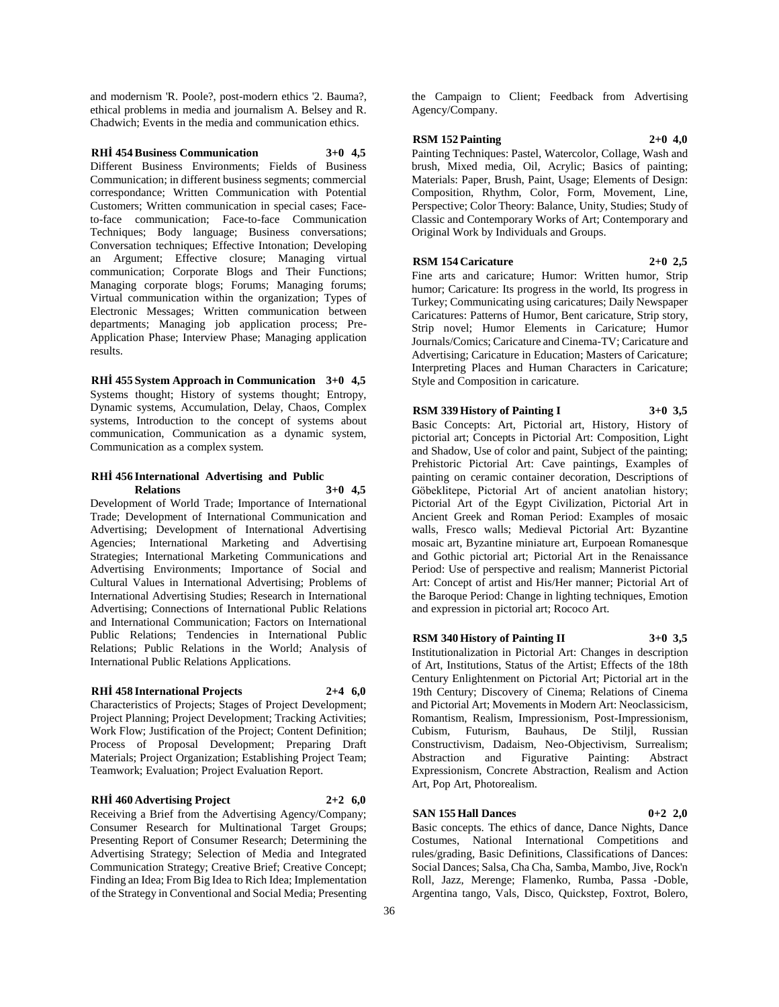and modernism 'R. Poole?, post-modern ethics '2. Bauma?, ethical problems in media and journalism A. Belsey and R. Chadwich; Events in the media and communication ethics.

# **RHİ 454 Business Communication 3+0 4,5**

Different Business Environments; Fields of Business Communication; in different business segments; commercial correspondance; Written Communication with Potential Customers; Written communication in special cases; Faceto-face communication; Face-to-face Communication Techniques; Body language; Business conversations; Conversation techniques; Effective Intonation; Developing an Argument; Effective closure; Managing virtual communication; Corporate Blogs and Their Functions; Managing corporate blogs; Forums; Managing forums; Virtual communication within the organization; Types of Electronic Messages; Written communication between departments; Managing job application process; Pre-Application Phase; Interview Phase; Managing application results.

**RHİ 455 System Approach in Communication 3+0 4,5** Systems thought; History of systems thought; Entropy, Dynamic systems, Accumulation, Delay, Chaos, Complex systems, Introduction to the concept of systems about communication, Communication as a dynamic system, Communication as a complex system.

#### **RHİ 456 International Advertising and Public Relations 3+0 4,5**

Development of World Trade; Importance of International Trade; Development of International Communication and Advertising; Development of International Advertising Agencies; International Marketing and Advertising Strategies; International Marketing Communications and Advertising Environments; Importance of Social and Cultural Values in International Advertising; Problems of International Advertising Studies; Research in International Advertising; Connections of International Public Relations and International Communication; Factors on International Public Relations; Tendencies in International Public Relations; Public Relations in the World; Analysis of International Public Relations Applications.

# **RHİ 458 International Projects 2+4 6,0**

Characteristics of Projects; Stages of Project Development; Project Planning; Project Development; Tracking Activities; Work Flow; Justification of the Project; Content Definition; Process of Proposal Development; Preparing Draft Materials; Project Organization; Establishing Project Team; Teamwork; Evaluation; Project Evaluation Report.

#### **RHİ 460 Advertising Project 2+2 6,0**

Receiving a Brief from the Advertising Agency/Company; Consumer Research for Multinational Target Groups; Presenting Report of Consumer Research; Determining the Advertising Strategy; Selection of Media and Integrated Communication Strategy; Creative Brief; Creative Concept; Finding an Idea; From Big Idea to Rich Idea; Implementation of the Strategy in Conventional and Social Media; Presenting

the Campaign to Client; Feedback from Advertising Agency/Company.

#### **RSM 152 Painting 2+0 4,0**

Painting Techniques: Pastel, Watercolor, Collage, Wash and brush, Mixed media, Oil, Acrylic; Basics of painting; Materials: Paper, Brush, Paint, Usage; Elements of Design: Composition, Rhythm, Color, Form, Movement, Line, Perspective; Color Theory: Balance, Unity, Studies; Study of Classic and Contemporary Works of Art; Contemporary and Original Work by Individuals and Groups.

# **RSM 154 Caricature 2+0 2,5**

Fine arts and caricature; Humor: Written humor, Strip humor; Caricature: Its progress in the world, Its progress in Turkey; Communicating using caricatures; Daily Newspaper Caricatures: Patterns of Humor, Bent caricature, Strip story, Strip novel; Humor Elements in Caricature; Humor Journals/Comics; Caricature and Cinema-TV; Caricature and Advertising; Caricature in Education; Masters of Caricature; Interpreting Places and Human Characters in Caricature; Style and Composition in caricature.

# **RSM 339 History of Painting I 3+0 3,5**

Basic Concepts: Art, Pictorial art, History, History of pictorial art; Concepts in Pictorial Art: Composition, Light and Shadow, Use of color and paint, Subject of the painting; Prehistoric Pictorial Art: Cave paintings, Examples of painting on ceramic container decoration, Descriptions of Göbeklitepe, Pictorial Art of ancient anatolian history; Pictorial Art of the Egypt Civilization, Pictorial Art in Ancient Greek and Roman Period: Examples of mosaic walls, Fresco walls; Medieval Pictorial Art: Byzantine mosaic art, Byzantine miniature art, Eurpoean Romanesque and Gothic pictorial art; Pictorial Art in the Renaissance Period: Use of perspective and realism; Mannerist Pictorial Art: Concept of artist and His/Her manner; Pictorial Art of the Baroque Period: Change in lighting techniques, Emotion and expression in pictorial art; Rococo Art.

#### **RSM 340 History of Painting II 3+0 3,5**

Institutionalization in Pictorial Art: Changes in description of Art, Institutions, Status of the Artist; Effects of the 18th Century Enlightenment on Pictorial Art; Pictorial art in the 19th Century; Discovery of Cinema; Relations of Cinema and Pictorial Art; Movements in Modern Art: Neoclassicism, Romantism, Realism, Impressionism, Post-Impressionism, Cubism, Futurism, Bauhaus, De Stiljl, Russian Constructivism, Dadaism, Neo-Objectivism, Surrealism; Abstraction and Figurative Painting: Abstract Expressionism, Concrete Abstraction, Realism and Action Art, Pop Art, Photorealism.

#### **SAN 155 Hall Dances 0+2 2,0**

Basic concepts. The ethics of dance, Dance Nights, Dance Costumes, National International Competitions and rules/grading, Basic Definitions, Classifications of Dances: Social Dances; Salsa, Cha Cha, Samba, Mambo, Jive, Rock'n Roll, Jazz, Merenge; Flamenko, Rumba, Passa -Doble, Argentina tango, Vals, Disco, Quickstep, Foxtrot, Bolero,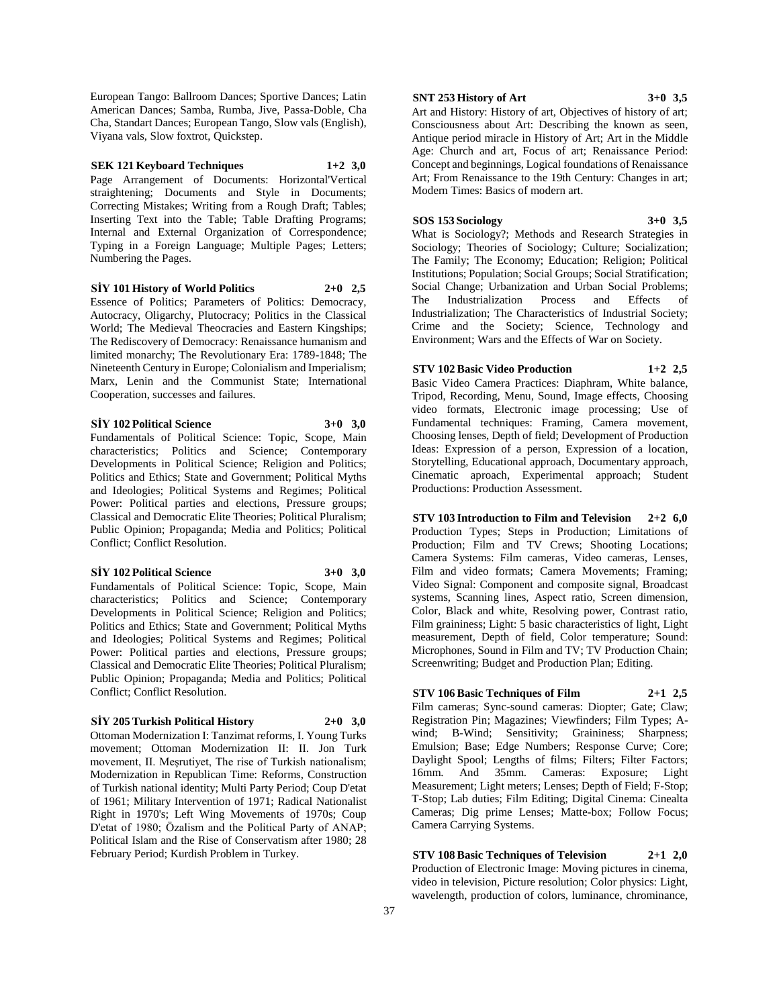European Tango: Ballroom Dances; Sportive Dances; Latin American Dances; Samba, Rumba, Jive, Passa-Doble, Cha Cha, Standart Dances; European Tango, Slow vals (English), Viyana vals, Slow foxtrot, Quickstep.

# **SEK 121 Keyboard Techniques 1+2 3,0**

Page Arrangement of Documents: Horizontal'Vertical straightening; Documents and Style in Documents; Correcting Mistakes; Writing from a Rough Draft; Tables; Inserting Text into the Table; Table Drafting Programs; Internal and External Organization of Correspondence; Typing in a Foreign Language; Multiple Pages; Letters; Numbering the Pages.

#### **SİY 101 History of World Politics 2+0 2,5**

Essence of Politics; Parameters of Politics: Democracy, Autocracy, Oligarchy, Plutocracy; Politics in the Classical World; The Medieval Theocracies and Eastern Kingships; The Rediscovery of Democracy: Renaissance humanism and limited monarchy; The Revolutionary Era: 1789-1848; The Nineteenth Century in Europe; Colonialism and Imperialism; Marx, Lenin and the Communist State; International Cooperation, successes and failures.

**SİY 102 Political Science 3+0 3,0**

Fundamentals of Political Science: Topic, Scope, Main characteristics; Politics and Science; Contemporary Developments in Political Science; Religion and Politics; Politics and Ethics; State and Government; Political Myths and Ideologies; Political Systems and Regimes; Political Power: Political parties and elections, Pressure groups; Classical and Democratic Elite Theories; Political Pluralism; Public Opinion; Propaganda; Media and Politics; Political Conflict; Conflict Resolution.

#### **SİY 102 Political Science 3+0 3,0**

Fundamentals of Political Science: Topic, Scope, Main characteristics; Politics and Science; Contemporary Developments in Political Science; Religion and Politics; Politics and Ethics; State and Government; Political Myths and Ideologies; Political Systems and Regimes; Political Power: Political parties and elections, Pressure groups; Classical and Democratic Elite Theories; Political Pluralism; Public Opinion; Propaganda; Media and Politics; Political Conflict; Conflict Resolution.

# **SİY 205 Turkish Political History 2+0 3,0**

Ottoman Modernization I: Tanzimat reforms, I. Young Turks movement; Ottoman Modernization II: II. Jon Turk movement, II. Meşrutiyet, The rise of Turkish nationalism; Modernization in Republican Time: Reforms, Construction of Turkish national identity; Multi Party Period; Coup D'etat of 1961; Military Intervention of 1971; Radical Nationalist Right in 1970's; Left Wing Movements of 1970s; Coup D'etat of 1980; Özalism and the Political Party of ANAP; Political Islam and the Rise of Conservatism after 1980; 28 February Period; Kurdish Problem in Turkey.

#### **SNT 253 History of Art 3+0 3,5**

Art and History: History of art, Objectives of history of art; Consciousness about Art: Describing the known as seen, Antique period miracle in History of Art; Art in the Middle Age: Church and art, Focus of art; Renaissance Period: Concept and beginnings, Logical foundations of Renaissance Art; From Renaissance to the 19th Century: Changes in art; Modern Times: Basics of modern art.

#### **SOS 153 Sociology 3+0 3,5**

What is Sociology?; Methods and Research Strategies in Sociology; Theories of Sociology; Culture; Socialization; The Family; The Economy; Education; Religion; Political Institutions; Population; Social Groups; Social Stratification; Social Change; Urbanization and Urban Social Problems; The Industrialization Process and Effects of Industrialization; The Characteristics of Industrial Society; Crime and the Society; Science, Technology and Environment; Wars and the Effects of War on Society.

# **STV 102 Basic Video Production 1+2 2,5**

Basic Video Camera Practices: Diaphram, White balance, Tripod, Recording, Menu, Sound, Image effects, Choosing video formats, Electronic image processing; Use of Fundamental techniques: Framing, Camera movement, Choosing lenses, Depth of field; Development of Production Ideas: Expression of a person, Expression of a location, Storytelling, Educational approach, Documentary approach, Cinematic aproach, Experimental approach; Student Productions: Production Assessment.

**STV 103 Introduction to Film and Television 2+2 6,0** Production Types; Steps in Production; Limitations of Production; Film and TV Crews; Shooting Locations; Camera Systems: Film cameras, Video cameras, Lenses, Film and video formats; Camera Movements; Framing; Video Signal: Component and composite signal, Broadcast systems, Scanning lines, Aspect ratio, Screen dimension, Color, Black and white, Resolving power, Contrast ratio, Film graininess; Light: 5 basic characteristics of light, Light measurement, Depth of field, Color temperature; Sound: Microphones, Sound in Film and TV; TV Production Chain; Screenwriting; Budget and Production Plan; Editing.

# **STV 106 Basic Techniques of Film 2+1 2,5**

Film cameras; Sync-sound cameras: Diopter; Gate; Claw; Registration Pin; Magazines; Viewfinders; Film Types; Awind; B-Wind; Sensitivity; Graininess; Sharpness; Emulsion; Base; Edge Numbers; Response Curve; Core; Daylight Spool; Lengths of films; Filters; Filter Factors; 16mm. And 35mm. Cameras: Exposure; Light Measurement; Light meters; Lenses; Depth of Field; F-Stop; T-Stop; Lab duties; Film Editing; Digital Cinema: Cinealta Cameras; Dig prime Lenses; Matte-box; Follow Focus; Camera Carrying Systems.

**STV 108 Basic Techniques of Television 2+1 2,0** Production of Electronic Image: Moving pictures in cinema, video in television, Picture resolution; Color physics: Light, wavelength, production of colors, luminance, chrominance,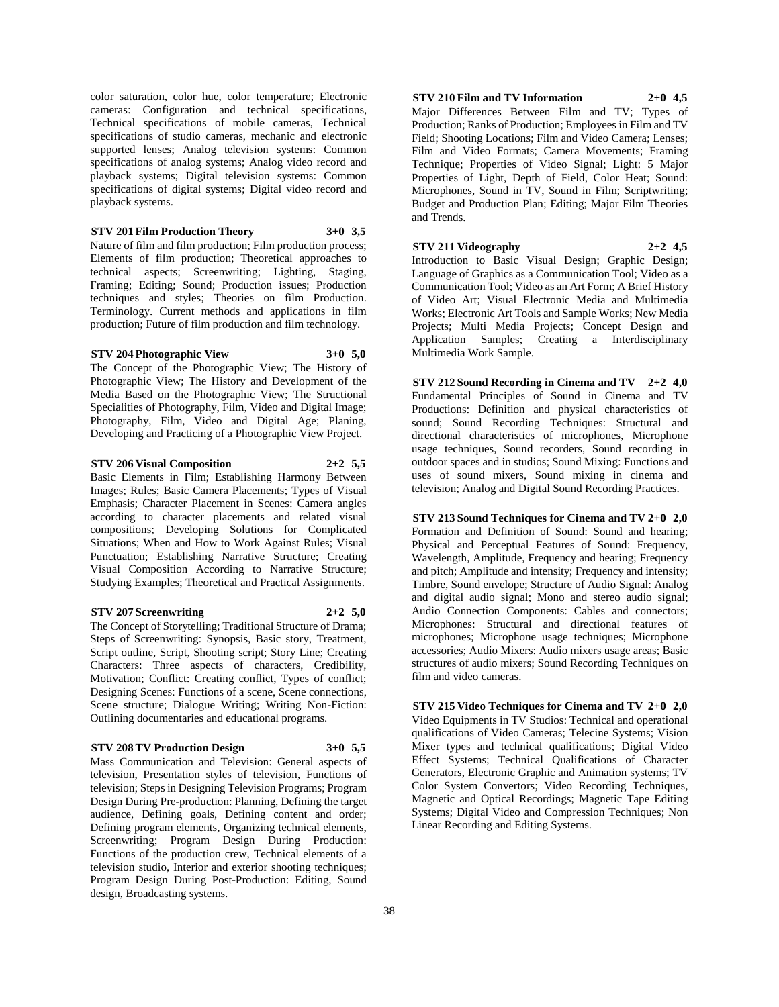color saturation, color hue, color temperature; Electronic cameras: Configuration and technical specifications, Technical specifications of mobile cameras, Technical specifications of studio cameras, mechanic and electronic supported lenses; Analog television systems: Common specifications of analog systems; Analog video record and playback systems; Digital television systems: Common specifications of digital systems; Digital video record and playback systems.

**STV 201 Film Production Theory 3+0 3,5** Nature of film and film production; Film production process; Elements of film production; Theoretical approaches to technical aspects; Screenwriting; Lighting, Staging, Framing; Editing; Sound; Production issues; Production techniques and styles; Theories on film Production. Terminology. Current methods and applications in film production; Future of film production and film technology.

# **STV 204 Photographic View 3+0 5,0**

The Concept of the Photographic View; The History of Photographic View; The History and Development of the Media Based on the Photographic View; The Structional Specialities of Photography, Film, Video and Digital Image; Photography, Film, Video and Digital Age; Planing, Developing and Practicing of a Photographic View Project.

**STV 206 Visual Composition 2+2 5,5**

Basic Elements in Film; Establishing Harmony Between Images; Rules; Basic Camera Placements; Types of Visual Emphasis; Character Placement in Scenes: Camera angles according to character placements and related visual compositions; Developing Solutions for Complicated Situations; When and How to Work Against Rules; Visual Punctuation; Establishing Narrative Structure; Creating Visual Composition According to Narrative Structure; Studying Examples; Theoretical and Practical Assignments.

#### **STV 207 Screenwriting 2+2 5,0**

The Concept of Storytelling; Traditional Structure of Drama; Steps of Screenwriting: Synopsis, Basic story, Treatment, Script outline, Script, Shooting script; Story Line; Creating Characters: Three aspects of characters, Credibility, Motivation; Conflict: Creating conflict, Types of conflict; Designing Scenes: Functions of a scene, Scene connections, Scene structure; Dialogue Writing; Writing Non-Fiction: Outlining documentaries and educational programs.

#### **STV 208 TV Production Design 3+0 5,5**

Mass Communication and Television: General aspects of television, Presentation styles of television, Functions of television; Steps in Designing Television Programs; Program Design During Pre-production: Planning, Defining the target audience, Defining goals, Defining content and order; Defining program elements, Organizing technical elements, Screenwriting; Program Design During Production: Functions of the production crew, Technical elements of a television studio, Interior and exterior shooting techniques; Program Design During Post-Production: Editing, Sound design, Broadcasting systems.

**STV 210 Film and TV Information 2+0 4,5** Major Differences Between Film and TV; Types of Production; Ranks of Production; Employees in Film and TV

Field; Shooting Locations; Film and Video Camera; Lenses; Film and Video Formats; Camera Movements; Framing Technique; Properties of Video Signal; Light: 5 Major Properties of Light, Depth of Field, Color Heat; Sound: Microphones, Sound in TV, Sound in Film; Scriptwriting; Budget and Production Plan; Editing; Major Film Theories and Trends.

**STV 211 Videography 2+2 4,5** Introduction to Basic Visual Design; Graphic Design; Language of Graphics as a Communication Tool; Video as a Communication Tool; Video as an Art Form; A Brief History of Video Art; Visual Electronic Media and Multimedia Works; Electronic Art Tools and Sample Works; New Media Projects; Multi Media Projects; Concept Design and Application Samples; Creating a Interdisciplinary Multimedia Work Sample.

**STV 212 Sound Recording in Cinema and TV 2+2 4,0** Fundamental Principles of Sound in Cinema and TV Productions: Definition and physical characteristics of sound; Sound Recording Techniques: Structural and directional characteristics of microphones, Microphone usage techniques, Sound recorders, Sound recording in outdoor spaces and in studios; Sound Mixing: Functions and uses of sound mixers, Sound mixing in cinema and television; Analog and Digital Sound Recording Practices.

**STV 213 Sound Techniques for Cinema and TV 2+0 2,0** Formation and Definition of Sound: Sound and hearing; Physical and Perceptual Features of Sound: Frequency, Wavelength, Amplitude, Frequency and hearing; Frequency and pitch; Amplitude and intensity; Frequency and intensity; Timbre, Sound envelope; Structure of Audio Signal: Analog and digital audio signal; Mono and stereo audio signal; Audio Connection Components: Cables and connectors; Microphones: Structural and directional features of microphones; Microphone usage techniques; Microphone accessories; Audio Mixers: Audio mixers usage areas; Basic structures of audio mixers; Sound Recording Techniques on film and video cameras.

**STV 215 Video Techniques for Cinema and TV 2+0 2,0** Video Equipments in TV Studios: Technical and operational qualifications of Video Cameras; Telecine Systems; Vision Mixer types and technical qualifications; Digital Video Effect Systems; Technical Qualifications of Character Generators, Electronic Graphic and Animation systems; TV Color System Convertors; Video Recording Techniques, Magnetic and Optical Recordings; Magnetic Tape Editing Systems; Digital Video and Compression Techniques; Non Linear Recording and Editing Systems.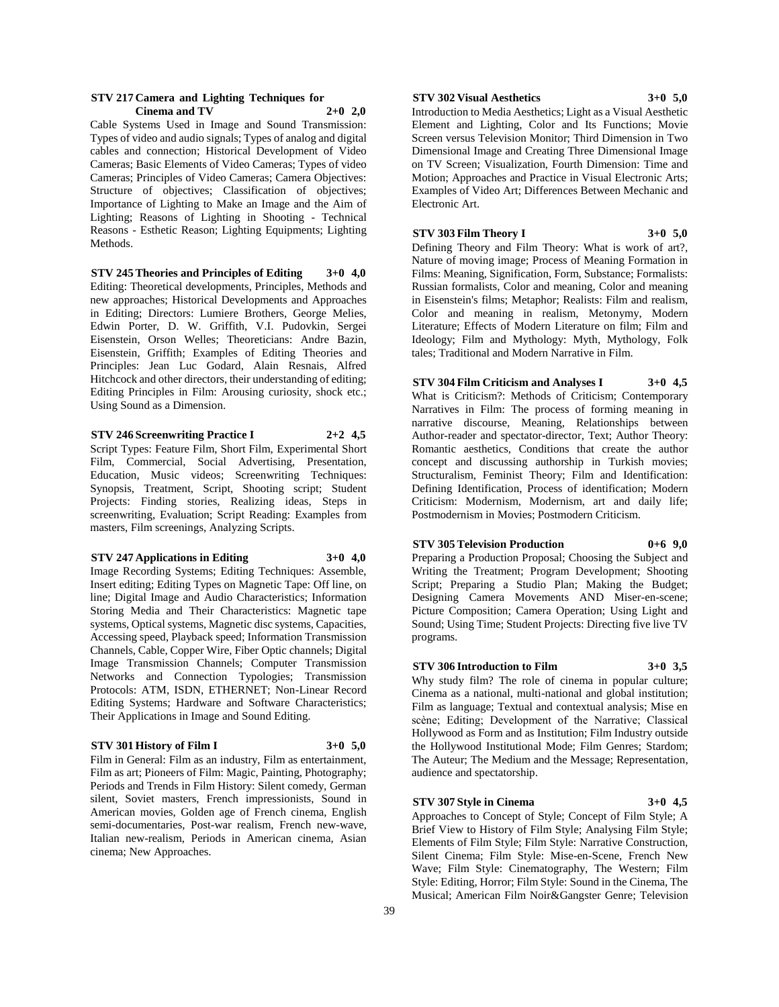#### **STV 217 Camera and Lighting Techniques for Cinema and TV 2+0 2,0**

Cable Systems Used in Image and Sound Transmission: Types of video and audio signals; Types of analog and digital cables and connection; Historical Development of Video Cameras; Basic Elements of Video Cameras; Types of video Cameras; Principles of Video Cameras; Camera Objectives: Structure of objectives; Classification of objectives; Importance of Lighting to Make an Image and the Aim of Lighting; Reasons of Lighting in Shooting - Technical Reasons - Esthetic Reason; Lighting Equipments; Lighting Methods.

**STV 245 Theories and Principles of Editing 3+0 4,0** Editing: Theoretical developments, Principles, Methods and new approaches; Historical Developments and Approaches in Editing; Directors: Lumiere Brothers, George Melies, Edwin Porter, D. W. Griffith, V.I. Pudovkin, Sergei Eisenstein, Orson Welles; Theoreticians: Andre Bazin, Eisenstein, Griffith; Examples of Editing Theories and Principles: Jean Luc Godard, Alain Resnais, Alfred Hitchcock and other directors, their understanding of editing; Editing Principles in Film: Arousing curiosity, shock etc.; Using Sound as a Dimension.

#### **STV 246 Screenwriting Practice I 2+2 4,5**

Script Types: Feature Film, Short Film, Experimental Short Film, Commercial, Social Advertising, Presentation, Education, Music videos; Screenwriting Techniques: Synopsis, Treatment, Script, Shooting script; Student Projects: Finding stories, Realizing ideas, Steps in screenwriting, Evaluation; Script Reading: Examples from masters, Film screenings, Analyzing Scripts.

#### **STV 247 Applications in Editing 3+0 4,0**

Image Recording Systems; Editing Techniques: Assemble, Insert editing; Editing Types on Magnetic Tape: Off line, on line; Digital Image and Audio Characteristics; Information Storing Media and Their Characteristics: Magnetic tape systems, Optical systems, Magnetic disc systems, Capacities, Accessing speed, Playback speed; Information Transmission Channels, Cable, Copper Wire, Fiber Optic channels; Digital Image Transmission Channels; Computer Transmission Networks and Connection Typologies; Transmission Protocols: ATM, ISDN, ETHERNET; Non-Linear Record Editing Systems; Hardware and Software Characteristics; Their Applications in Image and Sound Editing.

# **STV 301 History of Film I 3+0 5,0**

Film in General: Film as an industry, Film as entertainment, Film as art; Pioneers of Film: Magic, Painting, Photography; Periods and Trends in Film History: Silent comedy, German silent, Soviet masters, French impressionists, Sound in American movies, Golden age of French cinema, English semi-documentaries, Post-war realism, French new-wave, Italian new-realism, Periods in American cinema, Asian cinema; New Approaches.

#### **STV 302 Visual Aesthetics 3+0 5,0**

Introduction to Media Aesthetics; Light as a Visual Aesthetic Element and Lighting, Color and Its Functions; Movie Screen versus Television Monitor; Third Dimension in Two Dimensional Image and Creating Three Dimensional Image on TV Screen; Visualization, Fourth Dimension: Time and Motion; Approaches and Practice in Visual Electronic Arts; Examples of Video Art; Differences Between Mechanic and Electronic Art.

# **STV 303 Film Theory I 3+0 5,0**

Defining Theory and Film Theory: What is work of art?, Nature of moving image; Process of Meaning Formation in Films: Meaning, Signification, Form, Substance; Formalists: Russian formalists, Color and meaning, Color and meaning in Eisenstein's films; Metaphor; Realists: Film and realism, Color and meaning in realism, Metonymy, Modern Literature; Effects of Modern Literature on film; Film and Ideology; Film and Mythology: Myth, Mythology, Folk tales; Traditional and Modern Narrative in Film.

**STV 304 Film Criticism and Analyses I 3+0 4,5** What is Criticism?: Methods of Criticism; Contemporary Narratives in Film: The process of forming meaning in narrative discourse, Meaning, Relationships between Author-reader and spectator-director, Text; Author Theory: Romantic aesthetics, Conditions that create the author concept and discussing authorship in Turkish movies; Structuralism, Feminist Theory; Film and Identification: Defining Identification, Process of identification; Modern Criticism: Modernism, Modernism, art and daily life; Postmodernism in Movies; Postmodern Criticism.

# **STV 305 Television Production 0+6 9,0**

Preparing a Production Proposal; Choosing the Subject and Writing the Treatment; Program Development; Shooting Script; Preparing a Studio Plan; Making the Budget; Designing Camera Movements AND Miser-en-scene; Picture Composition; Camera Operation; Using Light and Sound; Using Time; Student Projects: Directing five live TV programs.

#### **STV 306 Introduction to Film 3+0 3,5**

Why study film? The role of cinema in popular culture; Cinema as a national, multi-national and global institution; Film as language; Textual and contextual analysis; Mise en scène; Editing; Development of the Narrative; Classical Hollywood as Form and as Institution; Film Industry outside the Hollywood Institutional Mode; Film Genres; Stardom; The Auteur; The Medium and the Message; Representation, audience and spectatorship.

#### **STV 307 Style in Cinema 3+0 4,5**

Approaches to Concept of Style; Concept of Film Style; A Brief View to History of Film Style; Analysing Film Style; Elements of Film Style; Film Style: Narrative Construction, Silent Cinema; Film Style: Mise-en-Scene, French New Wave; Film Style: Cinematography, The Western; Film Style: Editing, Horror; Film Style: Sound in the Cinema, The Musical; American Film Noir&Gangster Genre; Television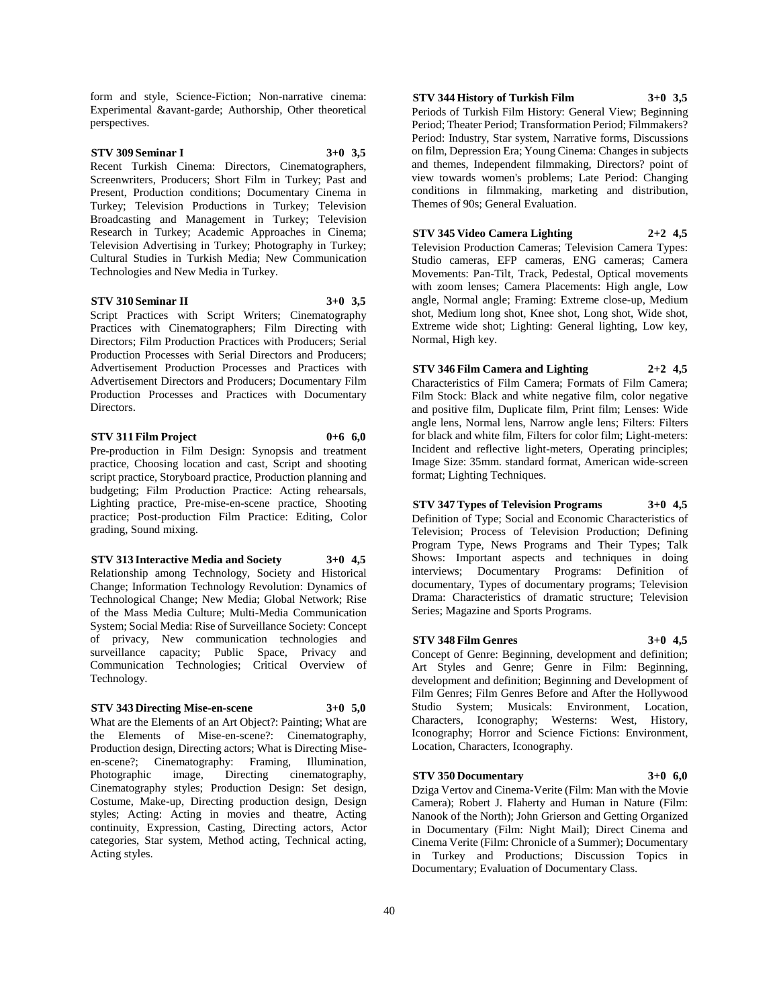form and style, Science-Fiction; Non-narrative cinema: Experimental &avant-garde; Authorship, Other theoretical perspectives.

# **STV 309 Seminar I 3+0 3,5**

Recent Turkish Cinema: Directors, Cinematographers, Screenwriters, Producers; Short Film in Turkey; Past and Present, Production conditions; Documentary Cinema in Turkey; Television Productions in Turkey; Television Broadcasting and Management in Turkey; Television Research in Turkey; Academic Approaches in Cinema; Television Advertising in Turkey; Photography in Turkey; Cultural Studies in Turkish Media; New Communication Technologies and New Media in Turkey.

#### **STV 310 Seminar II 3+0 3,5**

Script Practices with Script Writers; Cinematography Practices with Cinematographers; Film Directing with Directors; Film Production Practices with Producers; Serial Production Processes with Serial Directors and Producers; Advertisement Production Processes and Practices with Advertisement Directors and Producers; Documentary Film Production Processes and Practices with Documentary **Directors** 

# **STV 311 Film Project 0+6 6,0**

Pre-production in Film Design: Synopsis and treatment practice, Choosing location and cast, Script and shooting script practice, Storyboard practice, Production planning and budgeting; Film Production Practice: Acting rehearsals, Lighting practice, Pre-mise-en-scene practice, Shooting practice; Post-production Film Practice: Editing, Color grading, Sound mixing.

**STV 313 Interactive Media and Society 3+0 4,5**

Relationship among Technology, Society and Historical Change; Information Technology Revolution: Dynamics of Technological Change; New Media; Global Network; Rise of the Mass Media Culture; Multi-Media Communication System; Social Media: Rise of Surveillance Society: Concept of privacy, New communication technologies and surveillance capacity; Public Space, Privacy and Communication Technologies; Critical Overview of Technology.

#### **STV 343 Directing Mise-en-scene 3+0 5,0**

What are the Elements of an Art Object?: Painting; What are the Elements of Mise-en-scene?: Cinematography, Production design, Directing actors; What is Directing Miseen-scene?; Cinematography: Framing, Illumination,<br>Photographic image, Directing cinematography, Photographic image, Directing cinematography, Cinematography styles; Production Design: Set design, Costume, Make-up, Directing production design, Design styles; Acting: Acting in movies and theatre, Acting continuity, Expression, Casting, Directing actors, Actor categories, Star system, Method acting, Technical acting, Acting styles.

**STV 344 History of Turkish Film 3+0 3,5**

Periods of Turkish Film History: General View; Beginning Period; Theater Period; Transformation Period; Filmmakers? Period: Industry, Star system, Narrative forms, Discussions on film, Depression Era; Young Cinema: Changes in subjects and themes, Independent filmmaking, Directors? point of view towards women's problems; Late Period: Changing conditions in filmmaking, marketing and distribution, Themes of 90s; General Evaluation.

#### **STV 345 Video Camera Lighting 2+2 4,5**

Television Production Cameras; Television Camera Types: Studio cameras, EFP cameras, ENG cameras; Camera Movements: Pan-Tilt, Track, Pedestal, Optical movements with zoom lenses; Camera Placements: High angle, Low angle, Normal angle; Framing: Extreme close-up, Medium shot, Medium long shot, Knee shot, Long shot, Wide shot, Extreme wide shot; Lighting: General lighting, Low key, Normal, High key.

# **STV 346 Film Camera and Lighting 2+2 4,5**

Characteristics of Film Camera; Formats of Film Camera; Film Stock: Black and white negative film, color negative and positive film, Duplicate film, Print film; Lenses: Wide angle lens, Normal lens, Narrow angle lens; Filters: Filters for black and white film, Filters for color film; Light-meters: Incident and reflective light-meters, Operating principles; Image Size: 35mm. standard format, American wide-screen format; Lighting Techniques.

#### **STV 347 Types of Television Programs 3+0 4,5**

Definition of Type; Social and Economic Characteristics of Television; Process of Television Production; Defining Program Type, News Programs and Their Types; Talk Shows: Important aspects and techniques in doing interviews; Documentary Programs: Definition of documentary, Types of documentary programs; Television Drama: Characteristics of dramatic structure; Television Series; Magazine and Sports Programs.

# **STV 348 Film Genres 3+0 4,5**

Concept of Genre: Beginning, development and definition; Art Styles and Genre; Genre in Film: Beginning, development and definition; Beginning and Development of Film Genres; Film Genres Before and After the Hollywood Studio System; Musicals: Environment, Location, Characters, Iconography; Westerns: West, History, Iconography; Horror and Science Fictions: Environment, Location, Characters, Iconography.

#### **STV 350 Documentary 3+0 6,0**

Dziga Vertov and Cinema-Verite (Film: Man with the Movie Camera); Robert J. Flaherty and Human in Nature (Film: Nanook of the North); John Grierson and Getting Organized in Documentary (Film: Night Mail); Direct Cinema and Cinema Verite (Film: Chronicle of a Summer); Documentary in Turkey and Productions; Discussion Topics in Documentary; Evaluation of Documentary Class.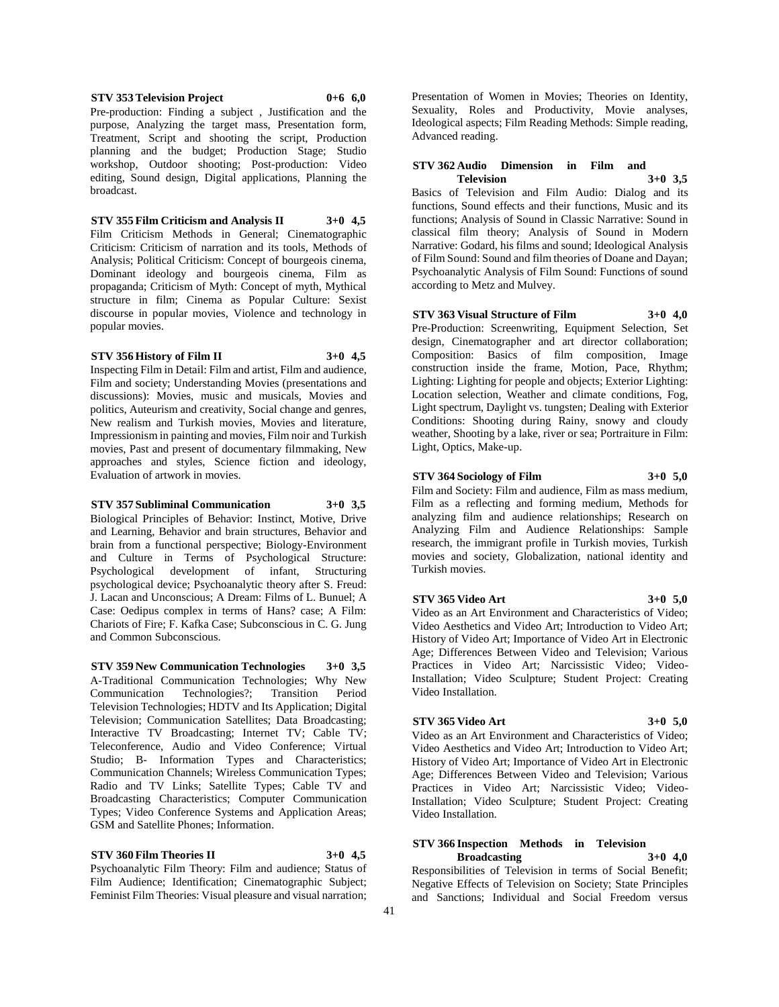Pre-production: Finding a subject , Justification and the purpose, Analyzing the target mass, Presentation form, Treatment, Script and shooting the script, Production planning and the budget; Production Stage; Studio workshop, Outdoor shooting; Post-production: Video editing, Sound design, Digital applications, Planning the broadcast.

**STV 353 Television Project 0+6 6,0**

**STV 355 Film Criticism and Analysis II 3+0 4,5** Film Criticism Methods in General; Cinematographic Criticism: Criticism of narration and its tools, Methods of

Analysis; Political Criticism: Concept of bourgeois cinema, Dominant ideology and bourgeois cinema, Film as propaganda; Criticism of Myth: Concept of myth, Mythical structure in film; Cinema as Popular Culture: Sexist discourse in popular movies, Violence and technology in popular movies.

# **STV 356 History of Film II 3+0 4,5**

Inspecting Film in Detail: Film and artist, Film and audience, Film and society; Understanding Movies (presentations and discussions): Movies, music and musicals, Movies and politics, Auteurism and creativity, Social change and genres, New realism and Turkish movies, Movies and literature, Impressionism in painting and movies, Film noir and Turkish movies, Past and present of documentary filmmaking, New approaches and styles, Science fiction and ideology, Evaluation of artwork in movies.

## **STV 357 Subliminal Communication 3+0 3,5**

Biological Principles of Behavior: Instinct, Motive, Drive and Learning, Behavior and brain structures, Behavior and brain from a functional perspective; Biology-Environment and Culture in Terms of Psychological Structure: Psychological development of infant, Structuring psychological device; Psychoanalytic theory after S. Freud: J. Lacan and Unconscious; A Dream: Films of L. Bunuel; A Case: Oedipus complex in terms of Hans? case; A Film: Chariots of Fire; F. Kafka Case; Subconscious in C. G. Jung and Common Subconscious.

**STV 359 New Communication Technologies 3+0 3,5** A-Traditional Communication Technologies; Why New<br>Communication Technologies?; Transition Period Communication Technologies?; Transition Period Television Technologies; HDTV and Its Application; Digital Television; Communication Satellites; Data Broadcasting; Interactive TV Broadcasting; Internet TV; Cable TV; Teleconference, Audio and Video Conference; Virtual Studio; B- Information Types and Characteristics; Communication Channels; Wireless Communication Types; Radio and TV Links; Satellite Types; Cable TV and Broadcasting Characteristics; Computer Communication Types; Video Conference Systems and Application Areas; GSM and Satellite Phones; Information.

#### **STV 360 Film Theories II 3+0 4,5**

Psychoanalytic Film Theory: Film and audience; Status of Film Audience; Identification; Cinematographic Subject; Feminist Film Theories: Visual pleasure and visual narration; Presentation of Women in Movies; Theories on Identity, Sexuality, Roles and Productivity, Movie analyses, Ideological aspects; Film Reading Methods: Simple reading, Advanced reading.

#### **STV 362 Audio Dimension in Film and Television 3+0 3,5**

Basics of Television and Film Audio: Dialog and its functions, Sound effects and their functions, Music and its functions; Analysis of Sound in Classic Narrative: Sound in classical film theory; Analysis of Sound in Modern Narrative: Godard, his films and sound; Ideological Analysis of Film Sound: Sound and film theories of Doane and Dayan; Psychoanalytic Analysis of Film Sound: Functions of sound according to Metz and Mulvey.

**STV 363 Visual Structure of Film 3+0 4,0** Pre-Production: Screenwriting, Equipment Selection, Set design, Cinematographer and art director collaboration; Composition: Basics of film composition, Image construction inside the frame, Motion, Pace, Rhythm; Lighting: Lighting for people and objects; Exterior Lighting: Location selection, Weather and climate conditions, Fog, Light spectrum, Daylight vs. tungsten; Dealing with Exterior Conditions: Shooting during Rainy, snowy and cloudy weather, Shooting by a lake, river or sea; Portraiture in Film: Light, Optics, Make-up.

# **STV 364 Sociology of Film 3+0 5,0**

Film and Society: Film and audience, Film as mass medium, Film as a reflecting and forming medium, Methods for analyzing film and audience relationships; Research on Analyzing Film and Audience Relationships: Sample research, the immigrant profile in Turkish movies, Turkish movies and society, Globalization, national identity and Turkish movies.

#### **STV 365 Video Art 3+0 5,0**

Video as an Art Environment and Characteristics of Video; Video Aesthetics and Video Art; Introduction to Video Art; History of Video Art; Importance of Video Art in Electronic Age; Differences Between Video and Television; Various Practices in Video Art; Narcissistic Video; Video-Installation; Video Sculpture; Student Project: Creating Video Installation.

# **STV 365 Video Art 3+0 5,0**

Video as an Art Environment and Characteristics of Video; Video Aesthetics and Video Art; Introduction to Video Art; History of Video Art; Importance of Video Art in Electronic Age; Differences Between Video and Television; Various Practices in Video Art; Narcissistic Video; Video-Installation; Video Sculpture; Student Project: Creating Video Installation.

#### **STV 366 Inspection Methods in Television Broadcasting 3+0 4,0**

Responsibilities of Television in terms of Social Benefit; Negative Effects of Television on Society; State Principles and Sanctions; Individual and Social Freedom versus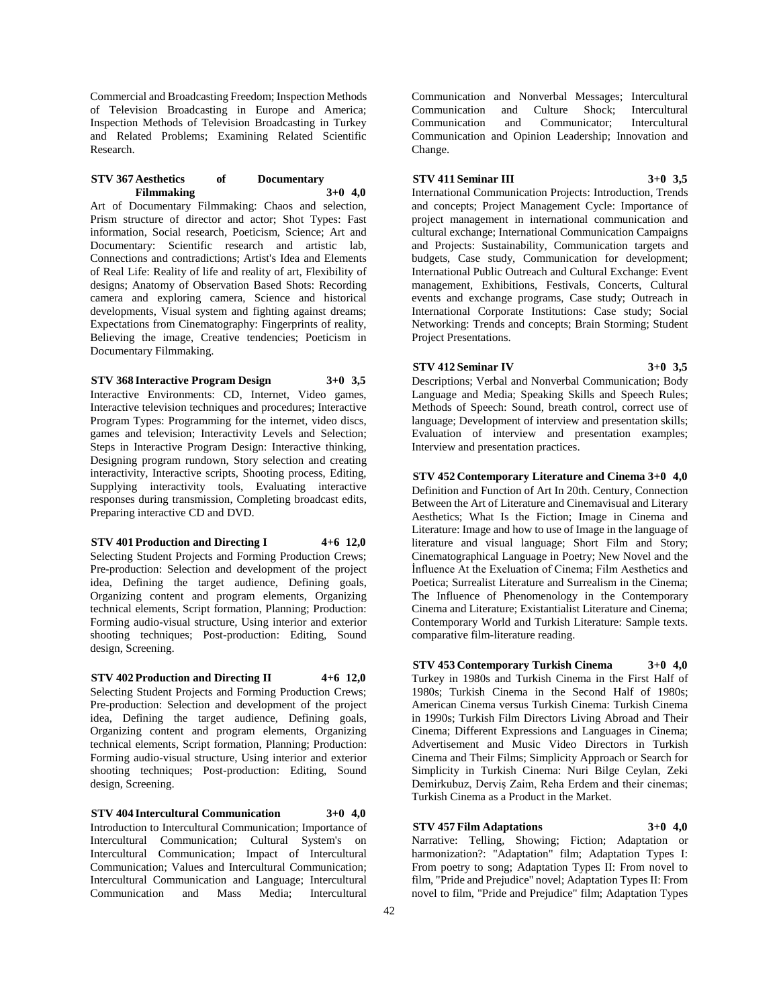Commercial and Broadcasting Freedom; Inspection Methods of Television Broadcasting in Europe and America; Inspection Methods of Television Broadcasting in Turkey and Related Problems; Examining Related Scientific Research.

#### **STV 367 Aesthetics of Documentary Filmmaking 3+0 4,0**

Art of Documentary Filmmaking: Chaos and selection, Prism structure of director and actor; Shot Types: Fast information, Social research, Poeticism, Science; Art and Documentary: Scientific research and artistic lab, Connections and contradictions; Artist's Idea and Elements of Real Life: Reality of life and reality of art, Flexibility of designs; Anatomy of Observation Based Shots: Recording camera and exploring camera, Science and historical developments, Visual system and fighting against dreams; Expectations from Cinematography: Fingerprints of reality, Believing the image, Creative tendencies; Poeticism in Documentary Filmmaking.

**STV 368 Interactive Program Design 3+0 3,5**

Interactive Environments: CD, Internet, Video games, Interactive television techniques and procedures; Interactive Program Types: Programming for the internet, video discs, games and television; Interactivity Levels and Selection; Steps in Interactive Program Design: Interactive thinking, Designing program rundown, Story selection and creating interactivity, Interactive scripts, Shooting process, Editing, Supplying interactivity tools, Evaluating interactive responses during transmission, Completing broadcast edits, Preparing interactive CD and DVD.

#### **STV 401 Production and Directing I 4+6 12,0**

Selecting Student Projects and Forming Production Crews; Pre-production: Selection and development of the project idea, Defining the target audience, Defining goals, Organizing content and program elements, Organizing technical elements, Script formation, Planning; Production: Forming audio-visual structure, Using interior and exterior shooting techniques; Post-production: Editing, Sound design, Screening.

# **STV 402 Production and Directing II 4+6 12,0**

Selecting Student Projects and Forming Production Crews; Pre-production: Selection and development of the project idea, Defining the target audience, Defining goals, Organizing content and program elements, Organizing technical elements, Script formation, Planning; Production: Forming audio-visual structure, Using interior and exterior shooting techniques; Post-production: Editing, Sound design, Screening.

**STV 404 Intercultural Communication 3+0 4,0** Introduction to Intercultural Communication; Importance of Intercultural Communication; Cultural System's on Intercultural Communication; Impact of Intercultural Communication; Values and Intercultural Communication; Intercultural Communication and Language; Intercultural Communication and Mass Media; Intercultural

Communication and Nonverbal Messages; Intercultural Communication and Culture Shock; Intercultural Communication and Communicator; Intercultural Communication and Opinion Leadership; Innovation and Change.

# **STV 411 Seminar III 3+0 3,5**

International Communication Projects: Introduction, Trends and concepts; Project Management Cycle: Importance of project management in international communication and cultural exchange; International Communication Campaigns and Projects: Sustainability, Communication targets and budgets, Case study, Communication for development; International Public Outreach and Cultural Exchange: Event management, Exhibitions, Festivals, Concerts, Cultural events and exchange programs, Case study; Outreach in International Corporate Institutions: Case study; Social Networking: Trends and concepts; Brain Storming; Student Project Presentations.

# **STV 412 Seminar IV 3+0 3,5**

Descriptions; Verbal and Nonverbal Communication; Body Language and Media; Speaking Skills and Speech Rules; Methods of Speech: Sound, breath control, correct use of language; Development of interview and presentation skills; Evaluation of interview and presentation examples; Interview and presentation practices.

**STV 452 Contemporary Literature and Cinema 3+0 4,0** Definition and Function of Art In 20th. Century, Connection Between the Art of Literature and Cinemavisual and Literary Aesthetics; What Is the Fiction; Image in Cinema and Literature: Image and how to use of Image in the language of literature and visual language; Short Film and Story; Cinematographical Language in Poetry; New Novel and the İnfluence At the Exeluation of Cinema; Film Aesthetics and Poetica; Surrealist Literature and Surrealism in the Cinema; The Influence of Phenomenology in the Contemporary Cinema and Literature; Existantialist Literature and Cinema; Contemporary World and Turkish Literature: Sample texts. comparative film-literature reading.

**STV 453 Contemporary Turkish Cinema 3+0 4,0** Turkey in 1980s and Turkish Cinema in the First Half of 1980s; Turkish Cinema in the Second Half of 1980s; American Cinema versus Turkish Cinema: Turkish Cinema in 1990s; Turkish Film Directors Living Abroad and Their Cinema; Different Expressions and Languages in Cinema; Advertisement and Music Video Directors in Turkish Cinema and Their Films; Simplicity Approach or Search for Simplicity in Turkish Cinema: Nuri Bilge Ceylan, Zeki Demirkubuz, Derviş Zaim, Reha Erdem and their cinemas; Turkish Cinema as a Product in the Market.

# **STV 457 Film Adaptations 3+0 4,0**

Narrative: Telling, Showing; Fiction; Adaptation or harmonization?: "Adaptation" film; Adaptation Types I: From poetry to song; Adaptation Types II: From novel to film, "Pride and Prejudice" novel; Adaptation Types II: From novel to film, "Pride and Prejudice" film; Adaptation Types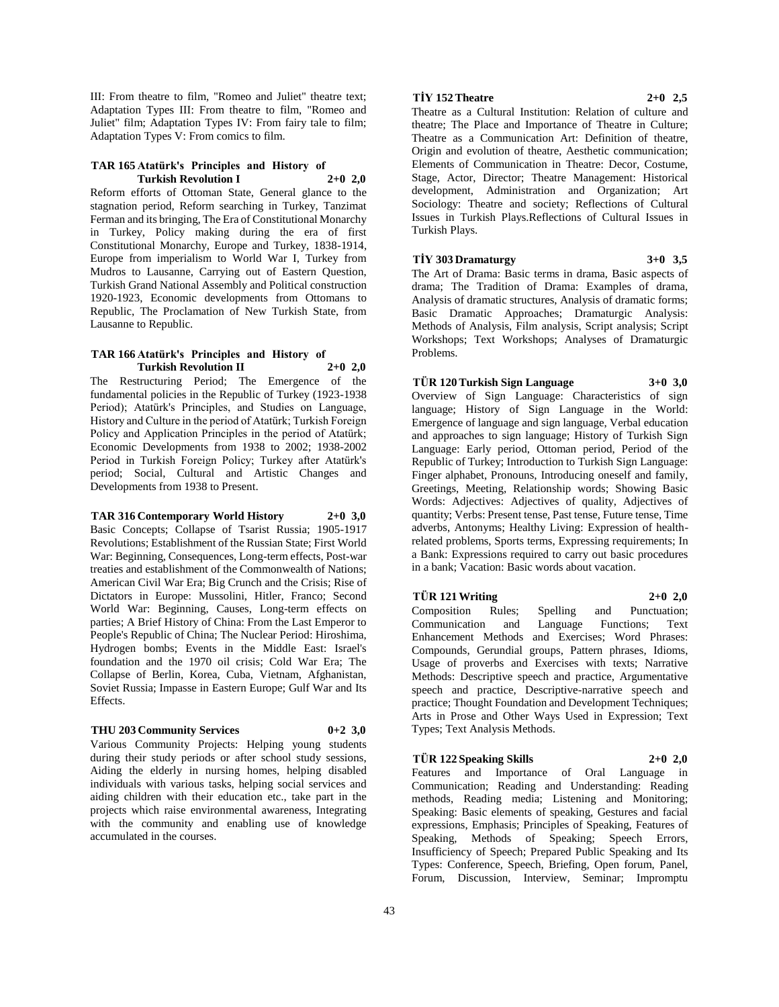III: From theatre to film, "Romeo and Juliet" theatre text; Adaptation Types III: From theatre to film, "Romeo and Juliet" film; Adaptation Types IV: From fairy tale to film; Adaptation Types V: From comics to film.

#### **TAR 165 Atatürk's Principles and History of Turkish Revolution I 2+0 2,0**

Reform efforts of Ottoman State, General glance to the stagnation period, Reform searching in Turkey, Tanzimat Ferman and its bringing, The Era of Constitutional Monarchy in Turkey, Policy making during the era of first Constitutional Monarchy, Europe and Turkey, 1838-1914, Europe from imperialism to World War I, Turkey from Mudros to Lausanne, Carrying out of Eastern Question, Turkish Grand National Assembly and Political construction 1920-1923, Economic developments from Ottomans to Republic, The Proclamation of New Turkish State, from Lausanne to Republic.

#### **TAR 166 Atatürk's Principles and History of Turkish Revolution II 2+0 2,0**

The Restructuring Period; The Emergence of the fundamental policies in the Republic of Turkey (1923-1938 Period); Atatürk's Principles, and Studies on Language, History and Culture in the period of Atatürk; Turkish Foreign Policy and Application Principles in the period of Atatürk; Economic Developments from 1938 to 2002; 1938-2002 Period in Turkish Foreign Policy; Turkey after Atatürk's period; Social, Cultural and Artistic Changes and Developments from 1938 to Present.

#### **TAR 316 Contemporary World History 2+0 3,0**

Basic Concepts; Collapse of Tsarist Russia; 1905-1917 Revolutions; Establishment of the Russian State; First World War: Beginning, Consequences, Long-term effects, Post-war treaties and establishment of the Commonwealth of Nations; American Civil War Era; Big Crunch and the Crisis; Rise of Dictators in Europe: Mussolini, Hitler, Franco; Second World War: Beginning, Causes, Long-term effects on parties; A Brief History of China: From the Last Emperor to People's Republic of China; The Nuclear Period: Hiroshima, Hydrogen bombs; Events in the Middle East: Israel's foundation and the 1970 oil crisis; Cold War Era; The Collapse of Berlin, Korea, Cuba, Vietnam, Afghanistan, Soviet Russia; Impasse in Eastern Europe; Gulf War and Its Effects.

#### **THU 203 Community Services 0+2 3,0**

Various Community Projects: Helping young students during their study periods or after school study sessions, Aiding the elderly in nursing homes, helping disabled individuals with various tasks, helping social services and aiding children with their education etc., take part in the projects which raise environmental awareness, Integrating with the community and enabling use of knowledge accumulated in the courses.

# **TİY 152 Theatre 2+0 2,5**

Theatre as a Cultural Institution: Relation of culture and theatre; The Place and Importance of Theatre in Culture; Theatre as a Communication Art: Definition of theatre, Origin and evolution of theatre, Aesthetic communication; Elements of Communication in Theatre: Decor, Costume, Stage, Actor, Director; Theatre Management: Historical development, Administration and Organization; Art Sociology: Theatre and society; Reflections of Cultural Issues in Turkish Plays.Reflections of Cultural Issues in Turkish Plays.

**TİY 303 Dramaturgy 3+0 3,5**

The Art of Drama: Basic terms in drama, Basic aspects of drama; The Tradition of Drama: Examples of drama, Analysis of dramatic structures, Analysis of dramatic forms; Basic Dramatic Approaches; Dramaturgic Analysis: Methods of Analysis, Film analysis, Script analysis; Script Workshops; Text Workshops; Analyses of Dramaturgic Problems.

**TÜR 120 Turkish Sign Language 3+0 3,0** Overview of Sign Language: Characteristics of sign language; History of Sign Language in the World: Emergence of language and sign language, Verbal education and approaches to sign language; History of Turkish Sign Language: Early period, Ottoman period, Period of the Republic of Turkey; Introduction to Turkish Sign Language: Finger alphabet, Pronouns, Introducing oneself and family, Greetings, Meeting, Relationship words; Showing Basic Words: Adjectives: Adjectives of quality, Adjectives of quantity; Verbs: Present tense, Past tense, Future tense, Time adverbs, Antonyms; Healthy Living: Expression of healthrelated problems, Sports terms, Expressing requirements; In a Bank: Expressions required to carry out basic procedures in a bank; Vacation: Basic words about vacation.

#### **TÜR 121 Writing 2+0 2,0**

Composition Rules; Spelling and Punctuation; Communication and Language Functions; Text Enhancement Methods and Exercises; Word Phrases: Compounds, Gerundial groups, Pattern phrases, Idioms, Usage of proverbs and Exercises with texts; Narrative Methods: Descriptive speech and practice, Argumentative speech and practice, Descriptive-narrative speech and practice; Thought Foundation and Development Techniques; Arts in Prose and Other Ways Used in Expression; Text Types; Text Analysis Methods.

#### **TÜR 122 Speaking Skills 2+0 2,0**

Features and Importance of Oral Language in Communication; Reading and Understanding: Reading methods, Reading media; Listening and Monitoring; Speaking: Basic elements of speaking, Gestures and facial expressions, Emphasis; Principles of Speaking, Features of Speaking, Methods of Speaking; Speech Errors, Insufficiency of Speech; Prepared Public Speaking and Its Types: Conference, Speech, Briefing, Open forum, Panel, Forum, Discussion, Interview, Seminar; Impromptu